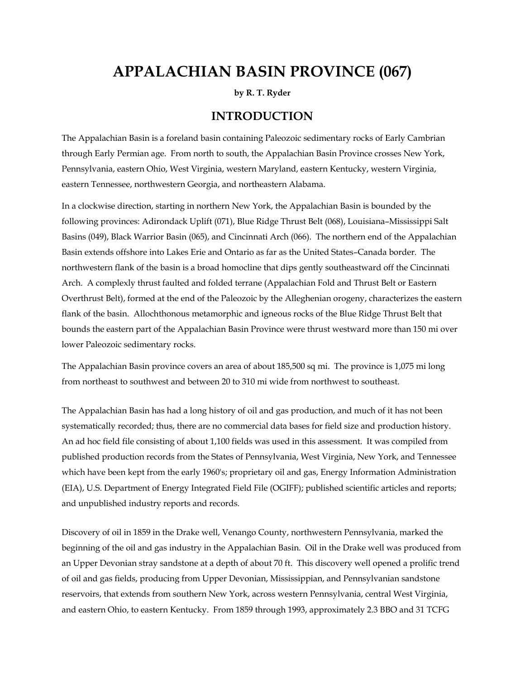# **APPALACHIAN BASIN PROVINCE (067)**

**by R. T. Ryder** 

### **INTRODUCTION**

The Appalachian Basin is a foreland basin containing Paleozoic sedimentary rocks of Early Cambrian through Early Permian age. From north to south, the Appalachian Basin Province crosses New York, Pennsylvania, eastern Ohio, West Virginia, western Maryland, eastern Kentucky, western Virginia, eastern Tennessee, northwestern Georgia, and northeastern Alabama.

In a clockwise direction, starting in northern New York, the Appalachian Basin is bounded by the following provinces: Adirondack Uplift (071), Blue Ridge Thrust Belt (068), Louisiana–Mississippi Salt Basins (049), Black Warrior Basin (065), and Cincinnati Arch (066). The northern end of the Appalachian Basin extends offshore into Lakes Erie and Ontario as far as the United States–Canada border. The northwestern flank of the basin is a broad homocline that dips gently southeastward off the Cincinnati Arch. A complexly thrust faulted and folded terrane (Appalachian Fold and Thrust Belt or Eastern Overthrust Belt), formed at the end of the Paleozoic by the Alleghenian orogeny, characterizes the eastern flank of the basin. Allochthonous metamorphic and igneous rocks of the Blue Ridge Thrust Belt that bounds the eastern part of the Appalachian Basin Province were thrust westward more than 150 mi over lower Paleozoic sedimentary rocks.

The Appalachian Basin province covers an area of about 185,500 sq mi. The province is 1,075 mi long from northeast to southwest and between 20 to 310 mi wide from northwest to southeast.

The Appalachian Basin has had a long history of oil and gas production, and much of it has not been systematically recorded; thus, there are no commercial data bases for field size and production history. An ad hoc field file consisting of about 1,100 fields was used in this assessment. It was compiled from published production records from the States of Pennsylvania, West Virginia, New York, and Tennessee which have been kept from the early 1960's; proprietary oil and gas, Energy Information Administration (EIA), U.S. Department of Energy Integrated Field File (OGIFF); published scientific articles and reports; and unpublished industry reports and records.

Discovery of oil in 1859 in the Drake well, Venango County, northwestern Pennsylvania, marked the beginning of the oil and gas industry in the Appalachian Basin. Oil in the Drake well was produced from an Upper Devonian stray sandstone at a depth of about 70 ft. This discovery well opened a prolific trend of oil and gas fields, producing from Upper Devonian, Mississippian, and Pennsylvanian sandstone reservoirs, that extends from southern New York, across western Pennsylvania, central West Virginia, and eastern Ohio, to eastern Kentucky. From 1859 through 1993, approximately 2.3 BBO and 31 TCFG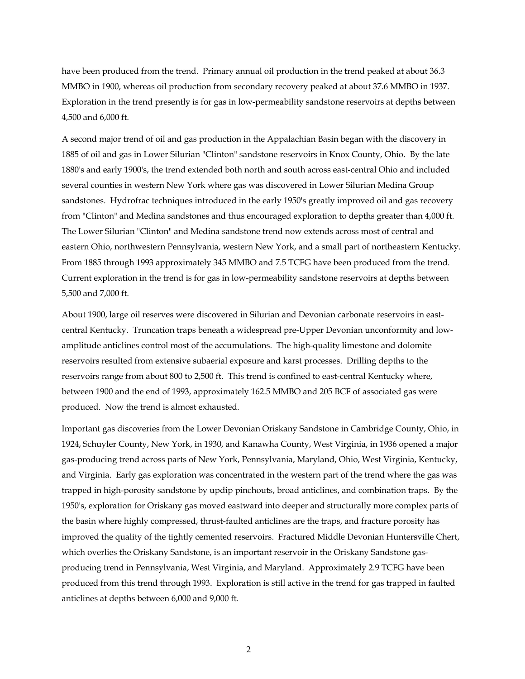have been produced from the trend. Primary annual oil production in the trend peaked at about 36.3 MMBO in 1900, whereas oil production from secondary recovery peaked at about 37.6 MMBO in 1937. Exploration in the trend presently is for gas in low-permeability sandstone reservoirs at depths between 4,500 and 6,000 ft.

A second major trend of oil and gas production in the Appalachian Basin began with the discovery in 1885 of oil and gas in Lower Silurian "Clinton" sandstone reservoirs in Knox County, Ohio. By the late 1880's and early 1900's, the trend extended both north and south across east-central Ohio and included several counties in western New York where gas was discovered in Lower Silurian Medina Group sandstones. Hydrofrac techniques introduced in the early 1950's greatly improved oil and gas recovery from "Clinton" and Medina sandstones and thus encouraged exploration to depths greater than 4,000 ft. The Lower Silurian "Clinton" and Medina sandstone trend now extends across most of central and eastern Ohio, northwestern Pennsylvania, western New York, and a small part of northeastern Kentucky. From 1885 through 1993 approximately 345 MMBO and 7.5 TCFG have been produced from the trend. Current exploration in the trend is for gas in low-permeability sandstone reservoirs at depths between 5,500 and 7,000 ft.

About 1900, large oil reserves were discovered in Silurian and Devonian carbonate reservoirs in eastcentral Kentucky. Truncation traps beneath a widespread pre-Upper Devonian unconformity and lowamplitude anticlines control most of the accumulations. The high-quality limestone and dolomite reservoirs resulted from extensive subaerial exposure and karst processes. Drilling depths to the reservoirs range from about 800 to 2,500 ft. This trend is confined to east-central Kentucky where, between 1900 and the end of 1993, approximately 162.5 MMBO and 205 BCF of associated gas were produced. Now the trend is almost exhausted.

Important gas discoveries from the Lower Devonian Oriskany Sandstone in Cambridge County, Ohio, in 1924, Schuyler County, New York, in 1930, and Kanawha County, West Virginia, in 1936 opened a major gas-producing trend across parts of New York, Pennsylvania, Maryland, Ohio, West Virginia, Kentucky, and Virginia. Early gas exploration was concentrated in the western part of the trend where the gas was trapped in high-porosity sandstone by updip pinchouts, broad anticlines, and combination traps. By the 1950's, exploration for Oriskany gas moved eastward into deeper and structurally more complex parts of the basin where highly compressed, thrust-faulted anticlines are the traps, and fracture porosity has improved the quality of the tightly cemented reservoirs. Fractured Middle Devonian Huntersville Chert, which overlies the Oriskany Sandstone, is an important reservoir in the Oriskany Sandstone gasproducing trend in Pennsylvania, West Virginia, and Maryland. Approximately 2.9 TCFG have been produced from this trend through 1993. Exploration is still active in the trend for gas trapped in faulted anticlines at depths between 6,000 and 9,000 ft.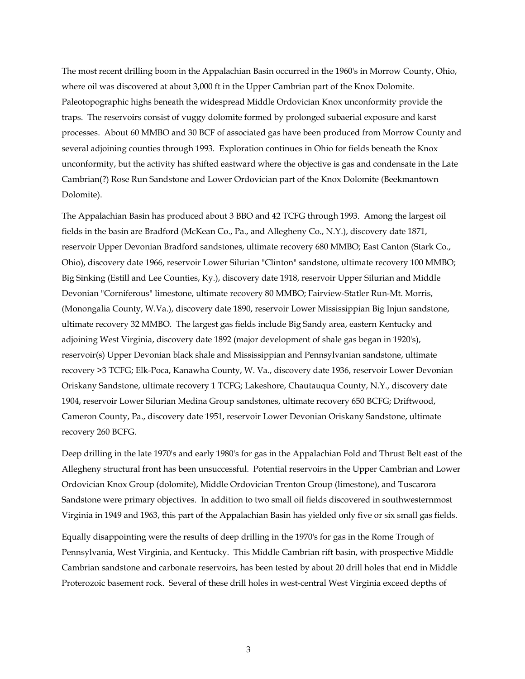The most recent drilling boom in the Appalachian Basin occurred in the 1960's in Morrow County, Ohio, where oil was discovered at about 3,000 ft in the Upper Cambrian part of the Knox Dolomite. Paleotopographic highs beneath the widespread Middle Ordovician Knox unconformity provide the traps. The reservoirs consist of vuggy dolomite formed by prolonged subaerial exposure and karst processes. About 60 MMBO and 30 BCF of associated gas have been produced from Morrow County and several adjoining counties through 1993. Exploration continues in Ohio for fields beneath the Knox unconformity, but the activity has shifted eastward where the objective is gas and condensate in the Late Cambrian(?) Rose Run Sandstone and Lower Ordovician part of the Knox Dolomite (Beekmantown Dolomite).

The Appalachian Basin has produced about 3 BBO and 42 TCFG through 1993. Among the largest oil fields in the basin are Bradford (McKean Co., Pa., and Allegheny Co., N.Y.), discovery date 1871, reservoir Upper Devonian Bradford sandstones, ultimate recovery 680 MMBO; East Canton (Stark Co., Ohio), discovery date 1966, reservoir Lower Silurian "Clinton" sandstone, ultimate recovery 100 MMBO; Big Sinking (Estill and Lee Counties, Ky.), discovery date 1918, reservoir Upper Silurian and Middle Devonian "Corniferous" limestone, ultimate recovery 80 MMBO; Fairview-Statler Run-Mt. Morris, (Monongalia County, W.Va.), discovery date 1890, reservoir Lower Mississippian Big Injun sandstone, ultimate recovery 32 MMBO. The largest gas fields include Big Sandy area, eastern Kentucky and adjoining West Virginia, discovery date 1892 (major development of shale gas began in 1920's), reservoir(s) Upper Devonian black shale and Mississippian and Pennsylvanian sandstone, ultimate recovery >3 TCFG; Elk-Poca, Kanawha County, W. Va., discovery date 1936, reservoir Lower Devonian Oriskany Sandstone, ultimate recovery 1 TCFG; Lakeshore, Chautauqua County, N.Y., discovery date 1904, reservoir Lower Silurian Medina Group sandstones, ultimate recovery 650 BCFG; Driftwood, Cameron County, Pa., discovery date 1951, reservoir Lower Devonian Oriskany Sandstone, ultimate recovery 260 BCFG.

Deep drilling in the late 1970's and early 1980's for gas in the Appalachian Fold and Thrust Belt east of the Allegheny structural front has been unsuccessful. Potential reservoirs in the Upper Cambrian and Lower Ordovician Knox Group (dolomite), Middle Ordovician Trenton Group (limestone), and Tuscarora Sandstone were primary objectives. In addition to two small oil fields discovered in southwesternmost Virginia in 1949 and 1963, this part of the Appalachian Basin has yielded only five or six small gas fields.

Equally disappointing were the results of deep drilling in the 1970's for gas in the Rome Trough of Pennsylvania, West Virginia, and Kentucky. This Middle Cambrian rift basin, with prospective Middle Cambrian sandstone and carbonate reservoirs, has been tested by about 20 drill holes that end in Middle Proterozoic basement rock. Several of these drill holes in west-central West Virginia exceed depths of

3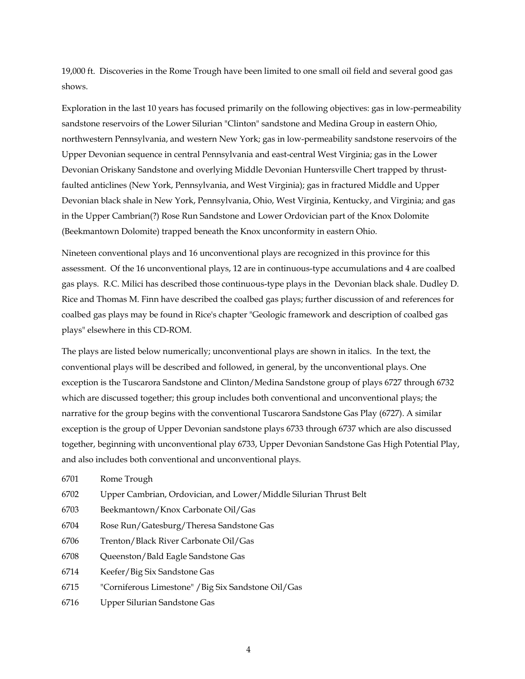19,000 ft. Discoveries in the Rome Trough have been limited to one small oil field and several good gas shows.

Exploration in the last 10 years has focused primarily on the following objectives: gas in low-permeability sandstone reservoirs of the Lower Silurian "Clinton" sandstone and Medina Group in eastern Ohio, northwestern Pennsylvania, and western New York; gas in low-permeability sandstone reservoirs of the Upper Devonian sequence in central Pennsylvania and east-central West Virginia; gas in the Lower Devonian Oriskany Sandstone and overlying Middle Devonian Huntersville Chert trapped by thrustfaulted anticlines (New York, Pennsylvania, and West Virginia); gas in fractured Middle and Upper Devonian black shale in New York, Pennsylvania, Ohio, West Virginia, Kentucky, and Virginia; and gas in the Upper Cambrian(?) Rose Run Sandstone and Lower Ordovician part of the Knox Dolomite (Beekmantown Dolomite) trapped beneath the Knox unconformity in eastern Ohio.

Nineteen conventional plays and 16 unconventional plays are recognized in this province for this assessment. Of the 16 unconventional plays, 12 are in continuous-type accumulations and 4 are coalbed gas plays. R.C. Milici has described those continuous-type plays in the Devonian black shale. Dudley D. Rice and Thomas M. Finn have described the coalbed gas plays; further discussion of and references for coalbed gas plays may be found in Rice's chapter "Geologic framework and description of coalbed gas plays" elsewhere in this CD-ROM.

The plays are listed below numerically; unconventional plays are shown in italics. In the text, the conventional plays will be described and followed, in general, by the unconventional plays. One exception is the Tuscarora Sandstone and Clinton/Medina Sandstone group of plays 6727 through 6732 which are discussed together; this group includes both conventional and unconventional plays; the narrative for the group begins with the conventional Tuscarora Sandstone Gas Play (6727). A similar exception is the group of Upper Devonian sandstone plays 6733 through 6737 which are also discussed together, beginning with unconventional play 6733, Upper Devonian Sandstone Gas High Potential Play, and also includes both conventional and unconventional plays.

- 6701 Rome Trough
- 6702 Upper Cambrian, Ordovician, and Lower/Middle Silurian Thrust Belt
- 6703 Beekmantown/Knox Carbonate Oil/Gas
- 6704 Rose Run/Gatesburg/Theresa Sandstone Gas
- 6706 Trenton/Black River Carbonate Oil/Gas
- 6708 Queenston/Bald Eagle Sandstone Gas
- 6714 Keefer/Big Six Sandstone Gas
- 6715 "Corniferous Limestone" /Big Six Sandstone Oil/Gas
- 6716 Upper Silurian Sandstone Gas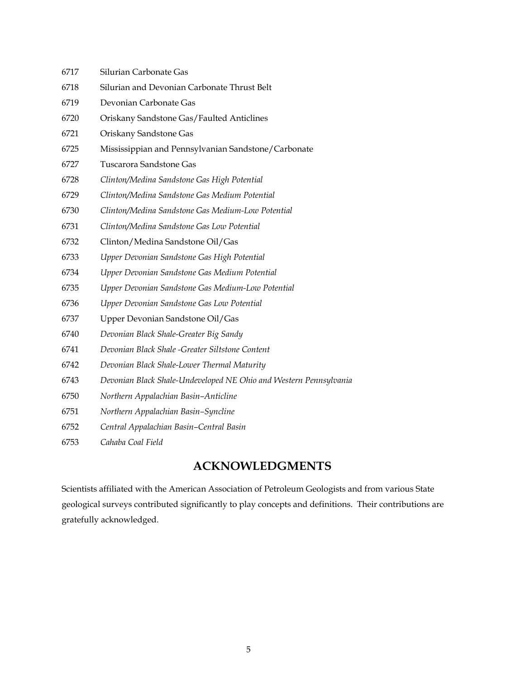| 6717 | Silurian Carbonate Gas                                            |
|------|-------------------------------------------------------------------|
| 6718 | Silurian and Devonian Carbonate Thrust Belt                       |
| 6719 | Devonian Carbonate Gas                                            |
| 6720 | Oriskany Sandstone Gas/Faulted Anticlines                         |
| 6721 | Oriskany Sandstone Gas                                            |
| 6725 | Mississippian and Pennsylvanian Sandstone/Carbonate               |
| 6727 | Tuscarora Sandstone Gas                                           |
| 6728 | Clinton/Medina Sandstone Gas High Potential                       |
| 6729 | Clinton/Medina Sandstone Gas Medium Potential                     |
| 6730 | Clinton/Medina Sandstone Gas Medium-Low Potential                 |
| 6731 | Clinton/Medina Sandstone Gas Low Potential                        |
| 6732 | Clinton/Medina Sandstone Oil/Gas                                  |
| 6733 | Upper Devonian Sandstone Gas High Potential                       |
| 6734 | Upper Devonian Sandstone Gas Medium Potential                     |
| 6735 | Upper Devonian Sandstone Gas Medium-Low Potential                 |
| 6736 | Upper Devonian Sandstone Gas Low Potential                        |
| 6737 | Upper Devonian Sandstone Oil/Gas                                  |
| 6740 | Devonian Black Shale-Greater Big Sandy                            |
| 6741 | Devonian Black Shale -Greater Siltstone Content                   |
| 6742 | Devonian Black Shale-Lower Thermal Maturity                       |
| 6743 | Devonian Black Shale-Undeveloped NE Ohio and Western Pennsylvania |
| 6750 | Northern Appalachian Basin-Anticline                              |
| 6751 | Northern Appalachian Basin-Syncline                               |
| 6752 | Central Appalachian Basin-Central Basin                           |
| 6753 | Cahaba Coal Field                                                 |
|      |                                                                   |

## **ACKNOWLEDGMENTS**

Scientists affiliated with the American Association of Petroleum Geologists and from various State geological surveys contributed significantly to play concepts and definitions. Their contributions are gratefully acknowledged.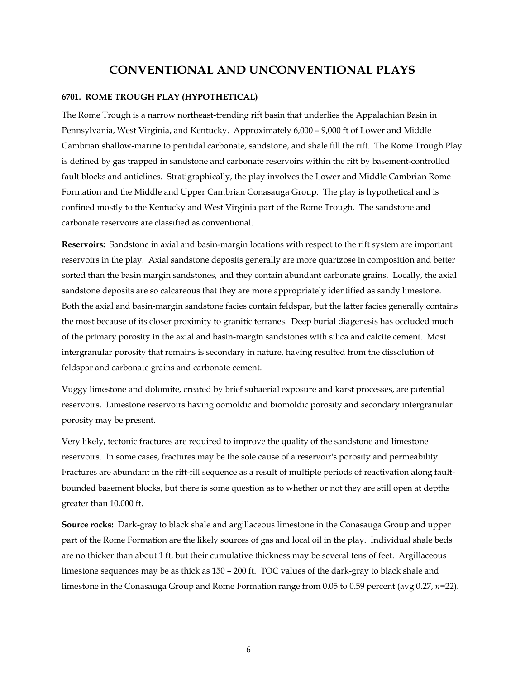## **CONVENTIONAL AND UNCONVENTIONAL PLAYS**

#### **6701. ROME TROUGH PLAY (HYPOTHETICAL)**

The Rome Trough is a narrow northeast-trending rift basin that underlies the Appalachian Basin in Pennsylvania, West Virginia, and Kentucky. Approximately 6,000 – 9,000 ft of Lower and Middle Cambrian shallow-marine to peritidal carbonate, sandstone, and shale fill the rift. The Rome Trough Play is defined by gas trapped in sandstone and carbonate reservoirs within the rift by basement-controlled fault blocks and anticlines. Stratigraphically, the play involves the Lower and Middle Cambrian Rome Formation and the Middle and Upper Cambrian Conasauga Group. The play is hypothetical and is confined mostly to the Kentucky and West Virginia part of the Rome Trough. The sandstone and carbonate reservoirs are classified as conventional.

**Reservoirs:** Sandstone in axial and basin-margin locations with respect to the rift system are important reservoirs in the play. Axial sandstone deposits generally are more quartzose in composition and better sorted than the basin margin sandstones, and they contain abundant carbonate grains. Locally, the axial sandstone deposits are so calcareous that they are more appropriately identified as sandy limestone. Both the axial and basin-margin sandstone facies contain feldspar, but the latter facies generally contains the most because of its closer proximity to granitic terranes. Deep burial diagenesis has occluded much of the primary porosity in the axial and basin-margin sandstones with silica and calcite cement. Most intergranular porosity that remains is secondary in nature, having resulted from the dissolution of feldspar and carbonate grains and carbonate cement.

Vuggy limestone and dolomite, created by brief subaerial exposure and karst processes, are potential reservoirs. Limestone reservoirs having oomoldic and biomoldic porosity and secondary intergranular porosity may be present.

Very likely, tectonic fractures are required to improve the quality of the sandstone and limestone reservoirs. In some cases, fractures may be the sole cause of a reservoir's porosity and permeability. Fractures are abundant in the rift-fill sequence as a result of multiple periods of reactivation along faultbounded basement blocks, but there is some question as to whether or not they are still open at depths greater than 10,000 ft.

**Source rocks:** Dark-gray to black shale and argillaceous limestone in the Conasauga Group and upper part of the Rome Formation are the likely sources of gas and local oil in the play. Individual shale beds are no thicker than about 1 ft, but their cumulative thickness may be several tens of feet. Argillaceous limestone sequences may be as thick as 150 – 200 ft. TOC values of the dark-gray to black shale and limestone in the Conasauga Group and Rome Formation range from 0.05 to 0.59 percent (avg 0.27, *n*=22).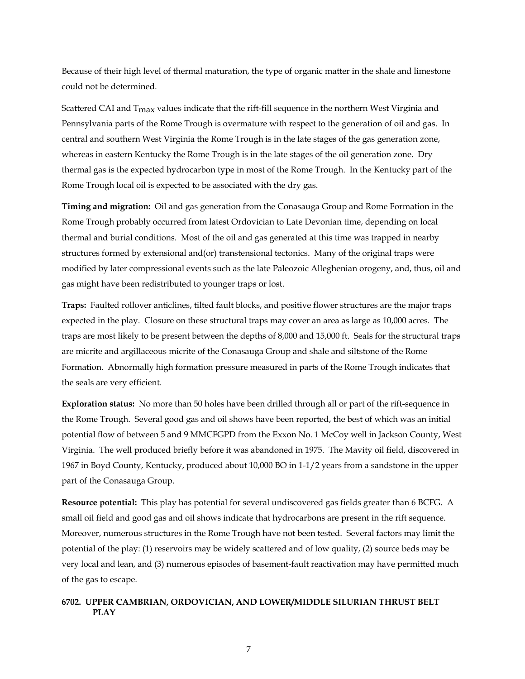Because of their high level of thermal maturation, the type of organic matter in the shale and limestone could not be determined.

Scattered CAI and  $T_{\text{max}}$  values indicate that the rift-fill sequence in the northern West Virginia and Pennsylvania parts of the Rome Trough is overmature with respect to the generation of oil and gas. In central and southern West Virginia the Rome Trough is in the late stages of the gas generation zone, whereas in eastern Kentucky the Rome Trough is in the late stages of the oil generation zone. Dry thermal gas is the expected hydrocarbon type in most of the Rome Trough. In the Kentucky part of the Rome Trough local oil is expected to be associated with the dry gas.

**Timing and migration:** Oil and gas generation from the Conasauga Group and Rome Formation in the Rome Trough probably occurred from latest Ordovician to Late Devonian time, depending on local thermal and burial conditions. Most of the oil and gas generated at this time was trapped in nearby structures formed by extensional and(or) transtensional tectonics. Many of the original traps were modified by later compressional events such as the late Paleozoic Alleghenian orogeny, and, thus, oil and gas might have been redistributed to younger traps or lost.

**Traps:** Faulted rollover anticlines, tilted fault blocks, and positive flower structures are the major traps expected in the play. Closure on these structural traps may cover an area as large as 10,000 acres. The traps are most likely to be present between the depths of 8,000 and 15,000 ft. Seals for the structural traps are micrite and argillaceous micrite of the Conasauga Group and shale and siltstone of the Rome Formation. Abnormally high formation pressure measured in parts of the Rome Trough indicates that the seals are very efficient.

**Exploration status:** No more than 50 holes have been drilled through all or part of the rift-sequence in the Rome Trough. Several good gas and oil shows have been reported, the best of which was an initial potential flow of between 5 and 9 MMCFGPD from the Exxon No. 1 McCoy well in Jackson County, West Virginia. The well produced briefly before it was abandoned in 1975. The Mavity oil field, discovered in 1967 in Boyd County, Kentucky, produced about 10,000 BO in 1-1/2 years from a sandstone in the upper part of the Conasauga Group.

**Resource potential:** This play has potential for several undiscovered gas fields greater than 6 BCFG. A small oil field and good gas and oil shows indicate that hydrocarbons are present in the rift sequence. Moreover, numerous structures in the Rome Trough have not been tested. Several factors may limit the potential of the play: (1) reservoirs may be widely scattered and of low quality, (2) source beds may be very local and lean, and (3) numerous episodes of basement-fault reactivation may have permitted much of the gas to escape.

#### **6702. UPPER CAMBRIAN, ORDOVICIAN, AND LOWER/MIDDLE SILURIAN THRUST BELT PLAY**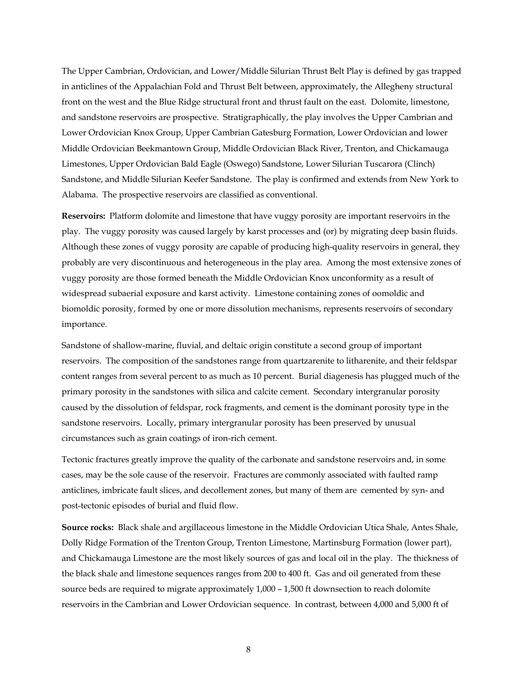The Upper Cambrian, Ordovician, and Lower/Middle Silurian Thrust Belt Play is defined by gas trapped in anticlines of the Appalachian Fold and Thrust Belt between, approximately, the Allegheny structural front on the west and the Blue Ridge structural front and thrust fault on the east. Dolomite, limestone, and sandstone reservoirs are prospective. Stratigraphically, the play involves the Upper Cambrian and Lower Ordovician Knox Group, Upper Cambrian Gatesburg Formation, Lower Ordovician and lower Middle Ordovician Beekmantown Group, Middle Ordovician Black River, Trenton, and Chickamauga Limestones, Upper Ordovician Bald Eagle (Oswego) Sandstone, Lower Silurian Tuscarora (Clinch) Sandstone, and Middle Silurian Keefer Sandstone. The play is confirmed and extends from New York to Alabama. The prospective reservoirs are classified as conventional.

**Reservoirs:** Platform dolomite and limestone that have vuggy porosity are important reservoirs in the play. The vuggy porosity was caused largely by karst processes and (or) by migrating deep basin fluids. Although these zones of vuggy porosity are capable of producing high-quality reservoirs in general, they probably are very discontinuous and heterogeneous in the play area. Among the most extensive zones of vuggy porosity are those formed beneath the Middle Ordovician Knox unconformity as a result of widespread subaerial exposure and karst activity. Limestone containing zones of oomoldic and biomoldic porosity, formed by one or more dissolution mechanisms, represents reservoirs of secondary importance.

Sandstone of shallow-marine, fluvial, and deltaic origin constitute a second group of important reservoirs. The composition of the sandstones range from quartzarenite to litharenite, and their feldspar content ranges from several percent to as much as 10 percent. Burial diagenesis has plugged much of the primary porosity in the sandstones with silica and calcite cement. Secondary intergranular porosity caused by the dissolution of feldspar, rock fragments, and cement is the dominant porosity type in the sandstone reservoirs. Locally, primary intergranular porosity has been preserved by unusual circumstances such as grain coatings of iron-rich cement.

Tectonic fractures greatly improve the quality of the carbonate and sandstone reservoirs and, in some cases, may be the sole cause of the reservoir. Fractures are commonly associated with faulted ramp anticlines, imbricate fault slices, and decollement zones, but many of them are cemented by syn- and post-tectonic episodes of burial and fluid flow.

**Source rocks:** Black shale and argillaceous limestone in the Middle Ordovician Utica Shale, Antes Shale, Dolly Ridge Formation of the Trenton Group, Trenton Limestone, Martinsburg Formation (lower part), and Chickamauga Limestone are the most likely sources of gas and local oil in the play. The thickness of the black shale and limestone sequences ranges from 200 to 400 ft. Gas and oil generated from these source beds are required to migrate approximately 1,000 – 1,500 ft downsection to reach dolomite reservoirs in the Cambrian and Lower Ordovician sequence. In contrast, between 4,000 and 5,000 ft of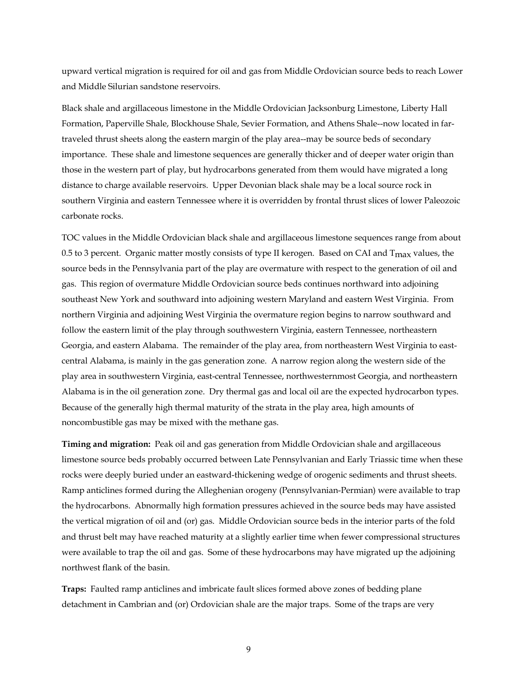upward vertical migration is required for oil and gas from Middle Ordovician source beds to reach Lower and Middle Silurian sandstone reservoirs.

Black shale and argillaceous limestone in the Middle Ordovician Jacksonburg Limestone, Liberty Hall Formation, Paperville Shale, Blockhouse Shale, Sevier Formation, and Athens Shale--now located in fartraveled thrust sheets along the eastern margin of the play area--may be source beds of secondary importance. These shale and limestone sequences are generally thicker and of deeper water origin than those in the western part of play, but hydrocarbons generated from them would have migrated a long distance to charge available reservoirs. Upper Devonian black shale may be a local source rock in southern Virginia and eastern Tennessee where it is overridden by frontal thrust slices of lower Paleozoic carbonate rocks.

TOC values in the Middle Ordovician black shale and argillaceous limestone sequences range from about 0.5 to 3 percent. Organic matter mostly consists of type II kerogen. Based on CAI and  $T_{\text{max}}$  values, the source beds in the Pennsylvania part of the play are overmature with respect to the generation of oil and gas. This region of overmature Middle Ordovician source beds continues northward into adjoining southeast New York and southward into adjoining western Maryland and eastern West Virginia. From northern Virginia and adjoining West Virginia the overmature region begins to narrow southward and follow the eastern limit of the play through southwestern Virginia, eastern Tennessee, northeastern Georgia, and eastern Alabama. The remainder of the play area, from northeastern West Virginia to eastcentral Alabama, is mainly in the gas generation zone. A narrow region along the western side of the play area in southwestern Virginia, east-central Tennessee, northwesternmost Georgia, and northeastern Alabama is in the oil generation zone. Dry thermal gas and local oil are the expected hydrocarbon types. Because of the generally high thermal maturity of the strata in the play area, high amounts of noncombustible gas may be mixed with the methane gas.

**Timing and migration:** Peak oil and gas generation from Middle Ordovician shale and argillaceous limestone source beds probably occurred between Late Pennsylvanian and Early Triassic time when these rocks were deeply buried under an eastward-thickening wedge of orogenic sediments and thrust sheets. Ramp anticlines formed during the Alleghenian orogeny (Pennsylvanian-Permian) were available to trap the hydrocarbons. Abnormally high formation pressures achieved in the source beds may have assisted the vertical migration of oil and (or) gas. Middle Ordovician source beds in the interior parts of the fold and thrust belt may have reached maturity at a slightly earlier time when fewer compressional structures were available to trap the oil and gas. Some of these hydrocarbons may have migrated up the adjoining northwest flank of the basin.

**Traps:** Faulted ramp anticlines and imbricate fault slices formed above zones of bedding plane detachment in Cambrian and (or) Ordovician shale are the major traps. Some of the traps are very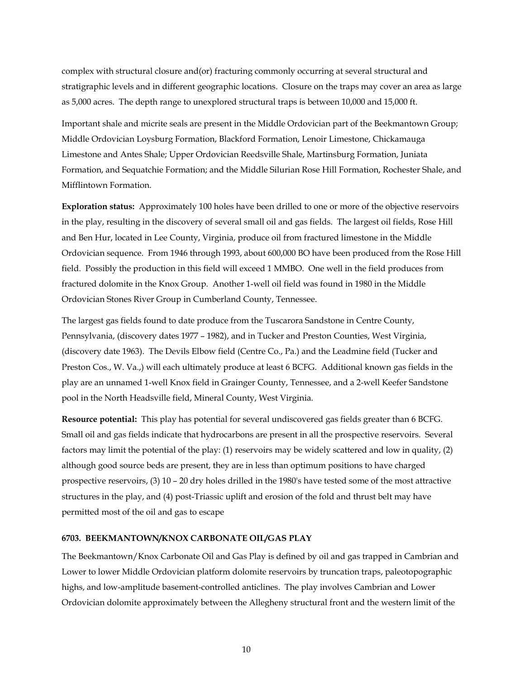complex with structural closure and(or) fracturing commonly occurring at several structural and stratigraphic levels and in different geographic locations. Closure on the traps may cover an area as large as 5,000 acres. The depth range to unexplored structural traps is between 10,000 and 15,000 ft.

Important shale and micrite seals are present in the Middle Ordovician part of the Beekmantown Group; Middle Ordovician Loysburg Formation, Blackford Formation, Lenoir Limestone, Chickamauga Limestone and Antes Shale; Upper Ordovician Reedsville Shale, Martinsburg Formation, Juniata Formation, and Sequatchie Formation; and the Middle Silurian Rose Hill Formation, Rochester Shale, and Mifflintown Formation.

**Exploration status:** Approximately 100 holes have been drilled to one or more of the objective reservoirs in the play, resulting in the discovery of several small oil and gas fields. The largest oil fields, Rose Hill and Ben Hur, located in Lee County, Virginia, produce oil from fractured limestone in the Middle Ordovician sequence. From 1946 through 1993, about 600,000 BO have been produced from the Rose Hill field. Possibly the production in this field will exceed 1 MMBO. One well in the field produces from fractured dolomite in the Knox Group. Another 1-well oil field was found in 1980 in the Middle Ordovician Stones River Group in Cumberland County, Tennessee.

The largest gas fields found to date produce from the Tuscarora Sandstone in Centre County, Pennsylvania, (discovery dates 1977 – 1982), and in Tucker and Preston Counties, West Virginia, (discovery date 1963). The Devils Elbow field (Centre Co., Pa.) and the Leadmine field (Tucker and Preston Cos., W. Va.,) will each ultimately produce at least 6 BCFG. Additional known gas fields in the play are an unnamed 1-well Knox field in Grainger County, Tennessee, and a 2-well Keefer Sandstone pool in the North Headsville field, Mineral County, West Virginia.

**Resource potential:** This play has potential for several undiscovered gas fields greater than 6 BCFG. Small oil and gas fields indicate that hydrocarbons are present in all the prospective reservoirs. Several factors may limit the potential of the play: (1) reservoirs may be widely scattered and low in quality, (2) although good source beds are present, they are in less than optimum positions to have charged prospective reservoirs, (3) 10 – 20 dry holes drilled in the 1980's have tested some of the most attractive structures in the play, and (4) post-Triassic uplift and erosion of the fold and thrust belt may have permitted most of the oil and gas to escape

#### **6703. BEEKMANTOWN/KNOX CARBONATE OIL/GAS PLAY**

The Beekmantown/Knox Carbonate Oil and Gas Play is defined by oil and gas trapped in Cambrian and Lower to lower Middle Ordovician platform dolomite reservoirs by truncation traps, paleotopographic highs, and low-amplitude basement-controlled anticlines. The play involves Cambrian and Lower Ordovician dolomite approximately between the Allegheny structural front and the western limit of the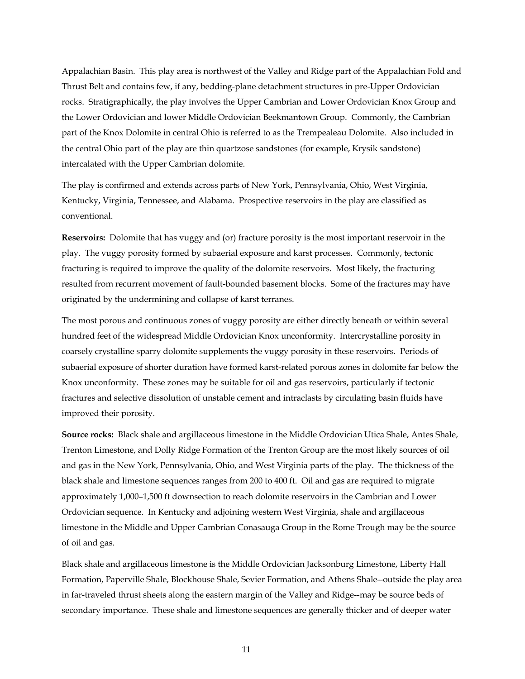Appalachian Basin. This play area is northwest of the Valley and Ridge part of the Appalachian Fold and Thrust Belt and contains few, if any, bedding-plane detachment structures in pre-Upper Ordovician rocks. Stratigraphically, the play involves the Upper Cambrian and Lower Ordovician Knox Group and the Lower Ordovician and lower Middle Ordovician Beekmantown Group. Commonly, the Cambrian part of the Knox Dolomite in central Ohio is referred to as the Trempealeau Dolomite. Also included in the central Ohio part of the play are thin quartzose sandstones (for example, Krysik sandstone) intercalated with the Upper Cambrian dolomite.

The play is confirmed and extends across parts of New York, Pennsylvania, Ohio, West Virginia, Kentucky, Virginia, Tennessee, and Alabama. Prospective reservoirs in the play are classified as conventional.

**Reservoirs:** Dolomite that has vuggy and (or) fracture porosity is the most important reservoir in the play. The vuggy porosity formed by subaerial exposure and karst processes. Commonly, tectonic fracturing is required to improve the quality of the dolomite reservoirs. Most likely, the fracturing resulted from recurrent movement of fault-bounded basement blocks. Some of the fractures may have originated by the undermining and collapse of karst terranes.

The most porous and continuous zones of vuggy porosity are either directly beneath or within several hundred feet of the widespread Middle Ordovician Knox unconformity. Intercrystalline porosity in coarsely crystalline sparry dolomite supplements the vuggy porosity in these reservoirs. Periods of subaerial exposure of shorter duration have formed karst-related porous zones in dolomite far below the Knox unconformity. These zones may be suitable for oil and gas reservoirs, particularly if tectonic fractures and selective dissolution of unstable cement and intraclasts by circulating basin fluids have improved their porosity.

**Source rocks:** Black shale and argillaceous limestone in the Middle Ordovician Utica Shale, Antes Shale, Trenton Limestone, and Dolly Ridge Formation of the Trenton Group are the most likely sources of oil and gas in the New York, Pennsylvania, Ohio, and West Virginia parts of the play. The thickness of the black shale and limestone sequences ranges from 200 to 400 ft. Oil and gas are required to migrate approximately 1,000–1,500 ft downsection to reach dolomite reservoirs in the Cambrian and Lower Ordovician sequence. In Kentucky and adjoining western West Virginia, shale and argillaceous limestone in the Middle and Upper Cambrian Conasauga Group in the Rome Trough may be the source of oil and gas.

Black shale and argillaceous limestone is the Middle Ordovician Jacksonburg Limestone, Liberty Hall Formation, Paperville Shale, Blockhouse Shale, Sevier Formation, and Athens Shale--outside the play area in far-traveled thrust sheets along the eastern margin of the Valley and Ridge--may be source beds of secondary importance. These shale and limestone sequences are generally thicker and of deeper water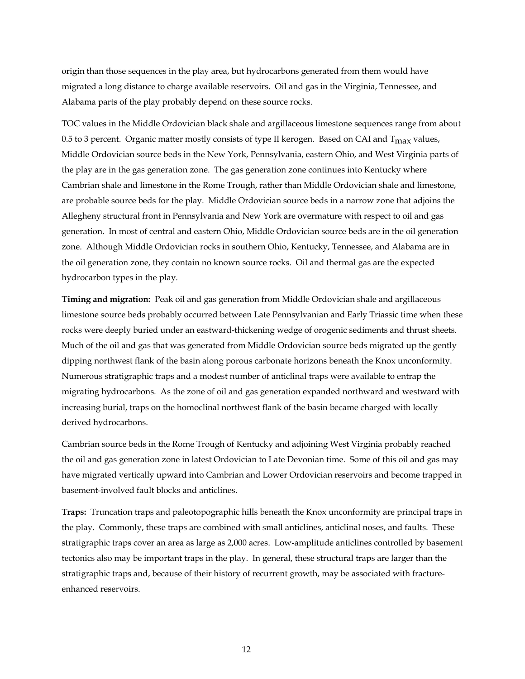origin than those sequences in the play area, but hydrocarbons generated from them would have migrated a long distance to charge available reservoirs. Oil and gas in the Virginia, Tennessee, and Alabama parts of the play probably depend on these source rocks.

TOC values in the Middle Ordovician black shale and argillaceous limestone sequences range from about 0.5 to 3 percent. Organic matter mostly consists of type II kerogen. Based on CAI and  $T_{\text{max}}$  values, Middle Ordovician source beds in the New York, Pennsylvania, eastern Ohio, and West Virginia parts of the play are in the gas generation zone. The gas generation zone continues into Kentucky where Cambrian shale and limestone in the Rome Trough, rather than Middle Ordovician shale and limestone, are probable source beds for the play. Middle Ordovician source beds in a narrow zone that adjoins the Allegheny structural front in Pennsylvania and New York are overmature with respect to oil and gas generation. In most of central and eastern Ohio, Middle Ordovician source beds are in the oil generation zone. Although Middle Ordovician rocks in southern Ohio, Kentucky, Tennessee, and Alabama are in the oil generation zone, they contain no known source rocks. Oil and thermal gas are the expected hydrocarbon types in the play.

**Timing and migration:** Peak oil and gas generation from Middle Ordovician shale and argillaceous limestone source beds probably occurred between Late Pennsylvanian and Early Triassic time when these rocks were deeply buried under an eastward-thickening wedge of orogenic sediments and thrust sheets. Much of the oil and gas that was generated from Middle Ordovician source beds migrated up the gently dipping northwest flank of the basin along porous carbonate horizons beneath the Knox unconformity. Numerous stratigraphic traps and a modest number of anticlinal traps were available to entrap the migrating hydrocarbons. As the zone of oil and gas generation expanded northward and westward with increasing burial, traps on the homoclinal northwest flank of the basin became charged with locally derived hydrocarbons.

Cambrian source beds in the Rome Trough of Kentucky and adjoining West Virginia probably reached the oil and gas generation zone in latest Ordovician to Late Devonian time. Some of this oil and gas may have migrated vertically upward into Cambrian and Lower Ordovician reservoirs and become trapped in basement-involved fault blocks and anticlines.

**Traps:** Truncation traps and paleotopographic hills beneath the Knox unconformity are principal traps in the play. Commonly, these traps are combined with small anticlines, anticlinal noses, and faults. These stratigraphic traps cover an area as large as 2,000 acres. Low-amplitude anticlines controlled by basement tectonics also may be important traps in the play. In general, these structural traps are larger than the stratigraphic traps and, because of their history of recurrent growth, may be associated with fractureenhanced reservoirs.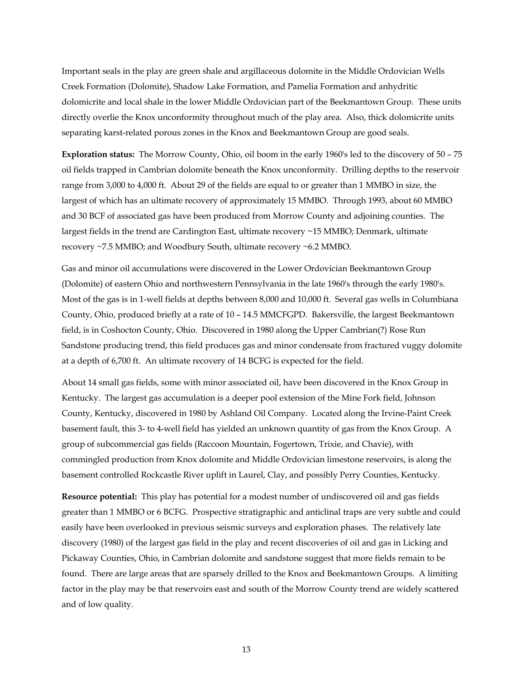Important seals in the play are green shale and argillaceous dolomite in the Middle Ordovician Wells Creek Formation (Dolomite), Shadow Lake Formation, and Pamelia Formation and anhydritic dolomicrite and local shale in the lower Middle Ordovician part of the Beekmantown Group. These units directly overlie the Knox unconformity throughout much of the play area. Also, thick dolomicrite units separating karst-related porous zones in the Knox and Beekmantown Group are good seals.

**Exploration status:** The Morrow County, Ohio, oil boom in the early 1960's led to the discovery of 50 – 75 oil fields trapped in Cambrian dolomite beneath the Knox unconformity. Drilling depths to the reservoir range from 3,000 to 4,000 ft. About 29 of the fields are equal to or greater than 1 MMBO in size, the largest of which has an ultimate recovery of approximately 15 MMBO. Through 1993, about 60 MMBO and 30 BCF of associated gas have been produced from Morrow County and adjoining counties. The largest fields in the trend are Cardington East, ultimate recovery ~15 MMBO; Denmark, ultimate recovery ~7.5 MMBO; and Woodbury South, ultimate recovery ~6.2 MMBO.

Gas and minor oil accumulations were discovered in the Lower Ordovician Beekmantown Group (Dolomite) of eastern Ohio and northwestern Pennsylvania in the late 1960's through the early 1980's. Most of the gas is in 1-well fields at depths between 8,000 and 10,000 ft. Several gas wells in Columbiana County, Ohio, produced briefly at a rate of 10 – 14.5 MMCFGPD. Bakersville, the largest Beekmantown field, is in Coshocton County, Ohio. Discovered in 1980 along the Upper Cambrian(?) Rose Run Sandstone producing trend, this field produces gas and minor condensate from fractured vuggy dolomite at a depth of 6,700 ft. An ultimate recovery of 14 BCFG is expected for the field.

About 14 small gas fields, some with minor associated oil, have been discovered in the Knox Group in Kentucky. The largest gas accumulation is a deeper pool extension of the Mine Fork field, Johnson County, Kentucky, discovered in 1980 by Ashland Oil Company. Located along the Irvine-Paint Creek basement fault, this 3- to 4-well field has yielded an unknown quantity of gas from the Knox Group. A group of subcommercial gas fields (Raccoon Mountain, Fogertown, Trixie, and Chavie), with commingled production from Knox dolomite and Middle Ordovician limestone reservoirs, is along the basement controlled Rockcastle River uplift in Laurel, Clay, and possibly Perry Counties, Kentucky.

**Resource potential:** This play has potential for a modest number of undiscovered oil and gas fields greater than 1 MMBO or 6 BCFG. Prospective stratigraphic and anticlinal traps are very subtle and could easily have been overlooked in previous seismic surveys and exploration phases. The relatively late discovery (1980) of the largest gas field in the play and recent discoveries of oil and gas in Licking and Pickaway Counties, Ohio, in Cambrian dolomite and sandstone suggest that more fields remain to be found. There are large areas that are sparsely drilled to the Knox and Beekmantown Groups. A limiting factor in the play may be that reservoirs east and south of the Morrow County trend are widely scattered and of low quality.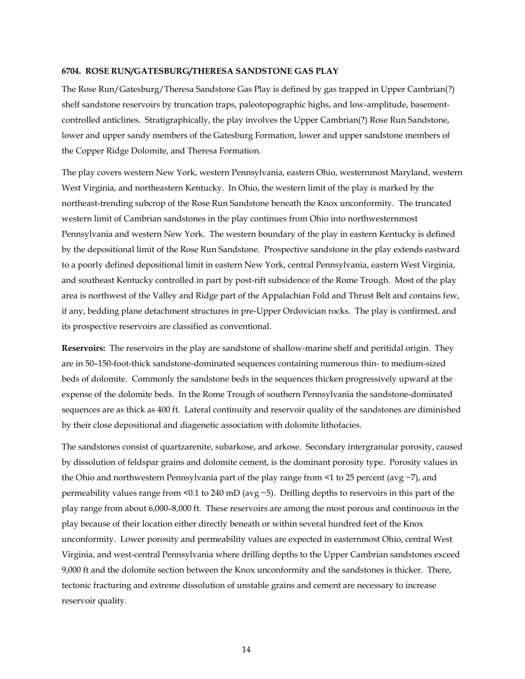#### **6704. ROSE RUN/GATESBURG/THERESA SANDSTONE GAS PLAY**

The Rose Run/Gatesburg/Theresa Sandstone Gas Play is defined by gas trapped in Upper Cambrian(?) shelf sandstone reservoirs by truncation traps, paleotopographic highs, and low-amplitude, basementcontrolled anticlines. Stratigraphically, the play involves the Upper Cambrian(?) Rose Run Sandstone, lower and upper sandy members of the Gatesburg Formation, lower and upper sandstone members of the Copper Ridge Dolomite, and Theresa Formation.

The play covers western New York, western Pennsylvania, eastern Ohio, westernmost Maryland, western West Virginia, and northeastern Kentucky. In Ohio, the western limit of the play is marked by the northeast-trending subcrop of the Rose Run Sandstone beneath the Knox unconformity. The truncated western limit of Cambrian sandstones in the play continues from Ohio into northwesternmost Pennsylvania and western New York. The western boundary of the play in eastern Kentucky is defined by the depositional limit of the Rose Run Sandstone. Prospective sandstone in the play extends eastward to a poorly defined depositional limit in eastern New York, central Pennsylvania, eastern West Virginia, and southeast Kentucky controlled in part by post-rift subsidence of the Rome Trough. Most of the play area is northwest of the Valley and Ridge part of the Appalachian Fold and Thrust Belt and contains few, if any, bedding plane detachment structures in pre-Upper Ordovician rocks. The play is confirmed, and its prospective reservoirs are classified as conventional.

**Reservoirs:** The reservoirs in the play are sandstone of shallow-marine shelf and peritidal origin. They are in 50–150-foot-thick sandstone-dominated sequences containing numerous thin- to medium-sized beds of dolomite. Commonly the sandstone beds in the sequences thicken progressively upward at the expense of the dolomite beds. In the Rome Trough of southern Pennsylvania the sandstone-dominated sequences are as thick as 400 ft. Lateral continuity and reservoir quality of the sandstones are diminished by their close depositional and diagenetic association with dolomite lithofacies.

The sandstones consist of quartzarenite, subarkose, and arkose. Secondary intergranular porosity, caused by dissolution of feldspar grains and dolomite cement, is the dominant porosity type. Porosity values in the Ohio and northwestern Pennsylvania part of the play range from  $\leq 1$  to 25 percent (avg  $\sim$  7), and permeability values range from  $\leq 0.1$  to 240 mD (avg  $\sim$  5). Drilling depths to reservoirs in this part of the play range from about 6,000–8,000 ft. These reservoirs are among the most porous and continuous in the play because of their location either directly beneath or within several hundred feet of the Knox unconformity. Lower porosity and permeability values are expected in easternmost Ohio, central West Virginia, and west-central Pennsylvania where drilling depths to the Upper Cambrian sandstones exceed 9,000 ft and the dolomite section between the Knox unconformity and the sandstones is thicker. There, tectonic fracturing and extreme dissolution of unstable grains and cement are necessary to increase reservoir quality.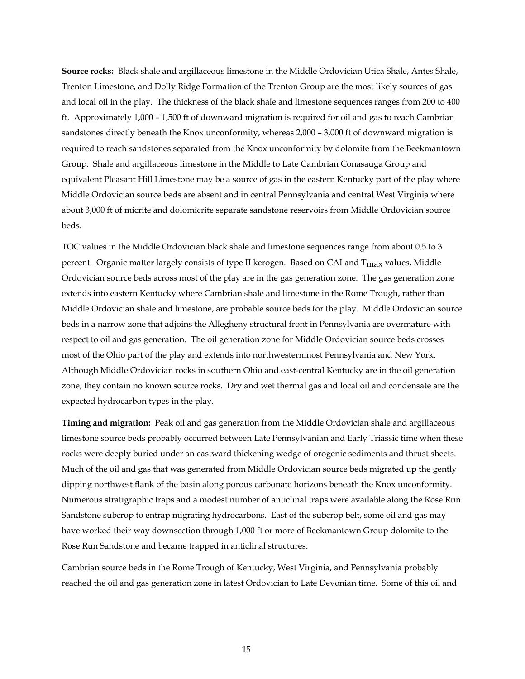**Source rocks:** Black shale and argillaceous limestone in the Middle Ordovician Utica Shale, Antes Shale, Trenton Limestone, and Dolly Ridge Formation of the Trenton Group are the most likely sources of gas and local oil in the play. The thickness of the black shale and limestone sequences ranges from 200 to 400 ft. Approximately 1,000 – 1,500 ft of downward migration is required for oil and gas to reach Cambrian sandstones directly beneath the Knox unconformity, whereas  $2,000 - 3,000$  ft of downward migration is required to reach sandstones separated from the Knox unconformity by dolomite from the Beekmantown Group. Shale and argillaceous limestone in the Middle to Late Cambrian Conasauga Group and equivalent Pleasant Hill Limestone may be a source of gas in the eastern Kentucky part of the play where Middle Ordovician source beds are absent and in central Pennsylvania and central West Virginia where about 3,000 ft of micrite and dolomicrite separate sandstone reservoirs from Middle Ordovician source beds.

TOC values in the Middle Ordovician black shale and limestone sequences range from about 0.5 to 3 percent. Organic matter largely consists of type II kerogen. Based on CAI and  $T_{\text{max}}$  values, Middle Ordovician source beds across most of the play are in the gas generation zone. The gas generation zone extends into eastern Kentucky where Cambrian shale and limestone in the Rome Trough, rather than Middle Ordovician shale and limestone, are probable source beds for the play. Middle Ordovician source beds in a narrow zone that adjoins the Allegheny structural front in Pennsylvania are overmature with respect to oil and gas generation. The oil generation zone for Middle Ordovician source beds crosses most of the Ohio part of the play and extends into northwesternmost Pennsylvania and New York. Although Middle Ordovician rocks in southern Ohio and east-central Kentucky are in the oil generation zone, they contain no known source rocks. Dry and wet thermal gas and local oil and condensate are the expected hydrocarbon types in the play.

**Timing and migration:** Peak oil and gas generation from the Middle Ordovician shale and argillaceous limestone source beds probably occurred between Late Pennsylvanian and Early Triassic time when these rocks were deeply buried under an eastward thickening wedge of orogenic sediments and thrust sheets. Much of the oil and gas that was generated from Middle Ordovician source beds migrated up the gently dipping northwest flank of the basin along porous carbonate horizons beneath the Knox unconformity. Numerous stratigraphic traps and a modest number of anticlinal traps were available along the Rose Run Sandstone subcrop to entrap migrating hydrocarbons. East of the subcrop belt, some oil and gas may have worked their way downsection through 1,000 ft or more of Beekmantown Group dolomite to the Rose Run Sandstone and became trapped in anticlinal structures.

Cambrian source beds in the Rome Trough of Kentucky, West Virginia, and Pennsylvania probably reached the oil and gas generation zone in latest Ordovician to Late Devonian time. Some of this oil and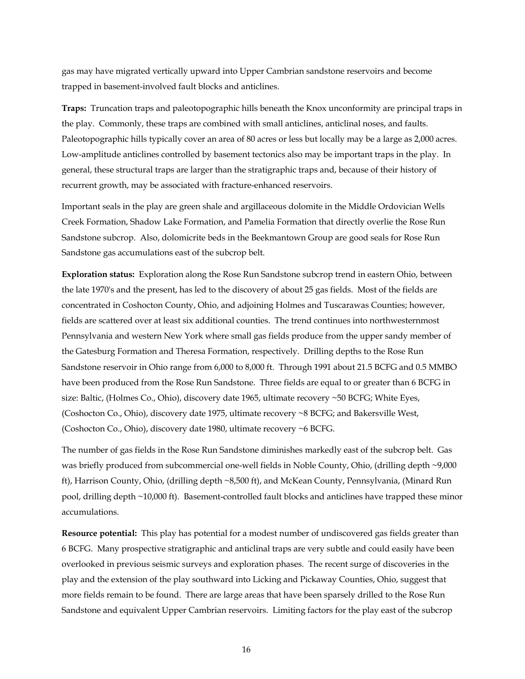gas may have migrated vertically upward into Upper Cambrian sandstone reservoirs and become trapped in basement-involved fault blocks and anticlines.

**Traps:** Truncation traps and paleotopographic hills beneath the Knox unconformity are principal traps in the play. Commonly, these traps are combined with small anticlines, anticlinal noses, and faults. Paleotopographic hills typically cover an area of 80 acres or less but locally may be a large as 2,000 acres. Low-amplitude anticlines controlled by basement tectonics also may be important traps in the play. In general, these structural traps are larger than the stratigraphic traps and, because of their history of recurrent growth, may be associated with fracture-enhanced reservoirs.

Important seals in the play are green shale and argillaceous dolomite in the Middle Ordovician Wells Creek Formation, Shadow Lake Formation, and Pamelia Formation that directly overlie the Rose Run Sandstone subcrop. Also, dolomicrite beds in the Beekmantown Group are good seals for Rose Run Sandstone gas accumulations east of the subcrop belt.

**Exploration status:** Exploration along the Rose Run Sandstone subcrop trend in eastern Ohio, between the late 1970's and the present, has led to the discovery of about 25 gas fields. Most of the fields are concentrated in Coshocton County, Ohio, and adjoining Holmes and Tuscarawas Counties; however, fields are scattered over at least six additional counties. The trend continues into northwesternmost Pennsylvania and western New York where small gas fields produce from the upper sandy member of the Gatesburg Formation and Theresa Formation, respectively. Drilling depths to the Rose Run Sandstone reservoir in Ohio range from 6,000 to 8,000 ft. Through 1991 about 21.5 BCFG and 0.5 MMBO have been produced from the Rose Run Sandstone. Three fields are equal to or greater than 6 BCFG in size: Baltic, (Holmes Co., Ohio), discovery date 1965, ultimate recovery ~50 BCFG; White Eyes, (Coshocton Co., Ohio), discovery date 1975, ultimate recovery ~8 BCFG; and Bakersville West, (Coshocton Co., Ohio), discovery date 1980, ultimate recovery ~6 BCFG.

The number of gas fields in the Rose Run Sandstone diminishes markedly east of the subcrop belt. Gas was briefly produced from subcommercial one-well fields in Noble County, Ohio, (drilling depth ~9,000 ft), Harrison County, Ohio, (drilling depth ~8,500 ft), and McKean County, Pennsylvania, (Minard Run pool, drilling depth ~10,000 ft). Basement-controlled fault blocks and anticlines have trapped these minor accumulations.

**Resource potential:** This play has potential for a modest number of undiscovered gas fields greater than 6 BCFG. Many prospective stratigraphic and anticlinal traps are very subtle and could easily have been overlooked in previous seismic surveys and exploration phases. The recent surge of discoveries in the play and the extension of the play southward into Licking and Pickaway Counties, Ohio, suggest that more fields remain to be found. There are large areas that have been sparsely drilled to the Rose Run Sandstone and equivalent Upper Cambrian reservoirs. Limiting factors for the play east of the subcrop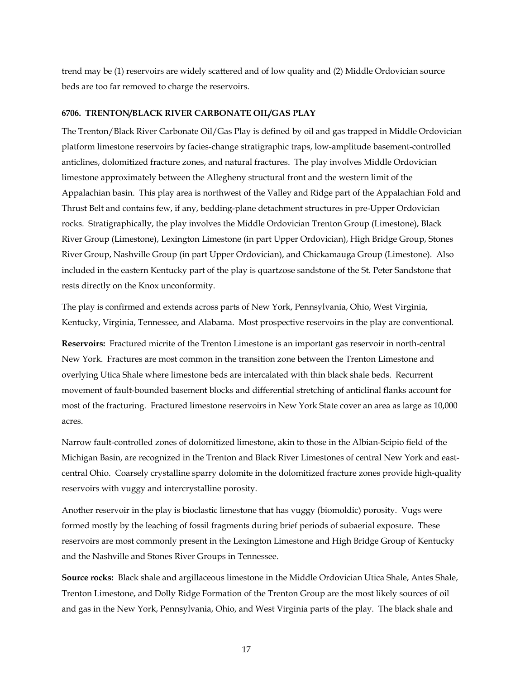trend may be (1) reservoirs are widely scattered and of low quality and (2) Middle Ordovician source beds are too far removed to charge the reservoirs.

#### **6706. TRENTON/BLACK RIVER CARBONATE OIL/GAS PLAY**

The Trenton/Black River Carbonate Oil/Gas Play is defined by oil and gas trapped in Middle Ordovician platform limestone reservoirs by facies-change stratigraphic traps, low-amplitude basement-controlled anticlines, dolomitized fracture zones, and natural fractures. The play involves Middle Ordovician limestone approximately between the Allegheny structural front and the western limit of the Appalachian basin. This play area is northwest of the Valley and Ridge part of the Appalachian Fold and Thrust Belt and contains few, if any, bedding-plane detachment structures in pre-Upper Ordovician rocks. Stratigraphically, the play involves the Middle Ordovician Trenton Group (Limestone), Black River Group (Limestone), Lexington Limestone (in part Upper Ordovician), High Bridge Group, Stones River Group, Nashville Group (in part Upper Ordovician), and Chickamauga Group (Limestone). Also included in the eastern Kentucky part of the play is quartzose sandstone of the St. Peter Sandstone that rests directly on the Knox unconformity.

The play is confirmed and extends across parts of New York, Pennsylvania, Ohio, West Virginia, Kentucky, Virginia, Tennessee, and Alabama. Most prospective reservoirs in the play are conventional.

**Reservoirs:** Fractured micrite of the Trenton Limestone is an important gas reservoir in north-central New York. Fractures are most common in the transition zone between the Trenton Limestone and overlying Utica Shale where limestone beds are intercalated with thin black shale beds. Recurrent movement of fault-bounded basement blocks and differential stretching of anticlinal flanks account for most of the fracturing. Fractured limestone reservoirs in New York State cover an area as large as 10,000 acres.

Narrow fault-controlled zones of dolomitized limestone, akin to those in the Albian-Scipio field of the Michigan Basin, are recognized in the Trenton and Black River Limestones of central New York and eastcentral Ohio. Coarsely crystalline sparry dolomite in the dolomitized fracture zones provide high-quality reservoirs with vuggy and intercrystalline porosity.

Another reservoir in the play is bioclastic limestone that has vuggy (biomoldic) porosity. Vugs were formed mostly by the leaching of fossil fragments during brief periods of subaerial exposure. These reservoirs are most commonly present in the Lexington Limestone and High Bridge Group of Kentucky and the Nashville and Stones River Groups in Tennessee.

**Source rocks:** Black shale and argillaceous limestone in the Middle Ordovician Utica Shale, Antes Shale, Trenton Limestone, and Dolly Ridge Formation of the Trenton Group are the most likely sources of oil and gas in the New York, Pennsylvania, Ohio, and West Virginia parts of the play. The black shale and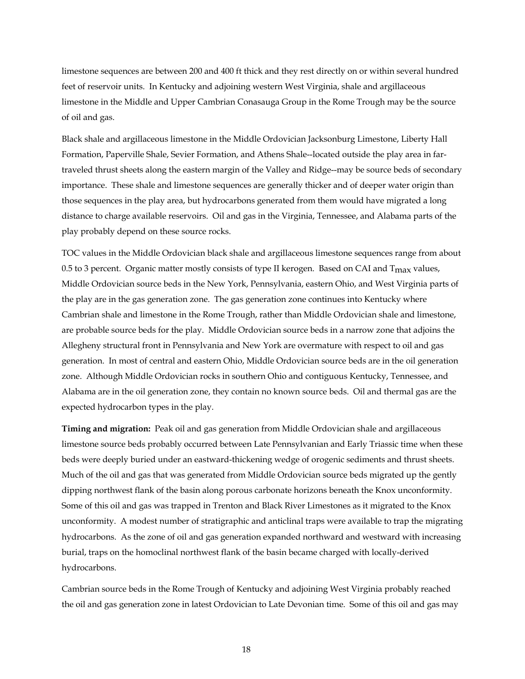limestone sequences are between 200 and 400 ft thick and they rest directly on or within several hundred feet of reservoir units. In Kentucky and adjoining western West Virginia, shale and argillaceous limestone in the Middle and Upper Cambrian Conasauga Group in the Rome Trough may be the source of oil and gas.

Black shale and argillaceous limestone in the Middle Ordovician Jacksonburg Limestone, Liberty Hall Formation, Paperville Shale, Sevier Formation, and Athens Shale--located outside the play area in fartraveled thrust sheets along the eastern margin of the Valley and Ridge--may be source beds of secondary importance. These shale and limestone sequences are generally thicker and of deeper water origin than those sequences in the play area, but hydrocarbons generated from them would have migrated a long distance to charge available reservoirs. Oil and gas in the Virginia, Tennessee, and Alabama parts of the play probably depend on these source rocks.

TOC values in the Middle Ordovician black shale and argillaceous limestone sequences range from about 0.5 to 3 percent. Organic matter mostly consists of type II kerogen. Based on CAI and  $T_{\text{max}}$  values, Middle Ordovician source beds in the New York, Pennsylvania, eastern Ohio, and West Virginia parts of the play are in the gas generation zone. The gas generation zone continues into Kentucky where Cambrian shale and limestone in the Rome Trough, rather than Middle Ordovician shale and limestone, are probable source beds for the play. Middle Ordovician source beds in a narrow zone that adjoins the Allegheny structural front in Pennsylvania and New York are overmature with respect to oil and gas generation. In most of central and eastern Ohio, Middle Ordovician source beds are in the oil generation zone. Although Middle Ordovician rocks in southern Ohio and contiguous Kentucky, Tennessee, and Alabama are in the oil generation zone, they contain no known source beds. Oil and thermal gas are the expected hydrocarbon types in the play.

**Timing and migration:** Peak oil and gas generation from Middle Ordovician shale and argillaceous limestone source beds probably occurred between Late Pennsylvanian and Early Triassic time when these beds were deeply buried under an eastward-thickening wedge of orogenic sediments and thrust sheets. Much of the oil and gas that was generated from Middle Ordovician source beds migrated up the gently dipping northwest flank of the basin along porous carbonate horizons beneath the Knox unconformity. Some of this oil and gas was trapped in Trenton and Black River Limestones as it migrated to the Knox unconformity. A modest number of stratigraphic and anticlinal traps were available to trap the migrating hydrocarbons. As the zone of oil and gas generation expanded northward and westward with increasing burial, traps on the homoclinal northwest flank of the basin became charged with locally-derived hydrocarbons.

Cambrian source beds in the Rome Trough of Kentucky and adjoining West Virginia probably reached the oil and gas generation zone in latest Ordovician to Late Devonian time. Some of this oil and gas may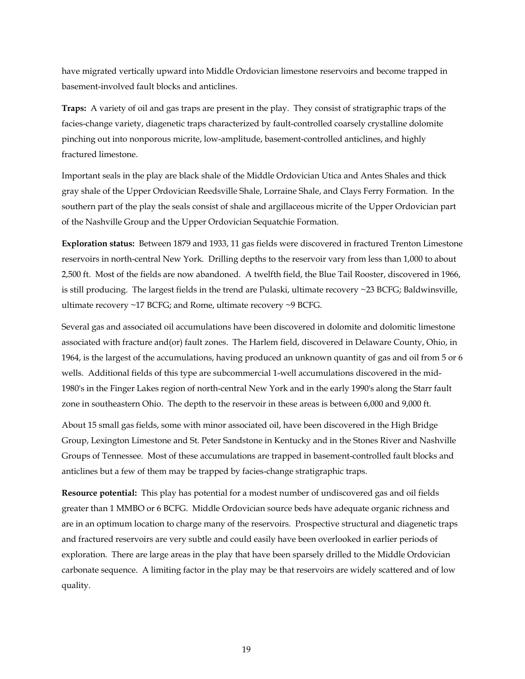have migrated vertically upward into Middle Ordovician limestone reservoirs and become trapped in basement-involved fault blocks and anticlines.

**Traps:** A variety of oil and gas traps are present in the play. They consist of stratigraphic traps of the facies-change variety, diagenetic traps characterized by fault-controlled coarsely crystalline dolomite pinching out into nonporous micrite, low-amplitude, basement-controlled anticlines, and highly fractured limestone.

Important seals in the play are black shale of the Middle Ordovician Utica and Antes Shales and thick gray shale of the Upper Ordovician Reedsville Shale, Lorraine Shale, and Clays Ferry Formation. In the southern part of the play the seals consist of shale and argillaceous micrite of the Upper Ordovician part of the Nashville Group and the Upper Ordovician Sequatchie Formation.

**Exploration status:** Between 1879 and 1933, 11 gas fields were discovered in fractured Trenton Limestone reservoirs in north-central New York. Drilling depths to the reservoir vary from less than 1,000 to about 2,500 ft. Most of the fields are now abandoned. A twelfth field, the Blue Tail Rooster, discovered in 1966, is still producing. The largest fields in the trend are Pulaski, ultimate recovery ~23 BCFG; Baldwinsville, ultimate recovery  $\sim$  17 BCFG; and Rome, ultimate recovery  $\sim$ 9 BCFG.

Several gas and associated oil accumulations have been discovered in dolomite and dolomitic limestone associated with fracture and(or) fault zones. The Harlem field, discovered in Delaware County, Ohio, in 1964, is the largest of the accumulations, having produced an unknown quantity of gas and oil from 5 or 6 wells. Additional fields of this type are subcommercial 1-well accumulations discovered in the mid-1980's in the Finger Lakes region of north-central New York and in the early 1990's along the Starr fault zone in southeastern Ohio. The depth to the reservoir in these areas is between 6,000 and 9,000 ft.

About 15 small gas fields, some with minor associated oil, have been discovered in the High Bridge Group, Lexington Limestone and St. Peter Sandstone in Kentucky and in the Stones River and Nashville Groups of Tennessee. Most of these accumulations are trapped in basement-controlled fault blocks and anticlines but a few of them may be trapped by facies-change stratigraphic traps.

**Resource potential:** This play has potential for a modest number of undiscovered gas and oil fields greater than 1 MMBO or 6 BCFG. Middle Ordovician source beds have adequate organic richness and are in an optimum location to charge many of the reservoirs. Prospective structural and diagenetic traps and fractured reservoirs are very subtle and could easily have been overlooked in earlier periods of exploration. There are large areas in the play that have been sparsely drilled to the Middle Ordovician carbonate sequence. A limiting factor in the play may be that reservoirs are widely scattered and of low quality.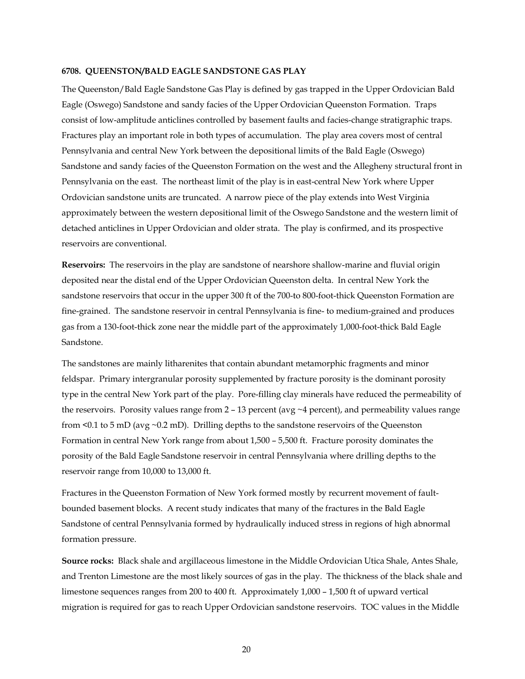#### **6708. QUEENSTON/BALD EAGLE SANDSTONE GAS PLAY**

The Queenston/Bald Eagle Sandstone Gas Play is defined by gas trapped in the Upper Ordovician Bald Eagle (Oswego) Sandstone and sandy facies of the Upper Ordovician Queenston Formation. Traps consist of low-amplitude anticlines controlled by basement faults and facies-change stratigraphic traps. Fractures play an important role in both types of accumulation. The play area covers most of central Pennsylvania and central New York between the depositional limits of the Bald Eagle (Oswego) Sandstone and sandy facies of the Queenston Formation on the west and the Allegheny structural front in Pennsylvania on the east. The northeast limit of the play is in east-central New York where Upper Ordovician sandstone units are truncated. A narrow piece of the play extends into West Virginia approximately between the western depositional limit of the Oswego Sandstone and the western limit of detached anticlines in Upper Ordovician and older strata. The play is confirmed, and its prospective reservoirs are conventional.

**Reservoirs:** The reservoirs in the play are sandstone of nearshore shallow-marine and fluvial origin deposited near the distal end of the Upper Ordovician Queenston delta. In central New York the sandstone reservoirs that occur in the upper 300 ft of the 700-to 800-foot-thick Queenston Formation are fine-grained. The sandstone reservoir in central Pennsylvania is fine- to medium-grained and produces gas from a 130-foot-thick zone near the middle part of the approximately 1,000-foot-thick Bald Eagle Sandstone.

The sandstones are mainly litharenites that contain abundant metamorphic fragments and minor feldspar. Primary intergranular porosity supplemented by fracture porosity is the dominant porosity type in the central New York part of the play. Pore-filling clay minerals have reduced the permeability of the reservoirs. Porosity values range from  $2 - 13$  percent (avg  $\sim$ 4 percent), and permeability values range from  $\leq 0.1$  to 5 mD (avg  $\sim 0.2$  mD). Drilling depths to the sandstone reservoirs of the Queenston Formation in central New York range from about 1,500 – 5,500 ft. Fracture porosity dominates the porosity of the Bald Eagle Sandstone reservoir in central Pennsylvania where drilling depths to the reservoir range from 10,000 to 13,000 ft.

Fractures in the Queenston Formation of New York formed mostly by recurrent movement of faultbounded basement blocks. A recent study indicates that many of the fractures in the Bald Eagle Sandstone of central Pennsylvania formed by hydraulically induced stress in regions of high abnormal formation pressure.

**Source rocks:** Black shale and argillaceous limestone in the Middle Ordovician Utica Shale, Antes Shale, and Trenton Limestone are the most likely sources of gas in the play. The thickness of the black shale and limestone sequences ranges from 200 to 400 ft. Approximately 1,000 – 1,500 ft of upward vertical migration is required for gas to reach Upper Ordovician sandstone reservoirs. TOC values in the Middle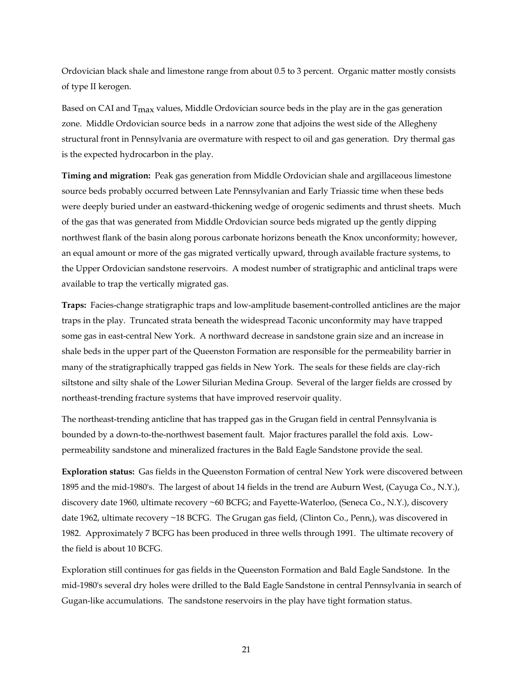Ordovician black shale and limestone range from about 0.5 to 3 percent. Organic matter mostly consists of type II kerogen.

Based on CAI and  $T_{\text{max}}$  values, Middle Ordovician source beds in the play are in the gas generation zone. Middle Ordovician source beds in a narrow zone that adjoins the west side of the Allegheny structural front in Pennsylvania are overmature with respect to oil and gas generation. Dry thermal gas is the expected hydrocarbon in the play.

**Timing and migration:** Peak gas generation from Middle Ordovician shale and argillaceous limestone source beds probably occurred between Late Pennsylvanian and Early Triassic time when these beds were deeply buried under an eastward-thickening wedge of orogenic sediments and thrust sheets. Much of the gas that was generated from Middle Ordovician source beds migrated up the gently dipping northwest flank of the basin along porous carbonate horizons beneath the Knox unconformity; however, an equal amount or more of the gas migrated vertically upward, through available fracture systems, to the Upper Ordovician sandstone reservoirs. A modest number of stratigraphic and anticlinal traps were available to trap the vertically migrated gas.

**Traps:** Facies-change stratigraphic traps and low-amplitude basement-controlled anticlines are the major traps in the play. Truncated strata beneath the widespread Taconic unconformity may have trapped some gas in east-central New York. A northward decrease in sandstone grain size and an increase in shale beds in the upper part of the Queenston Formation are responsible for the permeability barrier in many of the stratigraphically trapped gas fields in New York. The seals for these fields are clay-rich siltstone and silty shale of the Lower Silurian Medina Group. Several of the larger fields are crossed by northeast-trending fracture systems that have improved reservoir quality.

The northeast-trending anticline that has trapped gas in the Grugan field in central Pennsylvania is bounded by a down-to-the-northwest basement fault. Major fractures parallel the fold axis. Lowpermeability sandstone and mineralized fractures in the Bald Eagle Sandstone provide the seal.

**Exploration status:** Gas fields in the Queenston Formation of central New York were discovered between 1895 and the mid-1980's. The largest of about 14 fields in the trend are Auburn West, (Cayuga Co., N.Y.), discovery date 1960, ultimate recovery ~60 BCFG; and Fayette-Waterloo, (Seneca Co., N.Y.), discovery date 1962, ultimate recovery ~18 BCFG. The Grugan gas field, (Clinton Co., Penn,), was discovered in 1982. Approximately 7 BCFG has been produced in three wells through 1991. The ultimate recovery of the field is about 10 BCFG.

Exploration still continues for gas fields in the Queenston Formation and Bald Eagle Sandstone. In the mid-1980's several dry holes were drilled to the Bald Eagle Sandstone in central Pennsylvania in search of Gugan-like accumulations. The sandstone reservoirs in the play have tight formation status.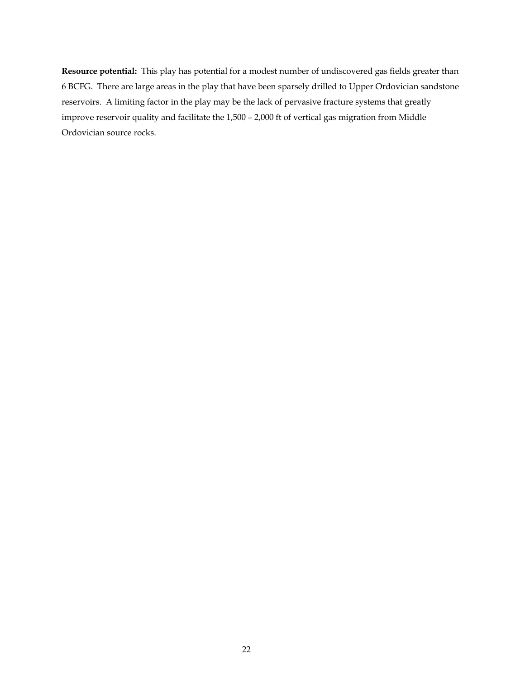**Resource potential:** This play has potential for a modest number of undiscovered gas fields greater than 6 BCFG. There are large areas in the play that have been sparsely drilled to Upper Ordovician sandstone reservoirs. A limiting factor in the play may be the lack of pervasive fracture systems that greatly improve reservoir quality and facilitate the 1,500 – 2,000 ft of vertical gas migration from Middle Ordovician source rocks.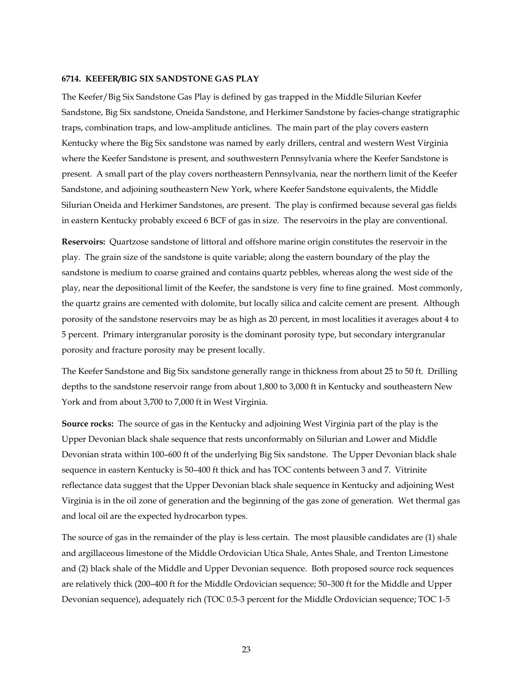#### **6714. KEEFER/BIG SIX SANDSTONE GAS PLAY**

The Keefer/Big Six Sandstone Gas Play is defined by gas trapped in the Middle Silurian Keefer Sandstone, Big Six sandstone, Oneida Sandstone, and Herkimer Sandstone by facies-change stratigraphic traps, combination traps, and low-amplitude anticlines. The main part of the play covers eastern Kentucky where the Big Six sandstone was named by early drillers, central and western West Virginia where the Keefer Sandstone is present, and southwestern Pennsylvania where the Keefer Sandstone is present. A small part of the play covers northeastern Pennsylvania, near the northern limit of the Keefer Sandstone, and adjoining southeastern New York, where Keefer Sandstone equivalents, the Middle Silurian Oneida and Herkimer Sandstones, are present. The play is confirmed because several gas fields in eastern Kentucky probably exceed 6 BCF of gas in size. The reservoirs in the play are conventional.

**Reservoirs:** Quartzose sandstone of littoral and offshore marine origin constitutes the reservoir in the play. The grain size of the sandstone is quite variable; along the eastern boundary of the play the sandstone is medium to coarse grained and contains quartz pebbles, whereas along the west side of the play, near the depositional limit of the Keefer, the sandstone is very fine to fine grained. Most commonly, the quartz grains are cemented with dolomite, but locally silica and calcite cement are present. Although porosity of the sandstone reservoirs may be as high as 20 percent, in most localities it averages about 4 to 5 percent. Primary intergranular porosity is the dominant porosity type, but secondary intergranular porosity and fracture porosity may be present locally.

The Keefer Sandstone and Big Six sandstone generally range in thickness from about 25 to 50 ft. Drilling depths to the sandstone reservoir range from about 1,800 to 3,000 ft in Kentucky and southeastern New York and from about 3,700 to 7,000 ft in West Virginia.

**Source rocks:** The source of gas in the Kentucky and adjoining West Virginia part of the play is the Upper Devonian black shale sequence that rests unconformably on Silurian and Lower and Middle Devonian strata within 100–600 ft of the underlying Big Six sandstone. The Upper Devonian black shale sequence in eastern Kentucky is 50–400 ft thick and has TOC contents between 3 and 7. Vitrinite reflectance data suggest that the Upper Devonian black shale sequence in Kentucky and adjoining West Virginia is in the oil zone of generation and the beginning of the gas zone of generation. Wet thermal gas and local oil are the expected hydrocarbon types.

The source of gas in the remainder of the play is less certain. The most plausible candidates are (1) shale and argillaceous limestone of the Middle Ordovician Utica Shale, Antes Shale, and Trenton Limestone and (2) black shale of the Middle and Upper Devonian sequence. Both proposed source rock sequences are relatively thick (200–400 ft for the Middle Ordovician sequence; 50–300 ft for the Middle and Upper Devonian sequence), adequately rich (TOC 0.5-3 percent for the Middle Ordovician sequence; TOC 1-5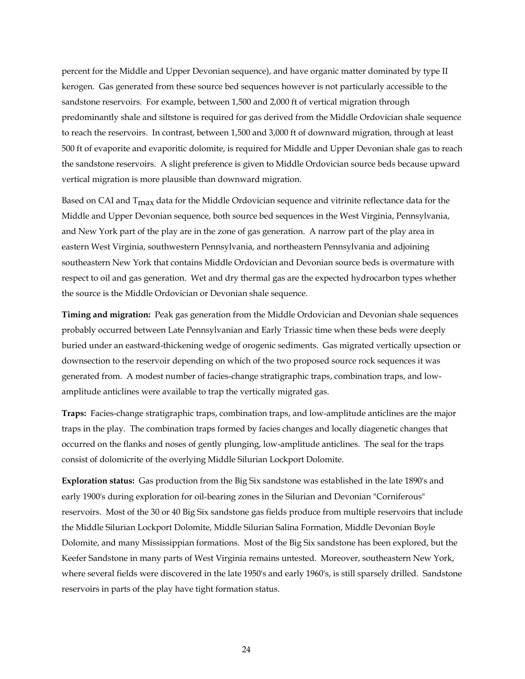percent for the Middle and Upper Devonian sequence), and have organic matter dominated by type II kerogen. Gas generated from these source bed sequences however is not particularly accessible to the sandstone reservoirs. For example, between 1,500 and 2,000 ft of vertical migration through predominantly shale and siltstone is required for gas derived from the Middle Ordovician shale sequence to reach the reservoirs. In contrast, between 1,500 and 3,000 ft of downward migration, through at least 500 ft of evaporite and evaporitic dolomite, is required for Middle and Upper Devonian shale gas to reach the sandstone reservoirs. A slight preference is given to Middle Ordovician source beds because upward vertical migration is more plausible than downward migration.

Based on CAI and  $T_{\text{max}}$  data for the Middle Ordovician sequence and vitrinite reflectance data for the Middle and Upper Devonian sequence, both source bed sequences in the West Virginia, Pennsylvania, and New York part of the play are in the zone of gas generation. A narrow part of the play area in eastern West Virginia, southwestern Pennsylvania, and northeastern Pennsylvania and adjoining southeastern New York that contains Middle Ordovician and Devonian source beds is overmature with respect to oil and gas generation. Wet and dry thermal gas are the expected hydrocarbon types whether the source is the Middle Ordovician or Devonian shale sequence.

**Timing and migration:** Peak gas generation from the Middle Ordovician and Devonian shale sequences probably occurred between Late Pennsylvanian and Early Triassic time when these beds were deeply buried under an eastward-thickening wedge of orogenic sediments. Gas migrated vertically upsection or downsection to the reservoir depending on which of the two proposed source rock sequences it was generated from. A modest number of facies-change stratigraphic traps, combination traps, and lowamplitude anticlines were available to trap the vertically migrated gas.

**Traps:** Facies-change stratigraphic traps, combination traps, and low-amplitude anticlines are the major traps in the play. The combination traps formed by facies changes and locally diagenetic changes that occurred on the flanks and noses of gently plunging, low-amplitude anticlines. The seal for the traps consist of dolomicrite of the overlying Middle Silurian Lockport Dolomite.

**Exploration status:** Gas production from the Big Six sandstone was established in the late 1890's and early 1900's during exploration for oil-bearing zones in the Silurian and Devonian "Corniferous" reservoirs. Most of the 30 or 40 Big Six sandstone gas fields produce from multiple reservoirs that include the Middle Silurian Lockport Dolomite, Middle Silurian Salina Formation, Middle Devonian Boyle Dolomite, and many Mississippian formations. Most of the Big Six sandstone has been explored, but the Keefer Sandstone in many parts of West Virginia remains untested. Moreover, southeastern New York, where several fields were discovered in the late 1950's and early 1960's, is still sparsely drilled. Sandstone reservoirs in parts of the play have tight formation status.

24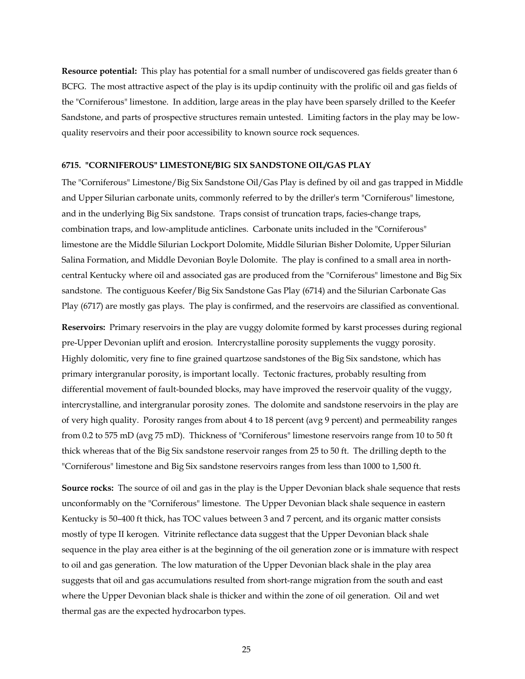**Resource potential:** This play has potential for a small number of undiscovered gas fields greater than 6 BCFG. The most attractive aspect of the play is its updip continuity with the prolific oil and gas fields of the "Corniferous" limestone. In addition, large areas in the play have been sparsely drilled to the Keefer Sandstone, and parts of prospective structures remain untested. Limiting factors in the play may be lowquality reservoirs and their poor accessibility to known source rock sequences.

#### **6715. "CORNIFEROUS" LIMESTONE/BIG SIX SANDSTONE OIL/GAS PLAY**

The "Corniferous" Limestone/Big Six Sandstone Oil/Gas Play is defined by oil and gas trapped in Middle and Upper Silurian carbonate units, commonly referred to by the driller's term "Corniferous" limestone, and in the underlying Big Six sandstone. Traps consist of truncation traps, facies-change traps, combination traps, and low-amplitude anticlines. Carbonate units included in the "Corniferous" limestone are the Middle Silurian Lockport Dolomite, Middle Silurian Bisher Dolomite, Upper Silurian Salina Formation, and Middle Devonian Boyle Dolomite. The play is confined to a small area in northcentral Kentucky where oil and associated gas are produced from the "Corniferous" limestone and Big Six sandstone. The contiguous Keefer/Big Six Sandstone Gas Play (6714) and the Silurian Carbonate Gas Play (6717) are mostly gas plays. The play is confirmed, and the reservoirs are classified as conventional.

**Reservoirs:** Primary reservoirs in the play are vuggy dolomite formed by karst processes during regional pre-Upper Devonian uplift and erosion. Intercrystalline porosity supplements the vuggy porosity. Highly dolomitic, very fine to fine grained quartzose sandstones of the Big Six sandstone, which has primary intergranular porosity, is important locally. Tectonic fractures, probably resulting from differential movement of fault-bounded blocks, may have improved the reservoir quality of the vuggy, intercrystalline, and intergranular porosity zones. The dolomite and sandstone reservoirs in the play are of very high quality. Porosity ranges from about 4 to 18 percent (avg 9 percent) and permeability ranges from 0.2 to 575 mD (avg 75 mD). Thickness of "Corniferous" limestone reservoirs range from 10 to 50 ft thick whereas that of the Big Six sandstone reservoir ranges from 25 to 50 ft. The drilling depth to the "Corniferous" limestone and Big Six sandstone reservoirs ranges from less than 1000 to 1,500 ft.

**Source rocks:** The source of oil and gas in the play is the Upper Devonian black shale sequence that rests unconformably on the "Corniferous" limestone. The Upper Devonian black shale sequence in eastern Kentucky is 50–400 ft thick, has TOC values between 3 and 7 percent, and its organic matter consists mostly of type II kerogen. Vitrinite reflectance data suggest that the Upper Devonian black shale sequence in the play area either is at the beginning of the oil generation zone or is immature with respect to oil and gas generation. The low maturation of the Upper Devonian black shale in the play area suggests that oil and gas accumulations resulted from short-range migration from the south and east where the Upper Devonian black shale is thicker and within the zone of oil generation. Oil and wet thermal gas are the expected hydrocarbon types.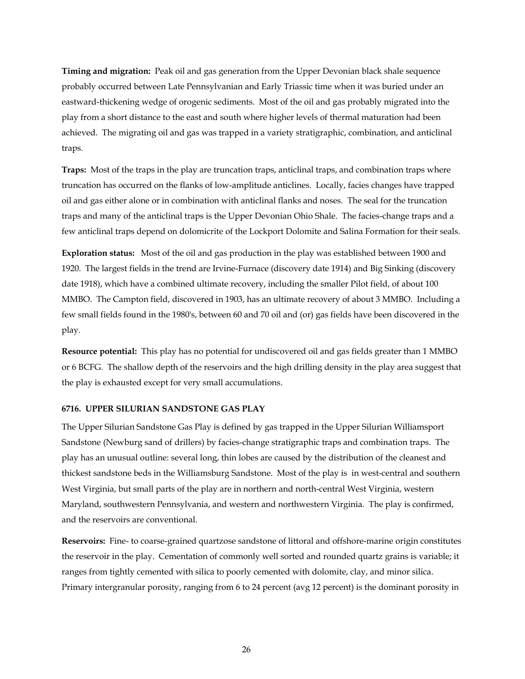**Timing and migration:** Peak oil and gas generation from the Upper Devonian black shale sequence probably occurred between Late Pennsylvanian and Early Triassic time when it was buried under an eastward-thickening wedge of orogenic sediments. Most of the oil and gas probably migrated into the play from a short distance to the east and south where higher levels of thermal maturation had been achieved. The migrating oil and gas was trapped in a variety stratigraphic, combination, and anticlinal traps.

**Traps:** Most of the traps in the play are truncation traps, anticlinal traps, and combination traps where truncation has occurred on the flanks of low-amplitude anticlines. Locally, facies changes have trapped oil and gas either alone or in combination with anticlinal flanks and noses. The seal for the truncation traps and many of the anticlinal traps is the Upper Devonian Ohio Shale. The facies-change traps and a few anticlinal traps depend on dolomicrite of the Lockport Dolomite and Salina Formation for their seals.

**Exploration status:** Most of the oil and gas production in the play was established between 1900 and 1920. The largest fields in the trend are Irvine-Furnace (discovery date 1914) and Big Sinking (discovery date 1918), which have a combined ultimate recovery, including the smaller Pilot field, of about 100 MMBO. The Campton field, discovered in 1903, has an ultimate recovery of about 3 MMBO. Including a few small fields found in the 1980's, between 60 and 70 oil and (or) gas fields have been discovered in the play.

**Resource potential:** This play has no potential for undiscovered oil and gas fields greater than 1 MMBO or 6 BCFG. The shallow depth of the reservoirs and the high drilling density in the play area suggest that the play is exhausted except for very small accumulations.

#### **6716. UPPER SILURIAN SANDSTONE GAS PLAY**

The Upper Silurian Sandstone Gas Play is defined by gas trapped in the Upper Silurian Williamsport Sandstone (Newburg sand of drillers) by facies-change stratigraphic traps and combination traps. The play has an unusual outline: several long, thin lobes are caused by the distribution of the cleanest and thickest sandstone beds in the Williamsburg Sandstone. Most of the play is in west-central and southern West Virginia, but small parts of the play are in northern and north-central West Virginia, western Maryland, southwestern Pennsylvania, and western and northwestern Virginia. The play is confirmed, and the reservoirs are conventional.

**Reservoirs:** Fine- to coarse-grained quartzose sandstone of littoral and offshore-marine origin constitutes the reservoir in the play. Cementation of commonly well sorted and rounded quartz grains is variable; it ranges from tightly cemented with silica to poorly cemented with dolomite, clay, and minor silica. Primary intergranular porosity, ranging from 6 to 24 percent (avg 12 percent) is the dominant porosity in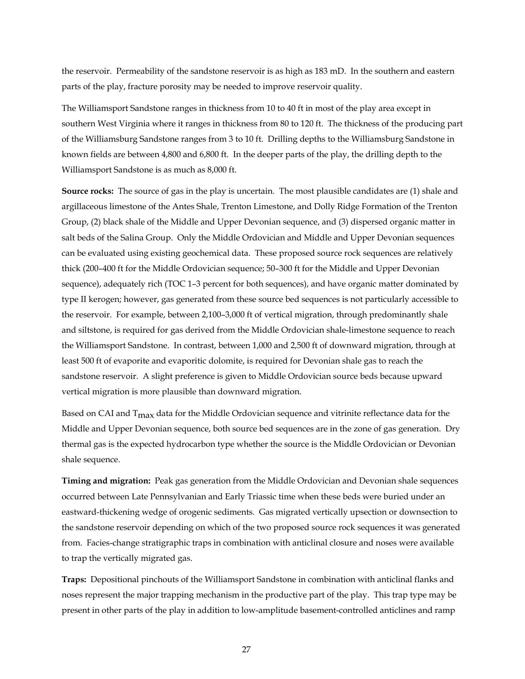the reservoir. Permeability of the sandstone reservoir is as high as 183 mD. In the southern and eastern parts of the play, fracture porosity may be needed to improve reservoir quality.

The Williamsport Sandstone ranges in thickness from 10 to 40 ft in most of the play area except in southern West Virginia where it ranges in thickness from 80 to 120 ft. The thickness of the producing part of the Williamsburg Sandstone ranges from 3 to 10 ft. Drilling depths to the Williamsburg Sandstone in known fields are between 4,800 and 6,800 ft. In the deeper parts of the play, the drilling depth to the Williamsport Sandstone is as much as 8,000 ft.

**Source rocks:** The source of gas in the play is uncertain. The most plausible candidates are (1) shale and argillaceous limestone of the Antes Shale, Trenton Limestone, and Dolly Ridge Formation of the Trenton Group, (2) black shale of the Middle and Upper Devonian sequence, and (3) dispersed organic matter in salt beds of the Salina Group. Only the Middle Ordovician and Middle and Upper Devonian sequences can be evaluated using existing geochemical data. These proposed source rock sequences are relatively thick (200–400 ft for the Middle Ordovician sequence; 50–300 ft for the Middle and Upper Devonian sequence), adequately rich (TOC 1–3 percent for both sequences), and have organic matter dominated by type II kerogen; however, gas generated from these source bed sequences is not particularly accessible to the reservoir. For example, between 2,100–3,000 ft of vertical migration, through predominantly shale and siltstone, is required for gas derived from the Middle Ordovician shale-limestone sequence to reach the Williamsport Sandstone. In contrast, between 1,000 and 2,500 ft of downward migration, through at least 500 ft of evaporite and evaporitic dolomite, is required for Devonian shale gas to reach the sandstone reservoir. A slight preference is given to Middle Ordovician source beds because upward vertical migration is more plausible than downward migration.

Based on CAI and T<sub>max</sub> data for the Middle Ordovician sequence and vitrinite reflectance data for the Middle and Upper Devonian sequence, both source bed sequences are in the zone of gas generation. Dry thermal gas is the expected hydrocarbon type whether the source is the Middle Ordovician or Devonian shale sequence.

**Timing and migration:** Peak gas generation from the Middle Ordovician and Devonian shale sequences occurred between Late Pennsylvanian and Early Triassic time when these beds were buried under an eastward-thickening wedge of orogenic sediments. Gas migrated vertically upsection or downsection to the sandstone reservoir depending on which of the two proposed source rock sequences it was generated from. Facies-change stratigraphic traps in combination with anticlinal closure and noses were available to trap the vertically migrated gas.

**Traps:** Depositional pinchouts of the Williamsport Sandstone in combination with anticlinal flanks and noses represent the major trapping mechanism in the productive part of the play. This trap type may be present in other parts of the play in addition to low-amplitude basement-controlled anticlines and ramp

27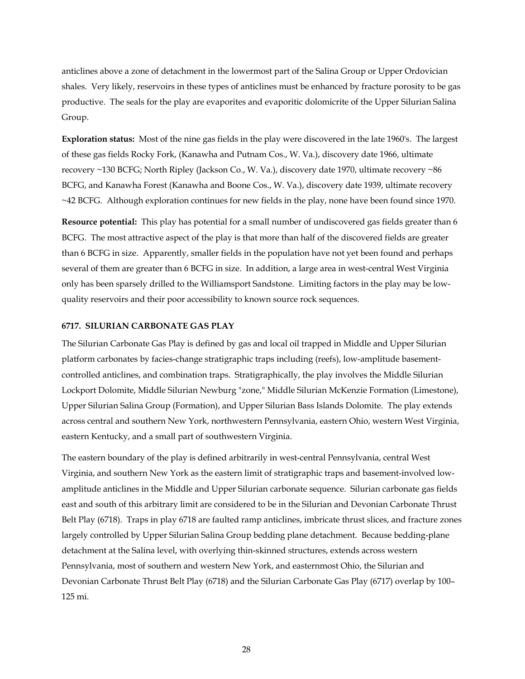anticlines above a zone of detachment in the lowermost part of the Salina Group or Upper Ordovician shales. Very likely, reservoirs in these types of anticlines must be enhanced by fracture porosity to be gas productive. The seals for the play are evaporites and evaporitic dolomicrite of the Upper Silurian Salina Group.

**Exploration status:** Most of the nine gas fields in the play were discovered in the late 1960's. The largest of these gas fields Rocky Fork, (Kanawha and Putnam Cos., W. Va.), discovery date 1966, ultimate recovery ~130 BCFG; North Ripley (Jackson Co., W. Va.), discovery date 1970, ultimate recovery ~86 BCFG, and Kanawha Forest (Kanawha and Boone Cos., W. Va.), discovery date 1939, ultimate recovery ~42 BCFG. Although exploration continues for new fields in the play, none have been found since 1970.

**Resource potential:** This play has potential for a small number of undiscovered gas fields greater than 6 BCFG. The most attractive aspect of the play is that more than half of the discovered fields are greater than 6 BCFG in size. Apparently, smaller fields in the population have not yet been found and perhaps several of them are greater than 6 BCFG in size. In addition, a large area in west-central West Virginia only has been sparsely drilled to the Williamsport Sandstone. Limiting factors in the play may be lowquality reservoirs and their poor accessibility to known source rock sequences.

#### **6717. SILURIAN CARBONATE GAS PLAY**

The Silurian Carbonate Gas Play is defined by gas and local oil trapped in Middle and Upper Silurian platform carbonates by facies-change stratigraphic traps including (reefs), low-amplitude basementcontrolled anticlines, and combination traps. Stratigraphically, the play involves the Middle Silurian Lockport Dolomite, Middle Silurian Newburg "zone," Middle Silurian McKenzie Formation (Limestone), Upper Silurian Salina Group (Formation), and Upper Silurian Bass Islands Dolomite. The play extends across central and southern New York, northwestern Pennsylvania, eastern Ohio, western West Virginia, eastern Kentucky, and a small part of southwestern Virginia.

The eastern boundary of the play is defined arbitrarily in west-central Pennsylvania, central West Virginia, and southern New York as the eastern limit of stratigraphic traps and basement-involved lowamplitude anticlines in the Middle and Upper Silurian carbonate sequence. Silurian carbonate gas fields east and south of this arbitrary limit are considered to be in the Silurian and Devonian Carbonate Thrust Belt Play (6718). Traps in play 6718 are faulted ramp anticlines, imbricate thrust slices, and fracture zones largely controlled by Upper Silurian Salina Group bedding plane detachment. Because bedding-plane detachment at the Salina level, with overlying thin-skinned structures, extends across western Pennsylvania, most of southern and western New York, and easternmost Ohio, the Silurian and Devonian Carbonate Thrust Belt Play (6718) and the Silurian Carbonate Gas Play (6717) overlap by 100– 125 mi.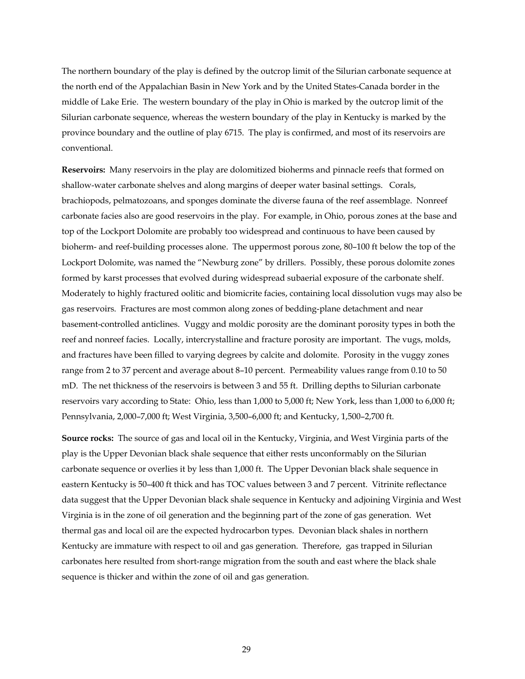The northern boundary of the play is defined by the outcrop limit of the Silurian carbonate sequence at the north end of the Appalachian Basin in New York and by the United States-Canada border in the middle of Lake Erie. The western boundary of the play in Ohio is marked by the outcrop limit of the Silurian carbonate sequence, whereas the western boundary of the play in Kentucky is marked by the province boundary and the outline of play 6715. The play is confirmed, and most of its reservoirs are conventional.

**Reservoirs:** Many reservoirs in the play are dolomitized bioherms and pinnacle reefs that formed on shallow-water carbonate shelves and along margins of deeper water basinal settings. Corals, brachiopods, pelmatozoans, and sponges dominate the diverse fauna of the reef assemblage. Nonreef carbonate facies also are good reservoirs in the play. For example, in Ohio, porous zones at the base and top of the Lockport Dolomite are probably too widespread and continuous to have been caused by bioherm- and reef-building processes alone. The uppermost porous zone, 80–100 ft below the top of the Lockport Dolomite, was named the "Newburg zone" by drillers. Possibly, these porous dolomite zones formed by karst processes that evolved during widespread subaerial exposure of the carbonate shelf. Moderately to highly fractured oolitic and biomicrite facies, containing local dissolution vugs may also be gas reservoirs. Fractures are most common along zones of bedding-plane detachment and near basement-controlled anticlines. Vuggy and moldic porosity are the dominant porosity types in both the reef and nonreef facies. Locally, intercrystalline and fracture porosity are important. The vugs, molds, and fractures have been filled to varying degrees by calcite and dolomite. Porosity in the vuggy zones range from 2 to 37 percent and average about 8–10 percent. Permeability values range from 0.10 to 50 mD. The net thickness of the reservoirs is between 3 and 55 ft. Drilling depths to Silurian carbonate reservoirs vary according to State: Ohio, less than 1,000 to 5,000 ft; New York, less than 1,000 to 6,000 ft; Pennsylvania, 2,000–7,000 ft; West Virginia, 3,500–6,000 ft; and Kentucky, 1,500–2,700 ft.

**Source rocks:** The source of gas and local oil in the Kentucky, Virginia, and West Virginia parts of the play is the Upper Devonian black shale sequence that either rests unconformably on the Silurian carbonate sequence or overlies it by less than 1,000 ft. The Upper Devonian black shale sequence in eastern Kentucky is 50–400 ft thick and has TOC values between 3 and 7 percent. Vitrinite reflectance data suggest that the Upper Devonian black shale sequence in Kentucky and adjoining Virginia and West Virginia is in the zone of oil generation and the beginning part of the zone of gas generation. Wet thermal gas and local oil are the expected hydrocarbon types. Devonian black shales in northern Kentucky are immature with respect to oil and gas generation. Therefore, gas trapped in Silurian carbonates here resulted from short-range migration from the south and east where the black shale sequence is thicker and within the zone of oil and gas generation.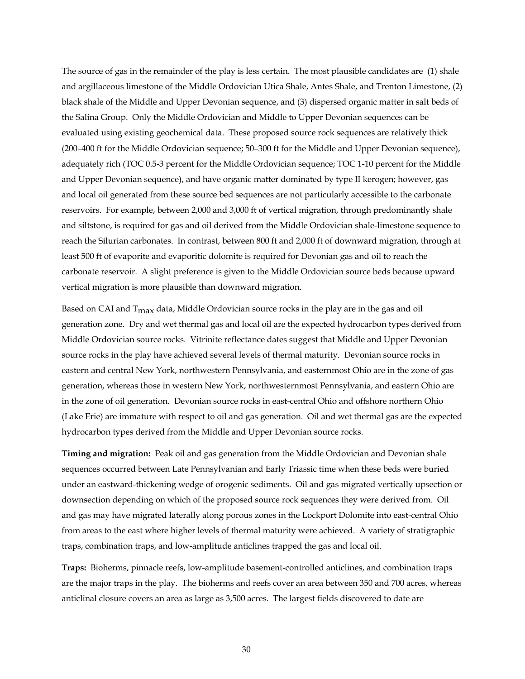The source of gas in the remainder of the play is less certain. The most plausible candidates are (1) shale and argillaceous limestone of the Middle Ordovician Utica Shale, Antes Shale, and Trenton Limestone, (2) black shale of the Middle and Upper Devonian sequence, and (3) dispersed organic matter in salt beds of the Salina Group. Only the Middle Ordovician and Middle to Upper Devonian sequences can be evaluated using existing geochemical data. These proposed source rock sequences are relatively thick (200–400 ft for the Middle Ordovician sequence; 50–300 ft for the Middle and Upper Devonian sequence), adequately rich (TOC 0.5-3 percent for the Middle Ordovician sequence; TOC 1-10 percent for the Middle and Upper Devonian sequence), and have organic matter dominated by type II kerogen; however, gas and local oil generated from these source bed sequences are not particularly accessible to the carbonate reservoirs. For example, between 2,000 and 3,000 ft of vertical migration, through predominantly shale and siltstone, is required for gas and oil derived from the Middle Ordovician shale-limestone sequence to reach the Silurian carbonates. In contrast, between 800 ft and 2,000 ft of downward migration, through at least 500 ft of evaporite and evaporitic dolomite is required for Devonian gas and oil to reach the carbonate reservoir. A slight preference is given to the Middle Ordovician source beds because upward vertical migration is more plausible than downward migration.

Based on CAI and  $T_{\text{max}}$  data, Middle Ordovician source rocks in the play are in the gas and oil generation zone. Dry and wet thermal gas and local oil are the expected hydrocarbon types derived from Middle Ordovician source rocks. Vitrinite reflectance dates suggest that Middle and Upper Devonian source rocks in the play have achieved several levels of thermal maturity. Devonian source rocks in eastern and central New York, northwestern Pennsylvania, and easternmost Ohio are in the zone of gas generation, whereas those in western New York, northwesternmost Pennsylvania, and eastern Ohio are in the zone of oil generation. Devonian source rocks in east-central Ohio and offshore northern Ohio (Lake Erie) are immature with respect to oil and gas generation. Oil and wet thermal gas are the expected hydrocarbon types derived from the Middle and Upper Devonian source rocks.

**Timing and migration:** Peak oil and gas generation from the Middle Ordovician and Devonian shale sequences occurred between Late Pennsylvanian and Early Triassic time when these beds were buried under an eastward-thickening wedge of orogenic sediments. Oil and gas migrated vertically upsection or downsection depending on which of the proposed source rock sequences they were derived from. Oil and gas may have migrated laterally along porous zones in the Lockport Dolomite into east-central Ohio from areas to the east where higher levels of thermal maturity were achieved. A variety of stratigraphic traps, combination traps, and low-amplitude anticlines trapped the gas and local oil.

**Traps:** Bioherms, pinnacle reefs, low-amplitude basement-controlled anticlines, and combination traps are the major traps in the play. The bioherms and reefs cover an area between 350 and 700 acres, whereas anticlinal closure covers an area as large as 3,500 acres. The largest fields discovered to date are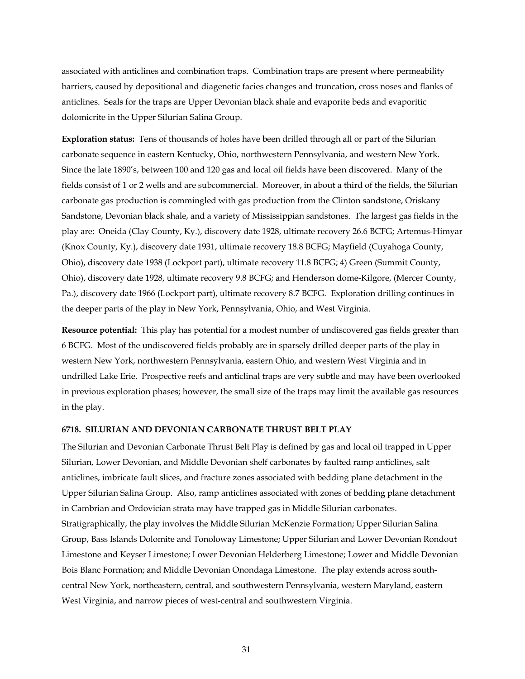associated with anticlines and combination traps. Combination traps are present where permeability barriers, caused by depositional and diagenetic facies changes and truncation, cross noses and flanks of anticlines. Seals for the traps are Upper Devonian black shale and evaporite beds and evaporitic dolomicrite in the Upper Silurian Salina Group.

**Exploration status:** Tens of thousands of holes have been drilled through all or part of the Silurian carbonate sequence in eastern Kentucky, Ohio, northwestern Pennsylvania, and western New York. Since the late 1890's, between 100 and 120 gas and local oil fields have been discovered. Many of the fields consist of 1 or 2 wells and are subcommercial. Moreover, in about a third of the fields, the Silurian carbonate gas production is commingled with gas production from the Clinton sandstone, Oriskany Sandstone, Devonian black shale, and a variety of Mississippian sandstones. The largest gas fields in the play are: Oneida (Clay County, Ky.), discovery date 1928, ultimate recovery 26.6 BCFG; Artemus-Himyar (Knox County, Ky.), discovery date 1931, ultimate recovery 18.8 BCFG; Mayfield (Cuyahoga County, Ohio), discovery date 1938 (Lockport part), ultimate recovery 11.8 BCFG; 4) Green (Summit County, Ohio), discovery date 1928, ultimate recovery 9.8 BCFG; and Henderson dome-Kilgore, (Mercer County, Pa.), discovery date 1966 (Lockport part), ultimate recovery 8.7 BCFG. Exploration drilling continues in the deeper parts of the play in New York, Pennsylvania, Ohio, and West Virginia.

**Resource potential:** This play has potential for a modest number of undiscovered gas fields greater than 6 BCFG. Most of the undiscovered fields probably are in sparsely drilled deeper parts of the play in western New York, northwestern Pennsylvania, eastern Ohio, and western West Virginia and in undrilled Lake Erie. Prospective reefs and anticlinal traps are very subtle and may have been overlooked in previous exploration phases; however, the small size of the traps may limit the available gas resources in the play.

#### **6718. SILURIAN AND DEVONIAN CARBONATE THRUST BELT PLAY**

The Silurian and Devonian Carbonate Thrust Belt Play is defined by gas and local oil trapped in Upper Silurian, Lower Devonian, and Middle Devonian shelf carbonates by faulted ramp anticlines, salt anticlines, imbricate fault slices, and fracture zones associated with bedding plane detachment in the Upper Silurian Salina Group. Also, ramp anticlines associated with zones of bedding plane detachment in Cambrian and Ordovician strata may have trapped gas in Middle Silurian carbonates. Stratigraphically, the play involves the Middle Silurian McKenzie Formation; Upper Silurian Salina Group, Bass Islands Dolomite and Tonoloway Limestone; Upper Silurian and Lower Devonian Rondout Limestone and Keyser Limestone; Lower Devonian Helderberg Limestone; Lower and Middle Devonian Bois Blanc Formation; and Middle Devonian Onondaga Limestone. The play extends across southcentral New York, northeastern, central, and southwestern Pennsylvania, western Maryland, eastern West Virginia, and narrow pieces of west-central and southwestern Virginia.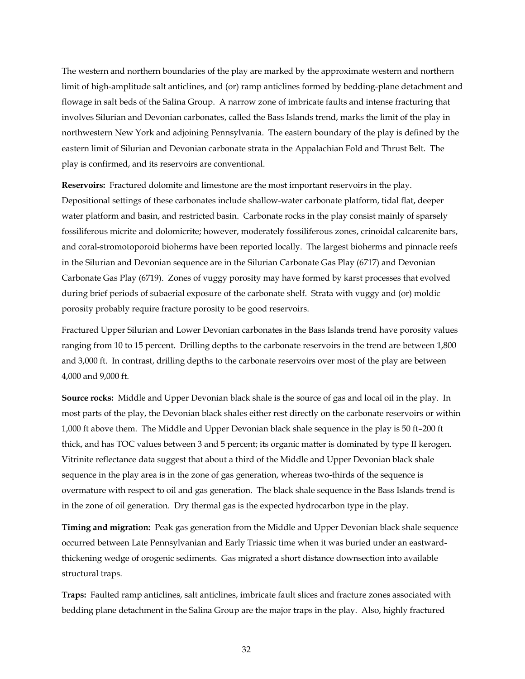The western and northern boundaries of the play are marked by the approximate western and northern limit of high-amplitude salt anticlines, and (or) ramp anticlines formed by bedding-plane detachment and flowage in salt beds of the Salina Group. A narrow zone of imbricate faults and intense fracturing that involves Silurian and Devonian carbonates, called the Bass Islands trend, marks the limit of the play in northwestern New York and adjoining Pennsylvania. The eastern boundary of the play is defined by the eastern limit of Silurian and Devonian carbonate strata in the Appalachian Fold and Thrust Belt. The play is confirmed, and its reservoirs are conventional.

**Reservoirs:** Fractured dolomite and limestone are the most important reservoirs in the play. Depositional settings of these carbonates include shallow-water carbonate platform, tidal flat, deeper water platform and basin, and restricted basin. Carbonate rocks in the play consist mainly of sparsely fossiliferous micrite and dolomicrite; however, moderately fossiliferous zones, crinoidal calcarenite bars, and coral-stromotoporoid bioherms have been reported locally. The largest bioherms and pinnacle reefs in the Silurian and Devonian sequence are in the Silurian Carbonate Gas Play (6717) and Devonian Carbonate Gas Play (6719). Zones of vuggy porosity may have formed by karst processes that evolved during brief periods of subaerial exposure of the carbonate shelf. Strata with vuggy and (or) moldic porosity probably require fracture porosity to be good reservoirs.

Fractured Upper Silurian and Lower Devonian carbonates in the Bass Islands trend have porosity values ranging from 10 to 15 percent. Drilling depths to the carbonate reservoirs in the trend are between 1,800 and 3,000 ft. In contrast, drilling depths to the carbonate reservoirs over most of the play are between 4,000 and 9,000 ft.

**Source rocks:** Middle and Upper Devonian black shale is the source of gas and local oil in the play. In most parts of the play, the Devonian black shales either rest directly on the carbonate reservoirs or within 1,000 ft above them. The Middle and Upper Devonian black shale sequence in the play is 50 ft–200 ft thick, and has TOC values between 3 and 5 percent; its organic matter is dominated by type II kerogen. Vitrinite reflectance data suggest that about a third of the Middle and Upper Devonian black shale sequence in the play area is in the zone of gas generation, whereas two-thirds of the sequence is overmature with respect to oil and gas generation. The black shale sequence in the Bass Islands trend is in the zone of oil generation. Dry thermal gas is the expected hydrocarbon type in the play.

**Timing and migration:** Peak gas generation from the Middle and Upper Devonian black shale sequence occurred between Late Pennsylvanian and Early Triassic time when it was buried under an eastwardthickening wedge of orogenic sediments. Gas migrated a short distance downsection into available structural traps.

**Traps:** Faulted ramp anticlines, salt anticlines, imbricate fault slices and fracture zones associated with bedding plane detachment in the Salina Group are the major traps in the play. Also, highly fractured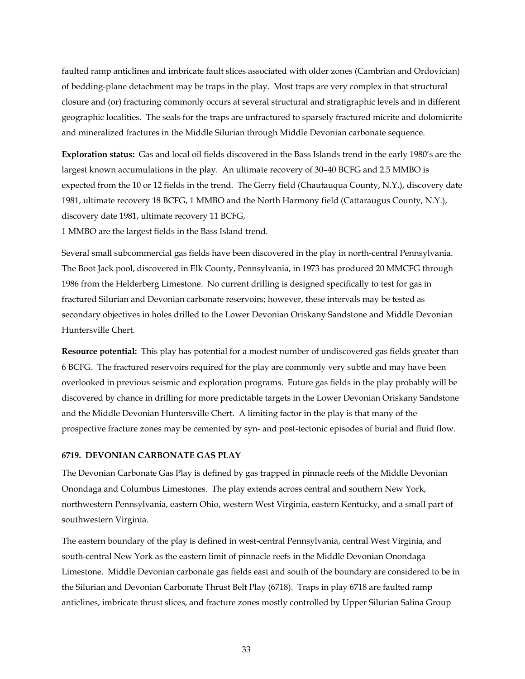faulted ramp anticlines and imbricate fault slices associated with older zones (Cambrian and Ordovician) of bedding-plane detachment may be traps in the play. Most traps are very complex in that structural closure and (or) fracturing commonly occurs at several structural and stratigraphic levels and in different geographic localities. The seals for the traps are unfractured to sparsely fractured micrite and dolomicrite and mineralized fractures in the Middle Silurian through Middle Devonian carbonate sequence.

**Exploration status:** Gas and local oil fields discovered in the Bass Islands trend in the early 1980's are the largest known accumulations in the play. An ultimate recovery of 30–40 BCFG and 2.5 MMBO is expected from the 10 or 12 fields in the trend. The Gerry field (Chautauqua County, N.Y.), discovery date 1981, ultimate recovery 18 BCFG, 1 MMBO and the North Harmony field (Cattaraugus County, N.Y.), discovery date 1981, ultimate recovery 11 BCFG,

1 MMBO are the largest fields in the Bass Island trend.

Several small subcommercial gas fields have been discovered in the play in north-central Pennsylvania. The Boot Jack pool, discovered in Elk County, Pennsylvania, in 1973 has produced 20 MMCFG through 1986 from the Helderberg Limestone. No current drilling is designed specifically to test for gas in fractured Silurian and Devonian carbonate reservoirs; however, these intervals may be tested as secondary objectives in holes drilled to the Lower Devonian Oriskany Sandstone and Middle Devonian Huntersville Chert.

**Resource potential:** This play has potential for a modest number of undiscovered gas fields greater than 6 BCFG. The fractured reservoirs required for the play are commonly very subtle and may have been overlooked in previous seismic and exploration programs. Future gas fields in the play probably will be discovered by chance in drilling for more predictable targets in the Lower Devonian Oriskany Sandstone and the Middle Devonian Huntersville Chert. A limiting factor in the play is that many of the prospective fracture zones may be cemented by syn- and post-tectonic episodes of burial and fluid flow.

#### **6719. DEVONIAN CARBONATE GAS PLAY**

The Devonian Carbonate Gas Play is defined by gas trapped in pinnacle reefs of the Middle Devonian Onondaga and Columbus Limestones. The play extends across central and southern New York, northwestern Pennsylvania, eastern Ohio, western West Virginia, eastern Kentucky, and a small part of southwestern Virginia.

The eastern boundary of the play is defined in west-central Pennsylvania, central West Virginia, and south-central New York as the eastern limit of pinnacle reefs in the Middle Devonian Onondaga Limestone. Middle Devonian carbonate gas fields east and south of the boundary are considered to be in the Silurian and Devonian Carbonate Thrust Belt Play (6718). Traps in play 6718 are faulted ramp anticlines, imbricate thrust slices, and fracture zones mostly controlled by Upper Silurian Salina Group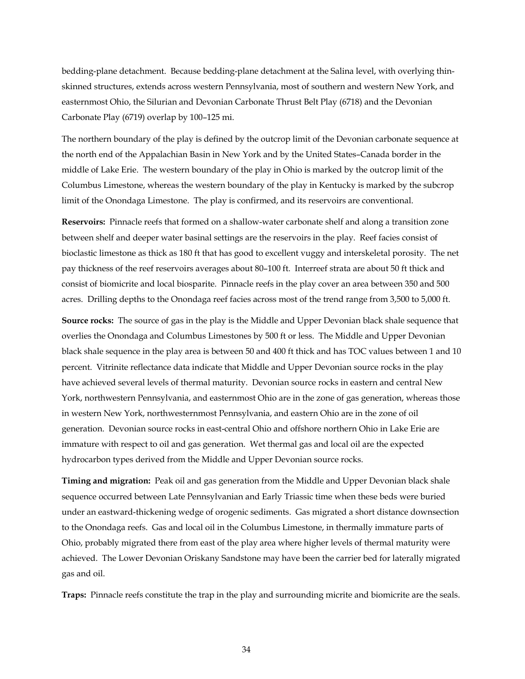bedding-plane detachment. Because bedding-plane detachment at the Salina level, with overlying thinskinned structures, extends across western Pennsylvania, most of southern and western New York, and easternmost Ohio, the Silurian and Devonian Carbonate Thrust Belt Play (6718) and the Devonian Carbonate Play (6719) overlap by 100–125 mi.

The northern boundary of the play is defined by the outcrop limit of the Devonian carbonate sequence at the north end of the Appalachian Basin in New York and by the United States–Canada border in the middle of Lake Erie. The western boundary of the play in Ohio is marked by the outcrop limit of the Columbus Limestone, whereas the western boundary of the play in Kentucky is marked by the subcrop limit of the Onondaga Limestone. The play is confirmed, and its reservoirs are conventional.

**Reservoirs:** Pinnacle reefs that formed on a shallow-water carbonate shelf and along a transition zone between shelf and deeper water basinal settings are the reservoirs in the play. Reef facies consist of bioclastic limestone as thick as 180 ft that has good to excellent vuggy and interskeletal porosity. The net pay thickness of the reef reservoirs averages about 80–100 ft. Interreef strata are about 50 ft thick and consist of biomicrite and local biosparite. Pinnacle reefs in the play cover an area between 350 and 500 acres. Drilling depths to the Onondaga reef facies across most of the trend range from 3,500 to 5,000 ft.

**Source rocks:** The source of gas in the play is the Middle and Upper Devonian black shale sequence that overlies the Onondaga and Columbus Limestones by 500 ft or less. The Middle and Upper Devonian black shale sequence in the play area is between 50 and 400 ft thick and has TOC values between 1 and 10 percent. Vitrinite reflectance data indicate that Middle and Upper Devonian source rocks in the play have achieved several levels of thermal maturity. Devonian source rocks in eastern and central New York, northwestern Pennsylvania, and easternmost Ohio are in the zone of gas generation, whereas those in western New York, northwesternmost Pennsylvania, and eastern Ohio are in the zone of oil generation. Devonian source rocks in east-central Ohio and offshore northern Ohio in Lake Erie are immature with respect to oil and gas generation. Wet thermal gas and local oil are the expected hydrocarbon types derived from the Middle and Upper Devonian source rocks.

**Timing and migration:** Peak oil and gas generation from the Middle and Upper Devonian black shale sequence occurred between Late Pennsylvanian and Early Triassic time when these beds were buried under an eastward-thickening wedge of orogenic sediments. Gas migrated a short distance downsection to the Onondaga reefs. Gas and local oil in the Columbus Limestone, in thermally immature parts of Ohio, probably migrated there from east of the play area where higher levels of thermal maturity were achieved. The Lower Devonian Oriskany Sandstone may have been the carrier bed for laterally migrated gas and oil.

**Traps:** Pinnacle reefs constitute the trap in the play and surrounding micrite and biomicrite are the seals.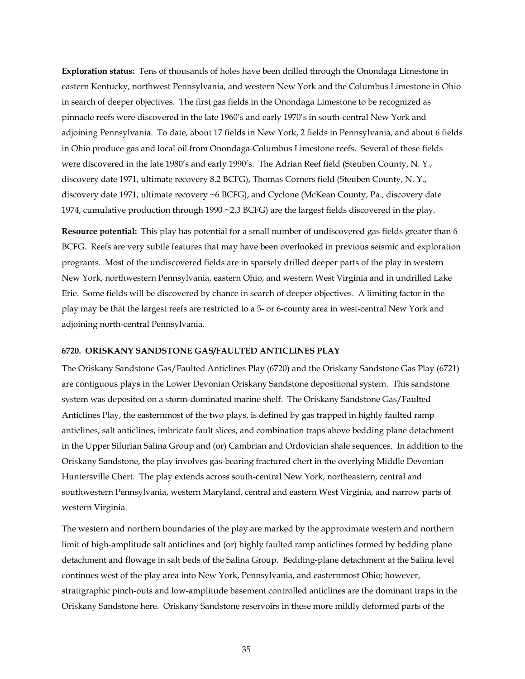**Exploration status:** Tens of thousands of holes have been drilled through the Onondaga Limestone in eastern Kentucky, northwest Pennsylvania, and western New York and the Columbus Limestone in Ohio in search of deeper objectives. The first gas fields in the Onondaga Limestone to be recognized as pinnacle reefs were discovered in the late 1960's and early 1970's in south-central New York and adjoining Pennsylvania. To date, about 17 fields in New York, 2 fields in Pennsylvania, and about 6 fields in Ohio produce gas and local oil from Onondaga-Columbus Limestone reefs. Several of these fields were discovered in the late 1980's and early 1990's. The Adrian Reef field (Steuben County, N. Y., discovery date 1971, ultimate recovery 8.2 BCFG), Thomas Corners field (Steuben County, N. Y., discovery date 1971, ultimate recovery ~6 BCFG), and Cyclone (McKean County, Pa., discovery date 1974, cumulative production through 1990 ~2.3 BCFG) are the largest fields discovered in the play.

**Resource potential:** This play has potential for a small number of undiscovered gas fields greater than 6 BCFG. Reefs are very subtle features that may have been overlooked in previous seismic and exploration programs. Most of the undiscovered fields are in sparsely drilled deeper parts of the play in western New York, northwestern Pennsylvania, eastern Ohio, and western West Virginia and in undrilled Lake Erie. Some fields will be discovered by chance in search of deeper objectives. A limiting factor in the play may be that the largest reefs are restricted to a 5- or 6-county area in west-central New York and adjoining north-central Pennsylvania.

#### **6720. ORISKANY SANDSTONE GAS/FAULTED ANTICLINES PLAY**

The Oriskany Sandstone Gas/Faulted Anticlines Play (6720) and the Oriskany Sandstone Gas Play (6721) are contiguous plays in the Lower Devonian Oriskany Sandstone depositional system. This sandstone system was deposited on a storm-dominated marine shelf. The Oriskany Sandstone Gas/Faulted Anticlines Play, the easternmost of the two plays, is defined by gas trapped in highly faulted ramp anticlines, salt anticlines, imbricate fault slices, and combination traps above bedding plane detachment in the Upper Silurian Salina Group and (or) Cambrian and Ordovician shale sequences. In addition to the Oriskany Sandstone, the play involves gas-bearing fractured chert in the overlying Middle Devonian Huntersville Chert. The play extends across south-central New York, northeastern, central and southwestern Pennsylvania, western Maryland, central and eastern West Virginia, and narrow parts of western Virginia.

The western and northern boundaries of the play are marked by the approximate western and northern limit of high-amplitude salt anticlines and (or) highly faulted ramp anticlines formed by bedding plane detachment and flowage in salt beds of the Salina Group. Bedding-plane detachment at the Salina level continues west of the play area into New York, Pennsylvania, and easternmost Ohio; however, stratigraphic pinch-outs and low-amplitude basement controlled anticlines are the dominant traps in the Oriskany Sandstone here. Oriskany Sandstone reservoirs in these more mildly deformed parts of the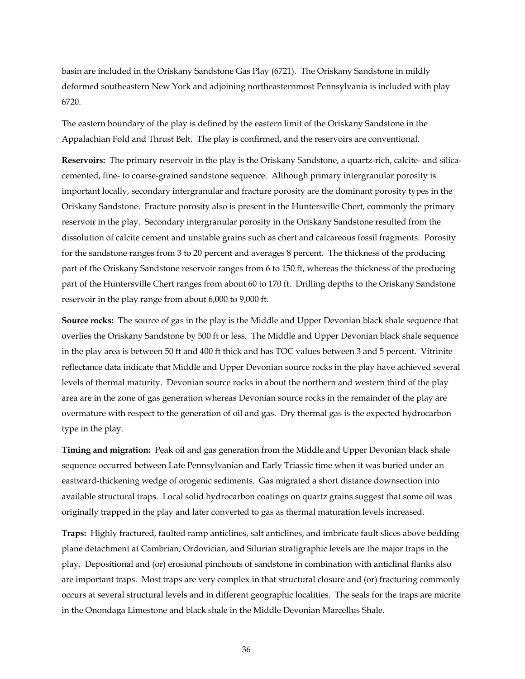basin are included in the Oriskany Sandstone Gas Play (6721). The Oriskany Sandstone in mildly deformed southeastern New York and adjoining northeasternmost Pennsylvania is included with play 6720.

The eastern boundary of the play is defined by the eastern limit of the Oriskany Sandstone in the Appalachian Fold and Thrust Belt. The play is confirmed, and the reservoirs are conventional.

**Reservoirs:** The primary reservoir in the play is the Oriskany Sandstone, a quartz-rich, calcite- and silicacemented, fine- to coarse-grained sandstone sequence. Although primary intergranular porosity is important locally, secondary intergranular and fracture porosity are the dominant porosity types in the Oriskany Sandstone. Fracture porosity also is present in the Huntersville Chert, commonly the primary reservoir in the play. Secondary intergranular porosity in the Oriskany Sandstone resulted from the dissolution of calcite cement and unstable grains such as chert and calcareous fossil fragments. Porosity for the sandstone ranges from 3 to 20 percent and averages 8 percent. The thickness of the producing part of the Oriskany Sandstone reservoir ranges from 6 to 150 ft, whereas the thickness of the producing part of the Huntersville Chert ranges from about 60 to 170 ft. Drilling depths to the Oriskany Sandstone reservoir in the play range from about 6,000 to 9,000 ft.

**Source rocks:** The source of gas in the play is the Middle and Upper Devonian black shale sequence that overlies the Oriskany Sandstone by 500 ft or less. The Middle and Upper Devonian black shale sequence in the play area is between 50 ft and 400 ft thick and has TOC values between 3 and 5 percent. Vitrinite reflectance data indicate that Middle and Upper Devonian source rocks in the play have achieved several levels of thermal maturity. Devonian source rocks in about the northern and western third of the play area are in the zone of gas generation whereas Devonian source rocks in the remainder of the play are overmature with respect to the generation of oil and gas. Dry thermal gas is the expected hydrocarbon type in the play.

**Timing and migration:** Peak oil and gas generation from the Middle and Upper Devonian black shale sequence occurred between Late Pennsylvanian and Early Triassic time when it was buried under an eastward-thickening wedge of orogenic sediments. Gas migrated a short distance downsection into available structural traps. Local solid hydrocarbon coatings on quartz grains suggest that some oil was originally trapped in the play and later converted to gas as thermal maturation levels increased.

**Traps:** Highly fractured, faulted ramp anticlines, salt anticlines, and imbricate fault slices above bedding plane detachment at Cambrian, Ordovician, and Silurian stratigraphic levels are the major traps in the play. Depositional and (or) erosional pinchouts of sandstone in combination with anticlinal flanks also are important traps. Most traps are very complex in that structural closure and (or) fracturing commonly occurs at several structural levels and in different geographic localities. The seals for the traps are micrite in the Onondaga Limestone and black shale in the Middle Devonian Marcellus Shale.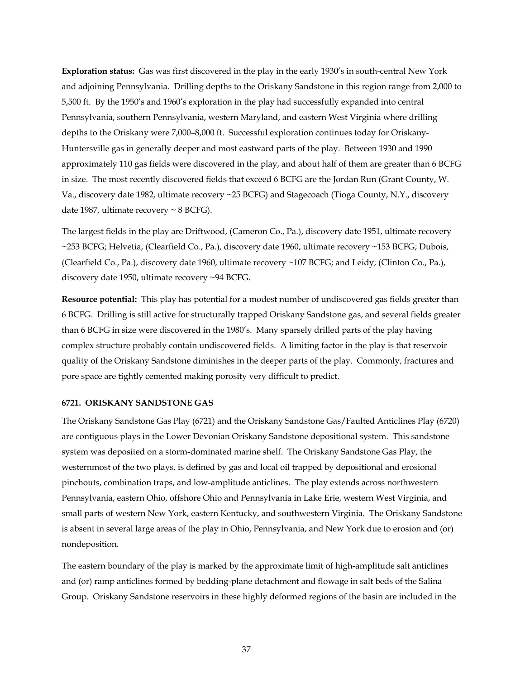**Exploration status:** Gas was first discovered in the play in the early 1930's in south-central New York and adjoining Pennsylvania. Drilling depths to the Oriskany Sandstone in this region range from 2,000 to 5,500 ft. By the 1950's and 1960's exploration in the play had successfully expanded into central Pennsylvania, southern Pennsylvania, western Maryland, and eastern West Virginia where drilling depths to the Oriskany were 7,000–8,000 ft. Successful exploration continues today for Oriskany-Huntersville gas in generally deeper and most eastward parts of the play. Between 1930 and 1990 approximately 110 gas fields were discovered in the play, and about half of them are greater than 6 BCFG in size. The most recently discovered fields that exceed 6 BCFG are the Jordan Run (Grant County, W. Va., discovery date 1982, ultimate recovery ~25 BCFG) and Stagecoach (Tioga County, N.Y., discovery date 1987, ultimate recovery  $\sim$  8 BCFG).

The largest fields in the play are Driftwood, (Cameron Co., Pa.), discovery date 1951, ultimate recovery ~253 BCFG; Helvetia, (Clearfield Co., Pa.), discovery date 1960, ultimate recovery ~153 BCFG; Dubois, (Clearfield Co., Pa.), discovery date 1960, ultimate recovery ~107 BCFG; and Leidy, (Clinton Co., Pa.), discovery date 1950, ultimate recovery ~94 BCFG.

**Resource potential:** This play has potential for a modest number of undiscovered gas fields greater than 6 BCFG. Drilling is still active for structurally trapped Oriskany Sandstone gas, and several fields greater than 6 BCFG in size were discovered in the 1980's. Many sparsely drilled parts of the play having complex structure probably contain undiscovered fields. A limiting factor in the play is that reservoir quality of the Oriskany Sandstone diminishes in the deeper parts of the play. Commonly, fractures and pore space are tightly cemented making porosity very difficult to predict.

#### **6721. ORISKANY SANDSTONE GAS**

The Oriskany Sandstone Gas Play (6721) and the Oriskany Sandstone Gas/Faulted Anticlines Play (6720) are contiguous plays in the Lower Devonian Oriskany Sandstone depositional system. This sandstone system was deposited on a storm-dominated marine shelf. The Oriskany Sandstone Gas Play, the westernmost of the two plays, is defined by gas and local oil trapped by depositional and erosional pinchouts, combination traps, and low-amplitude anticlines. The play extends across northwestern Pennsylvania, eastern Ohio, offshore Ohio and Pennsylvania in Lake Erie, western West Virginia, and small parts of western New York, eastern Kentucky, and southwestern Virginia. The Oriskany Sandstone is absent in several large areas of the play in Ohio, Pennsylvania, and New York due to erosion and (or) nondeposition.

The eastern boundary of the play is marked by the approximate limit of high-amplitude salt anticlines and (or) ramp anticlines formed by bedding-plane detachment and flowage in salt beds of the Salina Group. Oriskany Sandstone reservoirs in these highly deformed regions of the basin are included in the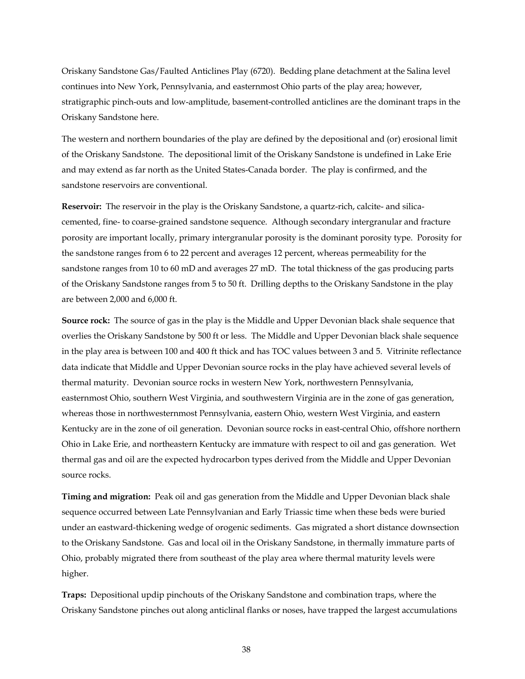Oriskany Sandstone Gas/Faulted Anticlines Play (6720). Bedding plane detachment at the Salina level continues into New York, Pennsylvania, and easternmost Ohio parts of the play area; however, stratigraphic pinch-outs and low-amplitude, basement-controlled anticlines are the dominant traps in the Oriskany Sandstone here.

The western and northern boundaries of the play are defined by the depositional and (or) erosional limit of the Oriskany Sandstone. The depositional limit of the Oriskany Sandstone is undefined in Lake Erie and may extend as far north as the United States-Canada border. The play is confirmed, and the sandstone reservoirs are conventional.

**Reservoir:** The reservoir in the play is the Oriskany Sandstone, a quartz-rich, calcite- and silicacemented, fine- to coarse-grained sandstone sequence. Although secondary intergranular and fracture porosity are important locally, primary intergranular porosity is the dominant porosity type. Porosity for the sandstone ranges from 6 to 22 percent and averages 12 percent, whereas permeability for the sandstone ranges from 10 to 60 mD and averages 27 mD. The total thickness of the gas producing parts of the Oriskany Sandstone ranges from 5 to 50 ft. Drilling depths to the Oriskany Sandstone in the play are between 2,000 and 6,000 ft.

**Source rock:** The source of gas in the play is the Middle and Upper Devonian black shale sequence that overlies the Oriskany Sandstone by 500 ft or less. The Middle and Upper Devonian black shale sequence in the play area is between 100 and 400 ft thick and has TOC values between 3 and 5. Vitrinite reflectance data indicate that Middle and Upper Devonian source rocks in the play have achieved several levels of thermal maturity. Devonian source rocks in western New York, northwestern Pennsylvania, easternmost Ohio, southern West Virginia, and southwestern Virginia are in the zone of gas generation, whereas those in northwesternmost Pennsylvania, eastern Ohio, western West Virginia, and eastern Kentucky are in the zone of oil generation. Devonian source rocks in east-central Ohio, offshore northern Ohio in Lake Erie, and northeastern Kentucky are immature with respect to oil and gas generation. Wet thermal gas and oil are the expected hydrocarbon types derived from the Middle and Upper Devonian source rocks.

**Timing and migration:** Peak oil and gas generation from the Middle and Upper Devonian black shale sequence occurred between Late Pennsylvanian and Early Triassic time when these beds were buried under an eastward-thickening wedge of orogenic sediments. Gas migrated a short distance downsection to the Oriskany Sandstone. Gas and local oil in the Oriskany Sandstone, in thermally immature parts of Ohio, probably migrated there from southeast of the play area where thermal maturity levels were higher.

**Traps:** Depositional updip pinchouts of the Oriskany Sandstone and combination traps, where the Oriskany Sandstone pinches out along anticlinal flanks or noses, have trapped the largest accumulations

38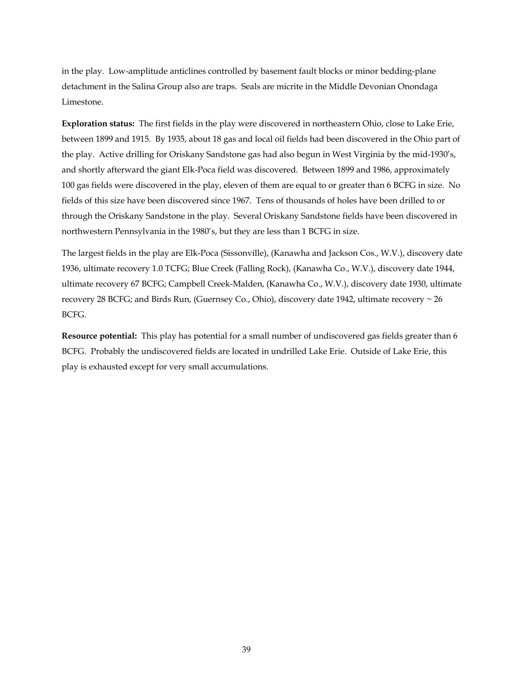in the play. Low-amplitude anticlines controlled by basement fault blocks or minor bedding-plane detachment in the Salina Group also are traps. Seals are micrite in the Middle Devonian Onondaga Limestone.

**Exploration status:** The first fields in the play were discovered in northeastern Ohio, close to Lake Erie, between 1899 and 1915. By 1935, about 18 gas and local oil fields had been discovered in the Ohio part of the play. Active drilling for Oriskany Sandstone gas had also begun in West Virginia by the mid-1930's, and shortly afterward the giant Elk-Poca field was discovered. Between 1899 and 1986, approximately 100 gas fields were discovered in the play, eleven of them are equal to or greater than 6 BCFG in size. No fields of this size have been discovered since 1967. Tens of thousands of holes have been drilled to or through the Oriskany Sandstone in the play. Several Oriskany Sandstone fields have been discovered in northwestern Pennsylvania in the 1980's, but they are less than 1 BCFG in size.

The largest fields in the play are Elk-Poca (Sissonville), (Kanawha and Jackson Cos., W.V.), discovery date 1936, ultimate recovery 1.0 TCFG; Blue Creek (Falling Rock), (Kanawha Co., W.V.), discovery date 1944, ultimate recovery 67 BCFG; Campbell Creek-Malden, (Kanawha Co., W.V.), discovery date 1930, ultimate recovery 28 BCFG; and Birds Run, (Guernsey Co., Ohio), discovery date 1942, ultimate recovery ~ 26 BCFG.

**Resource potential:** This play has potential for a small number of undiscovered gas fields greater than 6 BCFG. Probably the undiscovered fields are located in undrilled Lake Erie. Outside of Lake Erie, this play is exhausted except for very small accumulations.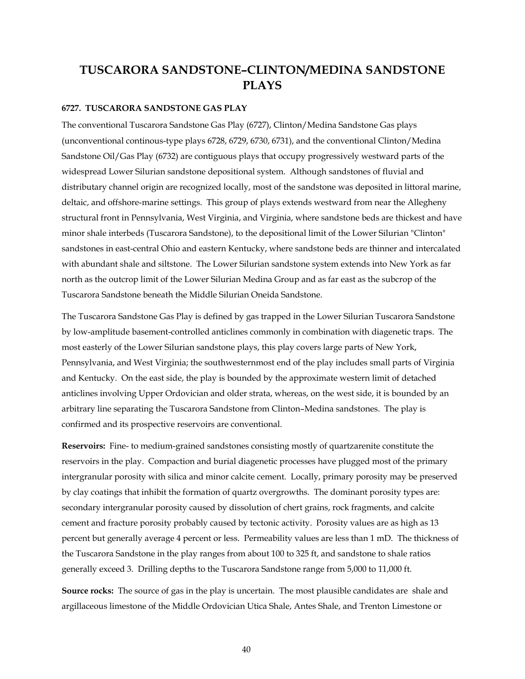# **TUSCARORA SANDSTONE–CLINTON/MEDINA SANDSTONE PLAYS**

### **6727. TUSCARORA SANDSTONE GAS PLAY**

The conventional Tuscarora Sandstone Gas Play (6727), Clinton/Medina Sandstone Gas plays (unconventional continous-type plays 6728, 6729, 6730, 6731), and the conventional Clinton/Medina Sandstone Oil/Gas Play (6732) are contiguous plays that occupy progressively westward parts of the widespread Lower Silurian sandstone depositional system. Although sandstones of fluvial and distributary channel origin are recognized locally, most of the sandstone was deposited in littoral marine, deltaic, and offshore-marine settings. This group of plays extends westward from near the Allegheny structural front in Pennsylvania, West Virginia, and Virginia, where sandstone beds are thickest and have minor shale interbeds (Tuscarora Sandstone), to the depositional limit of the Lower Silurian "Clinton" sandstones in east-central Ohio and eastern Kentucky, where sandstone beds are thinner and intercalated with abundant shale and siltstone. The Lower Silurian sandstone system extends into New York as far north as the outcrop limit of the Lower Silurian Medina Group and as far east as the subcrop of the Tuscarora Sandstone beneath the Middle Silurian Oneida Sandstone.

The Tuscarora Sandstone Gas Play is defined by gas trapped in the Lower Silurian Tuscarora Sandstone by low-amplitude basement-controlled anticlines commonly in combination with diagenetic traps. The most easterly of the Lower Silurian sandstone plays, this play covers large parts of New York, Pennsylvania, and West Virginia; the southwesternmost end of the play includes small parts of Virginia and Kentucky. On the east side, the play is bounded by the approximate western limit of detached anticlines involving Upper Ordovician and older strata, whereas, on the west side, it is bounded by an arbitrary line separating the Tuscarora Sandstone from Clinton–Medina sandstones. The play is confirmed and its prospective reservoirs are conventional.

**Reservoirs:** Fine- to medium-grained sandstones consisting mostly of quartzarenite constitute the reservoirs in the play. Compaction and burial diagenetic processes have plugged most of the primary intergranular porosity with silica and minor calcite cement. Locally, primary porosity may be preserved by clay coatings that inhibit the formation of quartz overgrowths. The dominant porosity types are: secondary intergranular porosity caused by dissolution of chert grains, rock fragments, and calcite cement and fracture porosity probably caused by tectonic activity. Porosity values are as high as 13 percent but generally average 4 percent or less. Permeability values are less than 1 mD. The thickness of the Tuscarora Sandstone in the play ranges from about 100 to 325 ft, and sandstone to shale ratios generally exceed 3. Drilling depths to the Tuscarora Sandstone range from 5,000 to 11,000 ft.

**Source rocks:** The source of gas in the play is uncertain. The most plausible candidates are shale and argillaceous limestone of the Middle Ordovician Utica Shale, Antes Shale, and Trenton Limestone or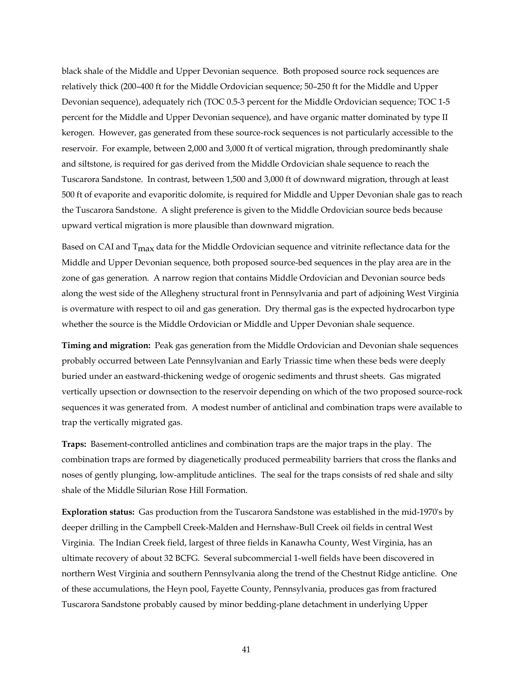black shale of the Middle and Upper Devonian sequence. Both proposed source rock sequences are relatively thick (200–400 ft for the Middle Ordovician sequence; 50–250 ft for the Middle and Upper Devonian sequence), adequately rich (TOC 0.5-3 percent for the Middle Ordovician sequence; TOC 1-5 percent for the Middle and Upper Devonian sequence), and have organic matter dominated by type II kerogen. However, gas generated from these source-rock sequences is not particularly accessible to the reservoir. For example, between 2,000 and 3,000 ft of vertical migration, through predominantly shale and siltstone, is required for gas derived from the Middle Ordovician shale sequence to reach the Tuscarora Sandstone. In contrast, between 1,500 and 3,000 ft of downward migration, through at least 500 ft of evaporite and evaporitic dolomite, is required for Middle and Upper Devonian shale gas to reach the Tuscarora Sandstone. A slight preference is given to the Middle Ordovician source beds because upward vertical migration is more plausible than downward migration.

Based on CAI and T<sub>max</sub> data for the Middle Ordovician sequence and vitrinite reflectance data for the Middle and Upper Devonian sequence, both proposed source-bed sequences in the play area are in the zone of gas generation. A narrow region that contains Middle Ordovician and Devonian source beds along the west side of the Allegheny structural front in Pennsylvania and part of adjoining West Virginia is overmature with respect to oil and gas generation. Dry thermal gas is the expected hydrocarbon type whether the source is the Middle Ordovician or Middle and Upper Devonian shale sequence.

**Timing and migration:** Peak gas generation from the Middle Ordovician and Devonian shale sequences probably occurred between Late Pennsylvanian and Early Triassic time when these beds were deeply buried under an eastward-thickening wedge of orogenic sediments and thrust sheets. Gas migrated vertically upsection or downsection to the reservoir depending on which of the two proposed source-rock sequences it was generated from. A modest number of anticlinal and combination traps were available to trap the vertically migrated gas.

**Traps:** Basement-controlled anticlines and combination traps are the major traps in the play. The combination traps are formed by diagenetically produced permeability barriers that cross the flanks and noses of gently plunging, low-amplitude anticlines. The seal for the traps consists of red shale and silty shale of the Middle Silurian Rose Hill Formation.

**Exploration status:** Gas production from the Tuscarora Sandstone was established in the mid-1970's by deeper drilling in the Campbell Creek-Malden and Hernshaw-Bull Creek oil fields in central West Virginia. The Indian Creek field, largest of three fields in Kanawha County, West Virginia, has an ultimate recovery of about 32 BCFG. Several subcommercial 1-well fields have been discovered in northern West Virginia and southern Pennsylvania along the trend of the Chestnut Ridge anticline. One of these accumulations, the Heyn pool, Fayette County, Pennsylvania, produces gas from fractured Tuscarora Sandstone probably caused by minor bedding-plane detachment in underlying Upper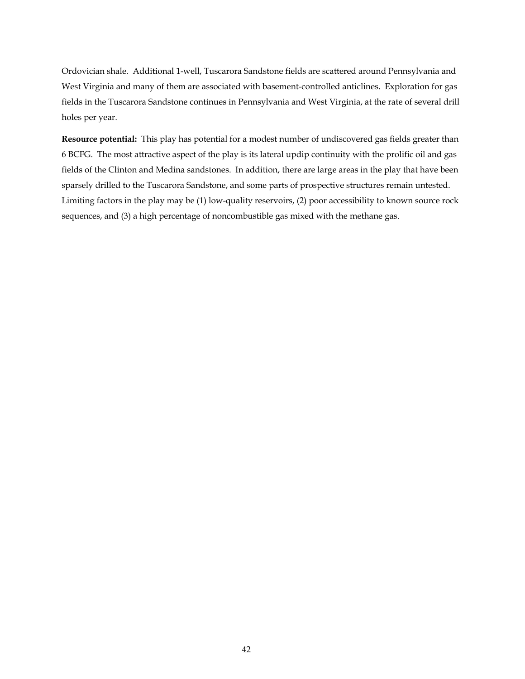Ordovician shale. Additional 1-well, Tuscarora Sandstone fields are scattered around Pennsylvania and West Virginia and many of them are associated with basement-controlled anticlines. Exploration for gas fields in the Tuscarora Sandstone continues in Pennsylvania and West Virginia, at the rate of several drill holes per year.

**Resource potential:** This play has potential for a modest number of undiscovered gas fields greater than 6 BCFG. The most attractive aspect of the play is its lateral updip continuity with the prolific oil and gas fields of the Clinton and Medina sandstones. In addition, there are large areas in the play that have been sparsely drilled to the Tuscarora Sandstone, and some parts of prospective structures remain untested. Limiting factors in the play may be (1) low-quality reservoirs, (2) poor accessibility to known source rock sequences, and (3) a high percentage of noncombustible gas mixed with the methane gas.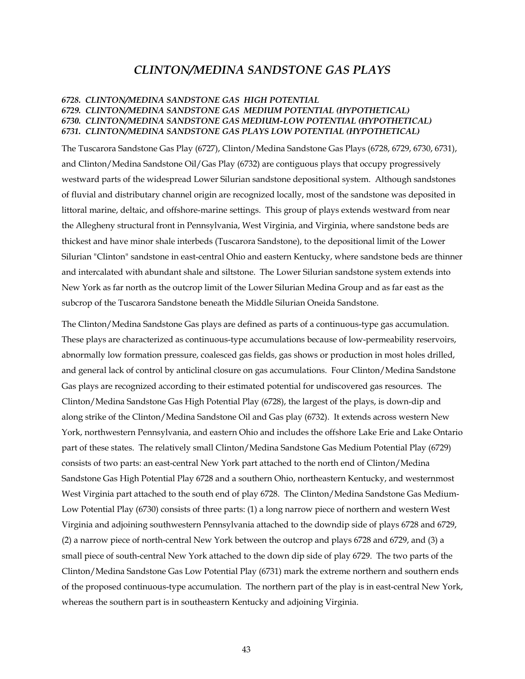# *CLINTON/MEDINA SANDSTONE GAS PLAYS*

## *6728. CLINTON/MEDINA SANDSTONE GAS HIGH POTENTIAL 6729. CLINTON/MEDINA SANDSTONE GAS MEDIUM POTENTIAL (HYPOTHETICAL) 6730. CLINTON/MEDINA SANDSTONE GAS MEDIUM-LOW POTENTIAL (HYPOTHETICAL) 6731. CLINTON/MEDINA SANDSTONE GAS PLAYS LOW POTENTIAL (HYPOTHETICAL)*

The Tuscarora Sandstone Gas Play (6727), Clinton/Medina Sandstone Gas Plays (6728, 6729, 6730, 6731), and Clinton/Medina Sandstone Oil/Gas Play (6732) are contiguous plays that occupy progressively westward parts of the widespread Lower Silurian sandstone depositional system. Although sandstones of fluvial and distributary channel origin are recognized locally, most of the sandstone was deposited in littoral marine, deltaic, and offshore-marine settings. This group of plays extends westward from near the Allegheny structural front in Pennsylvania, West Virginia, and Virginia, where sandstone beds are thickest and have minor shale interbeds (Tuscarora Sandstone), to the depositional limit of the Lower Silurian "Clinton" sandstone in east-central Ohio and eastern Kentucky, where sandstone beds are thinner and intercalated with abundant shale and siltstone. The Lower Silurian sandstone system extends into New York as far north as the outcrop limit of the Lower Silurian Medina Group and as far east as the subcrop of the Tuscarora Sandstone beneath the Middle Silurian Oneida Sandstone.

The Clinton/Medina Sandstone Gas plays are defined as parts of a continuous-type gas accumulation. These plays are characterized as continuous-type accumulations because of low-permeability reservoirs, abnormally low formation pressure, coalesced gas fields, gas shows or production in most holes drilled, and general lack of control by anticlinal closure on gas accumulations. Four Clinton/Medina Sandstone Gas plays are recognized according to their estimated potential for undiscovered gas resources. The Clinton/Medina Sandstone Gas High Potential Play (6728), the largest of the plays, is down-dip and along strike of the Clinton/Medina Sandstone Oil and Gas play (6732). It extends across western New York, northwestern Pennsylvania, and eastern Ohio and includes the offshore Lake Erie and Lake Ontario part of these states. The relatively small Clinton/Medina Sandstone Gas Medium Potential Play (6729) consists of two parts: an east-central New York part attached to the north end of Clinton/Medina Sandstone Gas High Potential Play 6728 and a southern Ohio, northeastern Kentucky, and westernmost West Virginia part attached to the south end of play 6728. The Clinton/Medina Sandstone Gas Medium-Low Potential Play (6730) consists of three parts: (1) a long narrow piece of northern and western West Virginia and adjoining southwestern Pennsylvania attached to the downdip side of plays 6728 and 6729, (2) a narrow piece of north-central New York between the outcrop and plays 6728 and 6729, and (3) a small piece of south-central New York attached to the down dip side of play 6729. The two parts of the Clinton/Medina Sandstone Gas Low Potential Play (6731) mark the extreme northern and southern ends of the proposed continuous-type accumulation. The northern part of the play is in east-central New York, whereas the southern part is in southeastern Kentucky and adjoining Virginia.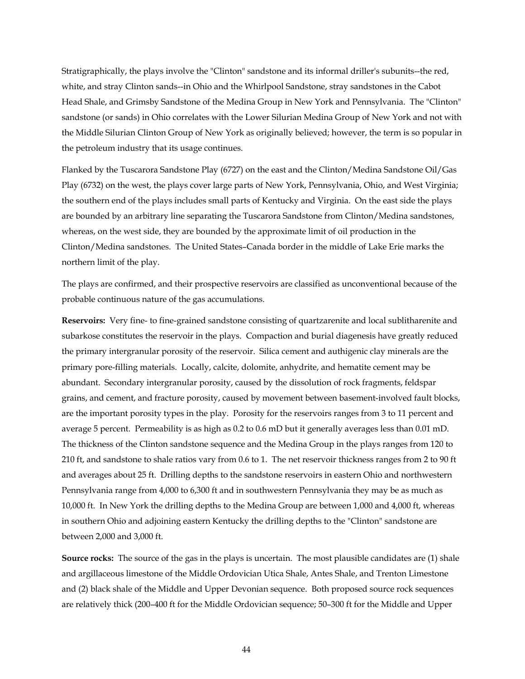Stratigraphically, the plays involve the "Clinton" sandstone and its informal driller's subunits--the red, white, and stray Clinton sands--in Ohio and the Whirlpool Sandstone, stray sandstones in the Cabot Head Shale, and Grimsby Sandstone of the Medina Group in New York and Pennsylvania. The "Clinton" sandstone (or sands) in Ohio correlates with the Lower Silurian Medina Group of New York and not with the Middle Silurian Clinton Group of New York as originally believed; however, the term is so popular in the petroleum industry that its usage continues.

Flanked by the Tuscarora Sandstone Play (6727) on the east and the Clinton/Medina Sandstone Oil/Gas Play (6732) on the west, the plays cover large parts of New York, Pennsylvania, Ohio, and West Virginia; the southern end of the plays includes small parts of Kentucky and Virginia. On the east side the plays are bounded by an arbitrary line separating the Tuscarora Sandstone from Clinton/Medina sandstones, whereas, on the west side, they are bounded by the approximate limit of oil production in the Clinton/Medina sandstones. The United States–Canada border in the middle of Lake Erie marks the northern limit of the play.

The plays are confirmed, and their prospective reservoirs are classified as unconventional because of the probable continuous nature of the gas accumulations.

**Reservoirs:** Very fine- to fine-grained sandstone consisting of quartzarenite and local sublitharenite and subarkose constitutes the reservoir in the plays. Compaction and burial diagenesis have greatly reduced the primary intergranular porosity of the reservoir. Silica cement and authigenic clay minerals are the primary pore-filling materials. Locally, calcite, dolomite, anhydrite, and hematite cement may be abundant. Secondary intergranular porosity, caused by the dissolution of rock fragments, feldspar grains, and cement, and fracture porosity, caused by movement between basement-involved fault blocks, are the important porosity types in the play. Porosity for the reservoirs ranges from 3 to 11 percent and average 5 percent. Permeability is as high as 0.2 to 0.6 mD but it generally averages less than 0.01 mD. The thickness of the Clinton sandstone sequence and the Medina Group in the plays ranges from 120 to 210 ft, and sandstone to shale ratios vary from 0.6 to 1. The net reservoir thickness ranges from 2 to 90 ft and averages about 25 ft. Drilling depths to the sandstone reservoirs in eastern Ohio and northwestern Pennsylvania range from 4,000 to 6,300 ft and in southwestern Pennsylvania they may be as much as 10,000 ft. In New York the drilling depths to the Medina Group are between 1,000 and 4,000 ft, whereas in southern Ohio and adjoining eastern Kentucky the drilling depths to the "Clinton" sandstone are between 2,000 and 3,000 ft.

**Source rocks:** The source of the gas in the plays is uncertain. The most plausible candidates are (1) shale and argillaceous limestone of the Middle Ordovician Utica Shale, Antes Shale, and Trenton Limestone and (2) black shale of the Middle and Upper Devonian sequence. Both proposed source rock sequences are relatively thick (200–400 ft for the Middle Ordovician sequence; 50–300 ft for the Middle and Upper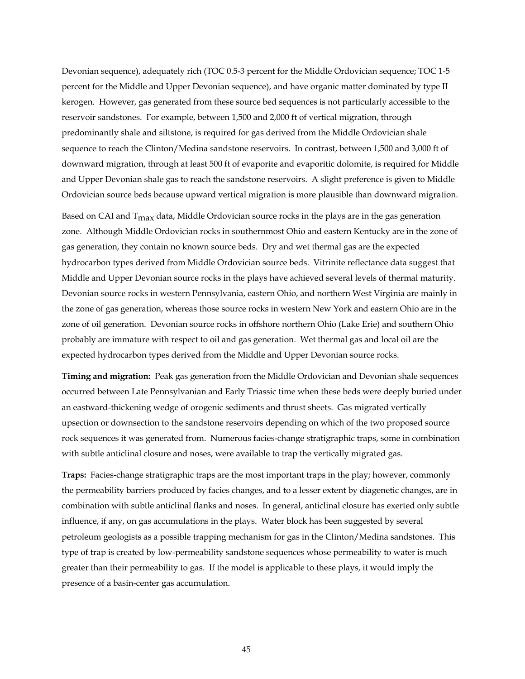Devonian sequence), adequately rich (TOC 0.5-3 percent for the Middle Ordovician sequence; TOC 1-5 percent for the Middle and Upper Devonian sequence), and have organic matter dominated by type II kerogen. However, gas generated from these source bed sequences is not particularly accessible to the reservoir sandstones. For example, between 1,500 and 2,000 ft of vertical migration, through predominantly shale and siltstone, is required for gas derived from the Middle Ordovician shale sequence to reach the Clinton/Medina sandstone reservoirs. In contrast, between 1,500 and 3,000 ft of downward migration, through at least 500 ft of evaporite and evaporitic dolomite, is required for Middle and Upper Devonian shale gas to reach the sandstone reservoirs. A slight preference is given to Middle Ordovician source beds because upward vertical migration is more plausible than downward migration.

Based on CAI and  $T_{\text{max}}$  data, Middle Ordovician source rocks in the plays are in the gas generation zone. Although Middle Ordovician rocks in southernmost Ohio and eastern Kentucky are in the zone of gas generation, they contain no known source beds. Dry and wet thermal gas are the expected hydrocarbon types derived from Middle Ordovician source beds. Vitrinite reflectance data suggest that Middle and Upper Devonian source rocks in the plays have achieved several levels of thermal maturity. Devonian source rocks in western Pennsylvania, eastern Ohio, and northern West Virginia are mainly in the zone of gas generation, whereas those source rocks in western New York and eastern Ohio are in the zone of oil generation. Devonian source rocks in offshore northern Ohio (Lake Erie) and southern Ohio probably are immature with respect to oil and gas generation. Wet thermal gas and local oil are the expected hydrocarbon types derived from the Middle and Upper Devonian source rocks.

**Timing and migration:** Peak gas generation from the Middle Ordovician and Devonian shale sequences occurred between Late Pennsylvanian and Early Triassic time when these beds were deeply buried under an eastward-thickening wedge of orogenic sediments and thrust sheets. Gas migrated vertically upsection or downsection to the sandstone reservoirs depending on which of the two proposed source rock sequences it was generated from. Numerous facies-change stratigraphic traps, some in combination with subtle anticlinal closure and noses, were available to trap the vertically migrated gas.

**Traps:** Facies-change stratigraphic traps are the most important traps in the play; however, commonly the permeability barriers produced by facies changes, and to a lesser extent by diagenetic changes, are in combination with subtle anticlinal flanks and noses. In general, anticlinal closure has exerted only subtle influence, if any, on gas accumulations in the plays. Water block has been suggested by several petroleum geologists as a possible trapping mechanism for gas in the Clinton/Medina sandstones. This type of trap is created by low-permeability sandstone sequences whose permeability to water is much greater than their permeability to gas. If the model is applicable to these plays, it would imply the presence of a basin-center gas accumulation.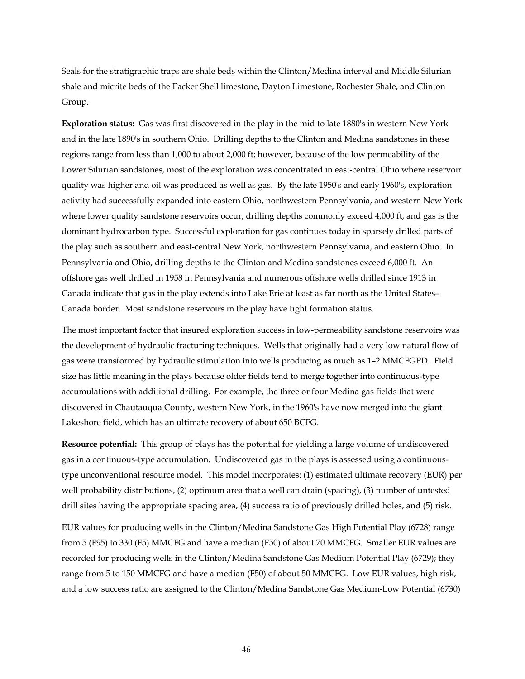Seals for the stratigraphic traps are shale beds within the Clinton/Medina interval and Middle Silurian shale and micrite beds of the Packer Shell limestone, Dayton Limestone, Rochester Shale, and Clinton Group.

**Exploration status:** Gas was first discovered in the play in the mid to late 1880's in western New York and in the late 1890's in southern Ohio. Drilling depths to the Clinton and Medina sandstones in these regions range from less than 1,000 to about 2,000 ft; however, because of the low permeability of the Lower Silurian sandstones, most of the exploration was concentrated in east-central Ohio where reservoir quality was higher and oil was produced as well as gas. By the late 1950's and early 1960's, exploration activity had successfully expanded into eastern Ohio, northwestern Pennsylvania, and western New York where lower quality sandstone reservoirs occur, drilling depths commonly exceed 4,000 ft, and gas is the dominant hydrocarbon type. Successful exploration for gas continues today in sparsely drilled parts of the play such as southern and east-central New York, northwestern Pennsylvania, and eastern Ohio. In Pennsylvania and Ohio, drilling depths to the Clinton and Medina sandstones exceed 6,000 ft. An offshore gas well drilled in 1958 in Pennsylvania and numerous offshore wells drilled since 1913 in Canada indicate that gas in the play extends into Lake Erie at least as far north as the United States– Canada border. Most sandstone reservoirs in the play have tight formation status.

The most important factor that insured exploration success in low-permeability sandstone reservoirs was the development of hydraulic fracturing techniques. Wells that originally had a very low natural flow of gas were transformed by hydraulic stimulation into wells producing as much as 1–2 MMCFGPD. Field size has little meaning in the plays because older fields tend to merge together into continuous-type accumulations with additional drilling. For example, the three or four Medina gas fields that were discovered in Chautauqua County, western New York, in the 1960's have now merged into the giant Lakeshore field, which has an ultimate recovery of about 650 BCFG.

**Resource potential:** This group of plays has the potential for yielding a large volume of undiscovered gas in a continuous-type accumulation. Undiscovered gas in the plays is assessed using a continuoustype unconventional resource model. This model incorporates: (1) estimated ultimate recovery (EUR) per well probability distributions, (2) optimum area that a well can drain (spacing), (3) number of untested drill sites having the appropriate spacing area, (4) success ratio of previously drilled holes, and (5) risk.

EUR values for producing wells in the Clinton/Medina Sandstone Gas High Potential Play (6728) range from 5 (F95) to 330 (F5) MMCFG and have a median (F50) of about 70 MMCFG. Smaller EUR values are recorded for producing wells in the Clinton/Medina Sandstone Gas Medium Potential Play (6729); they range from 5 to 150 MMCFG and have a median (F50) of about 50 MMCFG. Low EUR values, high risk, and a low success ratio are assigned to the Clinton/Medina Sandstone Gas Medium-Low Potential (6730)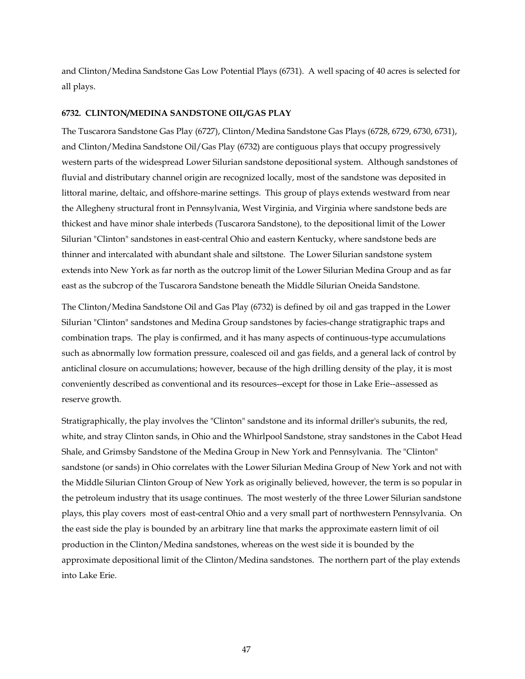and Clinton/Medina Sandstone Gas Low Potential Plays (6731). A well spacing of 40 acres is selected for all plays.

### **6732. CLINTON/MEDINA SANDSTONE OIL/GAS PLAY**

The Tuscarora Sandstone Gas Play (6727), Clinton/Medina Sandstone Gas Plays (6728, 6729, 6730, 6731), and Clinton/Medina Sandstone Oil/Gas Play (6732) are contiguous plays that occupy progressively western parts of the widespread Lower Silurian sandstone depositional system. Although sandstones of fluvial and distributary channel origin are recognized locally, most of the sandstone was deposited in littoral marine, deltaic, and offshore-marine settings. This group of plays extends westward from near the Allegheny structural front in Pennsylvania, West Virginia, and Virginia where sandstone beds are thickest and have minor shale interbeds (Tuscarora Sandstone), to the depositional limit of the Lower Silurian "Clinton" sandstones in east-central Ohio and eastern Kentucky, where sandstone beds are thinner and intercalated with abundant shale and siltstone. The Lower Silurian sandstone system extends into New York as far north as the outcrop limit of the Lower Silurian Medina Group and as far east as the subcrop of the Tuscarora Sandstone beneath the Middle Silurian Oneida Sandstone.

The Clinton/Medina Sandstone Oil and Gas Play (6732) is defined by oil and gas trapped in the Lower Silurian "Clinton" sandstones and Medina Group sandstones by facies-change stratigraphic traps and combination traps. The play is confirmed, and it has many aspects of continuous-type accumulations such as abnormally low formation pressure, coalesced oil and gas fields, and a general lack of control by anticlinal closure on accumulations; however, because of the high drilling density of the play, it is most conveniently described as conventional and its resources--except for those in Lake Erie--assessed as reserve growth.

Stratigraphically, the play involves the "Clinton" sandstone and its informal driller's subunits, the red, white, and stray Clinton sands, in Ohio and the Whirlpool Sandstone, stray sandstones in the Cabot Head Shale, and Grimsby Sandstone of the Medina Group in New York and Pennsylvania. The "Clinton" sandstone (or sands) in Ohio correlates with the Lower Silurian Medina Group of New York and not with the Middle Silurian Clinton Group of New York as originally believed, however, the term is so popular in the petroleum industry that its usage continues. The most westerly of the three Lower Silurian sandstone plays, this play covers most of east-central Ohio and a very small part of northwestern Pennsylvania. On the east side the play is bounded by an arbitrary line that marks the approximate eastern limit of oil production in the Clinton/Medina sandstones, whereas on the west side it is bounded by the approximate depositional limit of the Clinton/Medina sandstones. The northern part of the play extends into Lake Erie.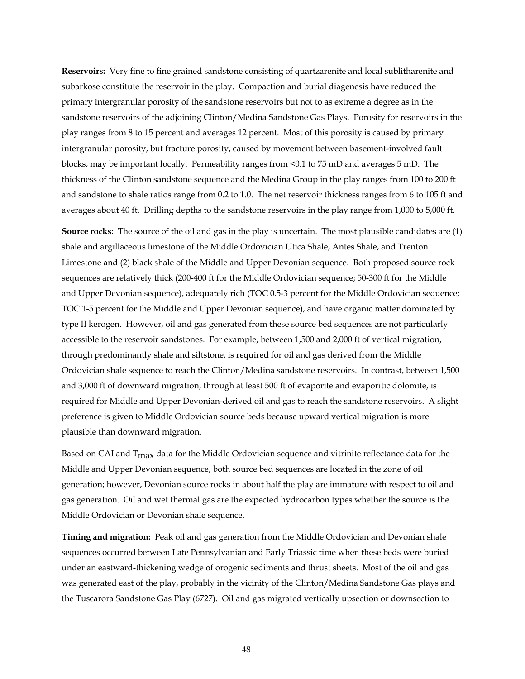**Reservoirs:** Very fine to fine grained sandstone consisting of quartzarenite and local sublitharenite and subarkose constitute the reservoir in the play. Compaction and burial diagenesis have reduced the primary intergranular porosity of the sandstone reservoirs but not to as extreme a degree as in the sandstone reservoirs of the adjoining Clinton/Medina Sandstone Gas Plays. Porosity for reservoirs in the play ranges from 8 to 15 percent and averages 12 percent. Most of this porosity is caused by primary intergranular porosity, but fracture porosity, caused by movement between basement-involved fault blocks, may be important locally. Permeability ranges from <0.1 to 75 mD and averages 5 mD. The thickness of the Clinton sandstone sequence and the Medina Group in the play ranges from 100 to 200 ft and sandstone to shale ratios range from 0.2 to 1.0. The net reservoir thickness ranges from 6 to 105 ft and averages about 40 ft. Drilling depths to the sandstone reservoirs in the play range from 1,000 to 5,000 ft.

**Source rocks:** The source of the oil and gas in the play is uncertain. The most plausible candidates are (1) shale and argillaceous limestone of the Middle Ordovician Utica Shale, Antes Shale, and Trenton Limestone and (2) black shale of the Middle and Upper Devonian sequence. Both proposed source rock sequences are relatively thick (200-400 ft for the Middle Ordovician sequence; 50-300 ft for the Middle and Upper Devonian sequence), adequately rich (TOC 0.5-3 percent for the Middle Ordovician sequence; TOC 1-5 percent for the Middle and Upper Devonian sequence), and have organic matter dominated by type II kerogen. However, oil and gas generated from these source bed sequences are not particularly accessible to the reservoir sandstones. For example, between 1,500 and 2,000 ft of vertical migration, through predominantly shale and siltstone, is required for oil and gas derived from the Middle Ordovician shale sequence to reach the Clinton/Medina sandstone reservoirs. In contrast, between 1,500 and 3,000 ft of downward migration, through at least 500 ft of evaporite and evaporitic dolomite, is required for Middle and Upper Devonian-derived oil and gas to reach the sandstone reservoirs. A slight preference is given to Middle Ordovician source beds because upward vertical migration is more plausible than downward migration.

Based on CAI and T<sub>max</sub> data for the Middle Ordovician sequence and vitrinite reflectance data for the Middle and Upper Devonian sequence, both source bed sequences are located in the zone of oil generation; however, Devonian source rocks in about half the play are immature with respect to oil and gas generation. Oil and wet thermal gas are the expected hydrocarbon types whether the source is the Middle Ordovician or Devonian shale sequence.

**Timing and migration:** Peak oil and gas generation from the Middle Ordovician and Devonian shale sequences occurred between Late Pennsylvanian and Early Triassic time when these beds were buried under an eastward-thickening wedge of orogenic sediments and thrust sheets. Most of the oil and gas was generated east of the play, probably in the vicinity of the Clinton/Medina Sandstone Gas plays and the Tuscarora Sandstone Gas Play (6727). Oil and gas migrated vertically upsection or downsection to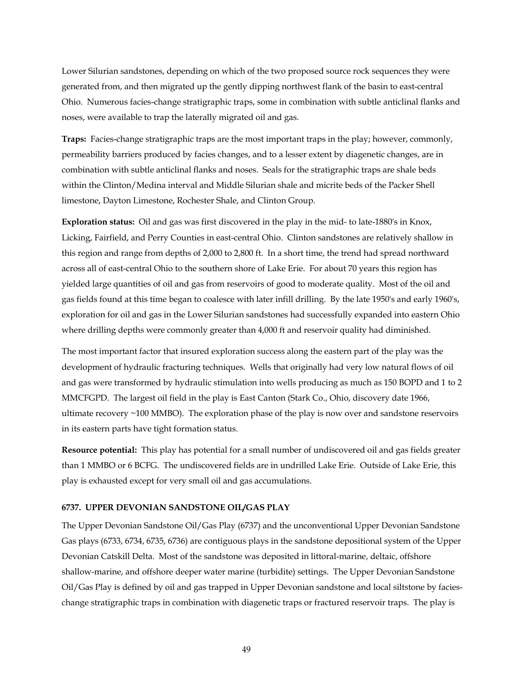Lower Silurian sandstones, depending on which of the two proposed source rock sequences they were generated from, and then migrated up the gently dipping northwest flank of the basin to east-central Ohio. Numerous facies-change stratigraphic traps, some in combination with subtle anticlinal flanks and noses, were available to trap the laterally migrated oil and gas.

**Traps:** Facies-change stratigraphic traps are the most important traps in the play; however, commonly, permeability barriers produced by facies changes, and to a lesser extent by diagenetic changes, are in combination with subtle anticlinal flanks and noses. Seals for the stratigraphic traps are shale beds within the Clinton/Medina interval and Middle Silurian shale and micrite beds of the Packer Shell limestone, Dayton Limestone, Rochester Shale, and Clinton Group.

**Exploration status:** Oil and gas was first discovered in the play in the mid- to late-1880's in Knox, Licking, Fairfield, and Perry Counties in east-central Ohio. Clinton sandstones are relatively shallow in this region and range from depths of 2,000 to 2,800 ft. In a short time, the trend had spread northward across all of east-central Ohio to the southern shore of Lake Erie. For about 70 years this region has yielded large quantities of oil and gas from reservoirs of good to moderate quality. Most of the oil and gas fields found at this time began to coalesce with later infill drilling. By the late 1950's and early 1960's, exploration for oil and gas in the Lower Silurian sandstones had successfully expanded into eastern Ohio where drilling depths were commonly greater than 4,000 ft and reservoir quality had diminished.

The most important factor that insured exploration success along the eastern part of the play was the development of hydraulic fracturing techniques. Wells that originally had very low natural flows of oil and gas were transformed by hydraulic stimulation into wells producing as much as 150 BOPD and 1 to 2 MMCFGPD. The largest oil field in the play is East Canton (Stark Co., Ohio, discovery date 1966, ultimate recovery ~100 MMBO). The exploration phase of the play is now over and sandstone reservoirs in its eastern parts have tight formation status.

**Resource potential:** This play has potential for a small number of undiscovered oil and gas fields greater than 1 MMBO or 6 BCFG. The undiscovered fields are in undrilled Lake Erie. Outside of Lake Erie, this play is exhausted except for very small oil and gas accumulations.

#### **6737. UPPER DEVONIAN SANDSTONE OIL/GAS PLAY**

The Upper Devonian Sandstone Oil/Gas Play (6737) and the unconventional Upper Devonian Sandstone Gas plays (6733, 6734, 6735, 6736) are contiguous plays in the sandstone depositional system of the Upper Devonian Catskill Delta. Most of the sandstone was deposited in littoral-marine, deltaic, offshore shallow-marine, and offshore deeper water marine (turbidite) settings. The Upper Devonian Sandstone Oil/Gas Play is defined by oil and gas trapped in Upper Devonian sandstone and local siltstone by facieschange stratigraphic traps in combination with diagenetic traps or fractured reservoir traps. The play is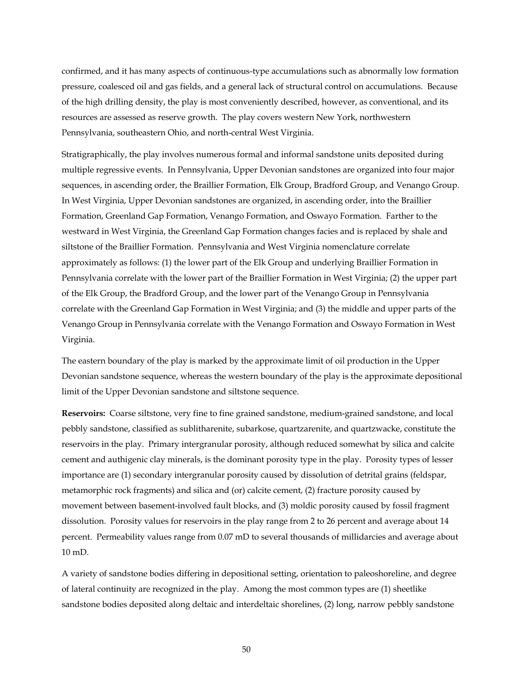confirmed, and it has many aspects of continuous-type accumulations such as abnormally low formation pressure, coalesced oil and gas fields, and a general lack of structural control on accumulations. Because of the high drilling density, the play is most conveniently described, however, as conventional, and its resources are assessed as reserve growth. The play covers western New York, northwestern Pennsylvania, southeastern Ohio, and north-central West Virginia.

Stratigraphically, the play involves numerous formal and informal sandstone units deposited during multiple regressive events. In Pennsylvania, Upper Devonian sandstones are organized into four major sequences, in ascending order, the Braillier Formation, Elk Group, Bradford Group, and Venango Group. In West Virginia, Upper Devonian sandstones are organized, in ascending order, into the Braillier Formation, Greenland Gap Formation, Venango Formation, and Oswayo Formation. Farther to the westward in West Virginia, the Greenland Gap Formation changes facies and is replaced by shale and siltstone of the Braillier Formation. Pennsylvania and West Virginia nomenclature correlate approximately as follows: (1) the lower part of the Elk Group and underlying Braillier Formation in Pennsylvania correlate with the lower part of the Braillier Formation in West Virginia; (2) the upper part of the Elk Group, the Bradford Group, and the lower part of the Venango Group in Pennsylvania correlate with the Greenland Gap Formation in West Virginia; and (3) the middle and upper parts of the Venango Group in Pennsylvania correlate with the Venango Formation and Oswayo Formation in West Virginia.

The eastern boundary of the play is marked by the approximate limit of oil production in the Upper Devonian sandstone sequence, whereas the western boundary of the play is the approximate depositional limit of the Upper Devonian sandstone and siltstone sequence.

**Reservoirs:** Coarse siltstone, very fine to fine grained sandstone, medium-grained sandstone, and local pebbly sandstone, classified as sublitharenite, subarkose, quartzarenite, and quartzwacke, constitute the reservoirs in the play. Primary intergranular porosity, although reduced somewhat by silica and calcite cement and authigenic clay minerals, is the dominant porosity type in the play. Porosity types of lesser importance are (1) secondary intergranular porosity caused by dissolution of detrital grains (feldspar, metamorphic rock fragments) and silica and (or) calcite cement, (2) fracture porosity caused by movement between basement-involved fault blocks, and (3) moldic porosity caused by fossil fragment dissolution. Porosity values for reservoirs in the play range from 2 to 26 percent and average about 14 percent. Permeability values range from 0.07 mD to several thousands of millidarcies and average about 10 mD.

A variety of sandstone bodies differing in depositional setting, orientation to paleoshoreline, and degree of lateral continuity are recognized in the play. Among the most common types are (1) sheetlike sandstone bodies deposited along deltaic and interdeltaic shorelines, (2) long, narrow pebbly sandstone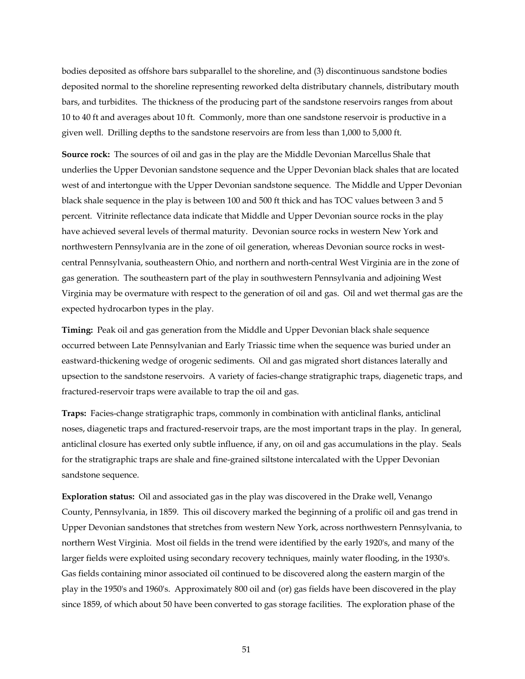bodies deposited as offshore bars subparallel to the shoreline, and (3) discontinuous sandstone bodies deposited normal to the shoreline representing reworked delta distributary channels, distributary mouth bars, and turbidites. The thickness of the producing part of the sandstone reservoirs ranges from about 10 to 40 ft and averages about 10 ft. Commonly, more than one sandstone reservoir is productive in a given well. Drilling depths to the sandstone reservoirs are from less than 1,000 to 5,000 ft.

**Source rock:** The sources of oil and gas in the play are the Middle Devonian Marcellus Shale that underlies the Upper Devonian sandstone sequence and the Upper Devonian black shales that are located west of and intertongue with the Upper Devonian sandstone sequence. The Middle and Upper Devonian black shale sequence in the play is between 100 and 500 ft thick and has TOC values between 3 and 5 percent. Vitrinite reflectance data indicate that Middle and Upper Devonian source rocks in the play have achieved several levels of thermal maturity. Devonian source rocks in western New York and northwestern Pennsylvania are in the zone of oil generation, whereas Devonian source rocks in westcentral Pennsylvania, southeastern Ohio, and northern and north-central West Virginia are in the zone of gas generation. The southeastern part of the play in southwestern Pennsylvania and adjoining West Virginia may be overmature with respect to the generation of oil and gas. Oil and wet thermal gas are the expected hydrocarbon types in the play.

**Timing:** Peak oil and gas generation from the Middle and Upper Devonian black shale sequence occurred between Late Pennsylvanian and Early Triassic time when the sequence was buried under an eastward-thickening wedge of orogenic sediments. Oil and gas migrated short distances laterally and upsection to the sandstone reservoirs. A variety of facies-change stratigraphic traps, diagenetic traps, and fractured-reservoir traps were available to trap the oil and gas.

**Traps:** Facies-change stratigraphic traps, commonly in combination with anticlinal flanks, anticlinal noses, diagenetic traps and fractured-reservoir traps, are the most important traps in the play. In general, anticlinal closure has exerted only subtle influence, if any, on oil and gas accumulations in the play. Seals for the stratigraphic traps are shale and fine-grained siltstone intercalated with the Upper Devonian sandstone sequence.

**Exploration status:** Oil and associated gas in the play was discovered in the Drake well, Venango County, Pennsylvania, in 1859. This oil discovery marked the beginning of a prolific oil and gas trend in Upper Devonian sandstones that stretches from western New York, across northwestern Pennsylvania, to northern West Virginia. Most oil fields in the trend were identified by the early 1920's, and many of the larger fields were exploited using secondary recovery techniques, mainly water flooding, in the 1930's. Gas fields containing minor associated oil continued to be discovered along the eastern margin of the play in the 1950's and 1960's. Approximately 800 oil and (or) gas fields have been discovered in the play since 1859, of which about 50 have been converted to gas storage facilities. The exploration phase of the

51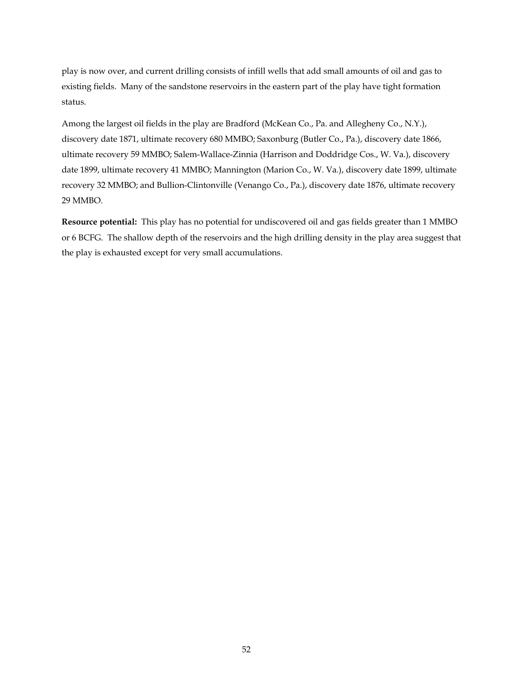play is now over, and current drilling consists of infill wells that add small amounts of oil and gas to existing fields. Many of the sandstone reservoirs in the eastern part of the play have tight formation status.

Among the largest oil fields in the play are Bradford (McKean Co., Pa. and Allegheny Co., N.Y.), discovery date 1871, ultimate recovery 680 MMBO; Saxonburg (Butler Co., Pa.), discovery date 1866, ultimate recovery 59 MMBO; Salem-Wallace-Zinnia (Harrison and Doddridge Cos., W. Va.), discovery date 1899, ultimate recovery 41 MMBO; Mannington (Marion Co., W. Va.), discovery date 1899, ultimate recovery 32 MMBO; and Bullion-Clintonville (Venango Co., Pa.), discovery date 1876, ultimate recovery 29 MMBO.

**Resource potential:** This play has no potential for undiscovered oil and gas fields greater than 1 MMBO or 6 BCFG. The shallow depth of the reservoirs and the high drilling density in the play area suggest that the play is exhausted except for very small accumulations.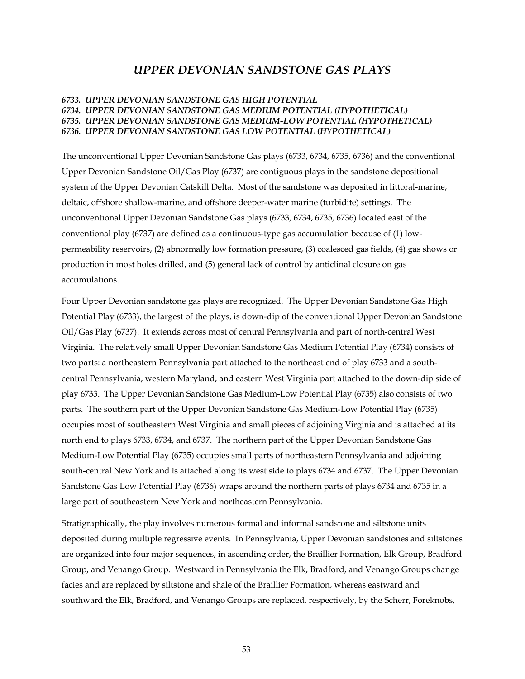# *UPPER DEVONIAN SANDSTONE GAS PLAYS*

## *6733. UPPER DEVONIAN SANDSTONE GAS HIGH POTENTIAL 6734. UPPER DEVONIAN SANDSTONE GAS MEDIUM POTENTIAL (HYPOTHETICAL) 6735. UPPER DEVONIAN SANDSTONE GAS MEDIUM-LOW POTENTIAL (HYPOTHETICAL) 6736. UPPER DEVONIAN SANDSTONE GAS LOW POTENTIAL (HYPOTHETICAL)*

The unconventional Upper Devonian Sandstone Gas plays (6733, 6734, 6735, 6736) and the conventional Upper Devonian Sandstone Oil/Gas Play (6737) are contiguous plays in the sandstone depositional system of the Upper Devonian Catskill Delta. Most of the sandstone was deposited in littoral-marine, deltaic, offshore shallow-marine, and offshore deeper-water marine (turbidite) settings. The unconventional Upper Devonian Sandstone Gas plays (6733, 6734, 6735, 6736) located east of the conventional play (6737) are defined as a continuous-type gas accumulation because of (1) lowpermeability reservoirs, (2) abnormally low formation pressure, (3) coalesced gas fields, (4) gas shows or production in most holes drilled, and (5) general lack of control by anticlinal closure on gas accumulations.

Four Upper Devonian sandstone gas plays are recognized. The Upper Devonian Sandstone Gas High Potential Play (6733), the largest of the plays, is down-dip of the conventional Upper Devonian Sandstone Oil/Gas Play (6737). It extends across most of central Pennsylvania and part of north-central West Virginia. The relatively small Upper Devonian Sandstone Gas Medium Potential Play (6734) consists of two parts: a northeastern Pennsylvania part attached to the northeast end of play 6733 and a southcentral Pennsylvania, western Maryland, and eastern West Virginia part attached to the down-dip side of play 6733. The Upper Devonian Sandstone Gas Medium-Low Potential Play (6735) also consists of two parts. The southern part of the Upper Devonian Sandstone Gas Medium-Low Potential Play (6735) occupies most of southeastern West Virginia and small pieces of adjoining Virginia and is attached at its north end to plays 6733, 6734, and 6737. The northern part of the Upper Devonian Sandstone Gas Medium-Low Potential Play (6735) occupies small parts of northeastern Pennsylvania and adjoining south-central New York and is attached along its west side to plays 6734 and 6737. The Upper Devonian Sandstone Gas Low Potential Play (6736) wraps around the northern parts of plays 6734 and 6735 in a large part of southeastern New York and northeastern Pennsylvania.

Stratigraphically, the play involves numerous formal and informal sandstone and siltstone units deposited during multiple regressive events. In Pennsylvania, Upper Devonian sandstones and siltstones are organized into four major sequences, in ascending order, the Braillier Formation, Elk Group, Bradford Group, and Venango Group. Westward in Pennsylvania the Elk, Bradford, and Venango Groups change facies and are replaced by siltstone and shale of the Braillier Formation, whereas eastward and southward the Elk, Bradford, and Venango Groups are replaced, respectively, by the Scherr, Foreknobs,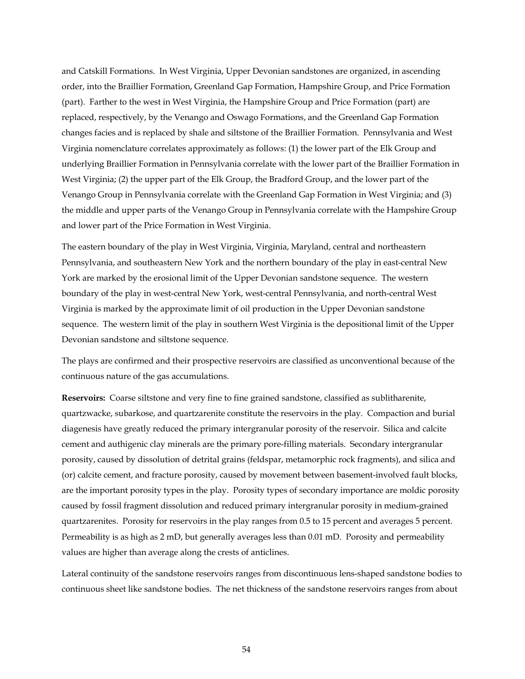and Catskill Formations. In West Virginia, Upper Devonian sandstones are organized, in ascending order, into the Braillier Formation, Greenland Gap Formation, Hampshire Group, and Price Formation (part). Farther to the west in West Virginia, the Hampshire Group and Price Formation (part) are replaced, respectively, by the Venango and Oswago Formations, and the Greenland Gap Formation changes facies and is replaced by shale and siltstone of the Braillier Formation. Pennsylvania and West Virginia nomenclature correlates approximately as follows: (1) the lower part of the Elk Group and underlying Braillier Formation in Pennsylvania correlate with the lower part of the Braillier Formation in West Virginia; (2) the upper part of the Elk Group, the Bradford Group, and the lower part of the Venango Group in Pennsylvania correlate with the Greenland Gap Formation in West Virginia; and (3) the middle and upper parts of the Venango Group in Pennsylvania correlate with the Hampshire Group and lower part of the Price Formation in West Virginia.

The eastern boundary of the play in West Virginia, Virginia, Maryland, central and northeastern Pennsylvania, and southeastern New York and the northern boundary of the play in east-central New York are marked by the erosional limit of the Upper Devonian sandstone sequence. The western boundary of the play in west-central New York, west-central Pennsylvania, and north-central West Virginia is marked by the approximate limit of oil production in the Upper Devonian sandstone sequence. The western limit of the play in southern West Virginia is the depositional limit of the Upper Devonian sandstone and siltstone sequence.

The plays are confirmed and their prospective reservoirs are classified as unconventional because of the continuous nature of the gas accumulations.

**Reservoirs:** Coarse siltstone and very fine to fine grained sandstone, classified as sublitharenite, quartzwacke, subarkose, and quartzarenite constitute the reservoirs in the play. Compaction and burial diagenesis have greatly reduced the primary intergranular porosity of the reservoir. Silica and calcite cement and authigenic clay minerals are the primary pore-filling materials. Secondary intergranular porosity, caused by dissolution of detrital grains (feldspar, metamorphic rock fragments), and silica and (or) calcite cement, and fracture porosity, caused by movement between basement-involved fault blocks, are the important porosity types in the play. Porosity types of secondary importance are moldic porosity caused by fossil fragment dissolution and reduced primary intergranular porosity in medium-grained quartzarenites. Porosity for reservoirs in the play ranges from 0.5 to 15 percent and averages 5 percent. Permeability is as high as 2 mD, but generally averages less than 0.01 mD. Porosity and permeability values are higher than average along the crests of anticlines.

Lateral continuity of the sandstone reservoirs ranges from discontinuous lens-shaped sandstone bodies to continuous sheet like sandstone bodies. The net thickness of the sandstone reservoirs ranges from about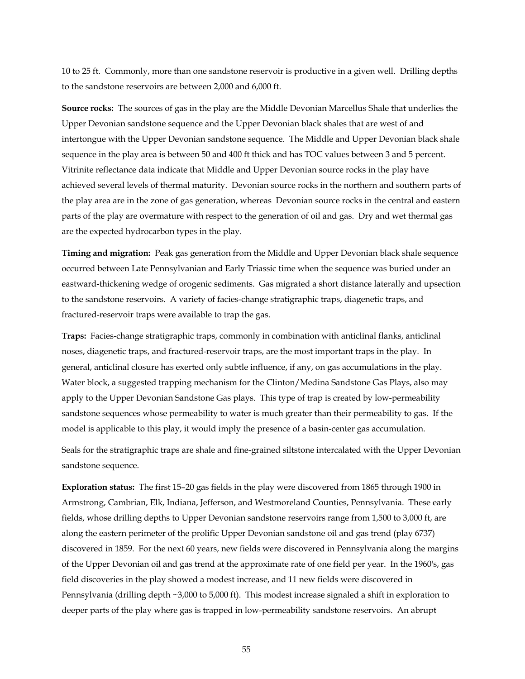10 to 25 ft. Commonly, more than one sandstone reservoir is productive in a given well. Drilling depths to the sandstone reservoirs are between 2,000 and 6,000 ft.

**Source rocks:** The sources of gas in the play are the Middle Devonian Marcellus Shale that underlies the Upper Devonian sandstone sequence and the Upper Devonian black shales that are west of and intertongue with the Upper Devonian sandstone sequence. The Middle and Upper Devonian black shale sequence in the play area is between 50 and 400 ft thick and has TOC values between 3 and 5 percent. Vitrinite reflectance data indicate that Middle and Upper Devonian source rocks in the play have achieved several levels of thermal maturity. Devonian source rocks in the northern and southern parts of the play area are in the zone of gas generation, whereas Devonian source rocks in the central and eastern parts of the play are overmature with respect to the generation of oil and gas. Dry and wet thermal gas are the expected hydrocarbon types in the play.

**Timing and migration:** Peak gas generation from the Middle and Upper Devonian black shale sequence occurred between Late Pennsylvanian and Early Triassic time when the sequence was buried under an eastward-thickening wedge of orogenic sediments. Gas migrated a short distance laterally and upsection to the sandstone reservoirs. A variety of facies-change stratigraphic traps, diagenetic traps, and fractured-reservoir traps were available to trap the gas.

**Traps:** Facies-change stratigraphic traps, commonly in combination with anticlinal flanks, anticlinal noses, diagenetic traps, and fractured-reservoir traps, are the most important traps in the play. In general, anticlinal closure has exerted only subtle influence, if any, on gas accumulations in the play. Water block, a suggested trapping mechanism for the Clinton/Medina Sandstone Gas Plays, also may apply to the Upper Devonian Sandstone Gas plays. This type of trap is created by low-permeability sandstone sequences whose permeability to water is much greater than their permeability to gas. If the model is applicable to this play, it would imply the presence of a basin-center gas accumulation.

Seals for the stratigraphic traps are shale and fine-grained siltstone intercalated with the Upper Devonian sandstone sequence.

**Exploration status:** The first 15–20 gas fields in the play were discovered from 1865 through 1900 in Armstrong, Cambrian, Elk, Indiana, Jefferson, and Westmoreland Counties, Pennsylvania. These early fields, whose drilling depths to Upper Devonian sandstone reservoirs range from 1,500 to 3,000 ft, are along the eastern perimeter of the prolific Upper Devonian sandstone oil and gas trend (play 6737) discovered in 1859. For the next 60 years, new fields were discovered in Pennsylvania along the margins of the Upper Devonian oil and gas trend at the approximate rate of one field per year. In the 1960's, gas field discoveries in the play showed a modest increase, and 11 new fields were discovered in Pennsylvania (drilling depth ~3,000 to 5,000 ft). This modest increase signaled a shift in exploration to deeper parts of the play where gas is trapped in low-permeability sandstone reservoirs. An abrupt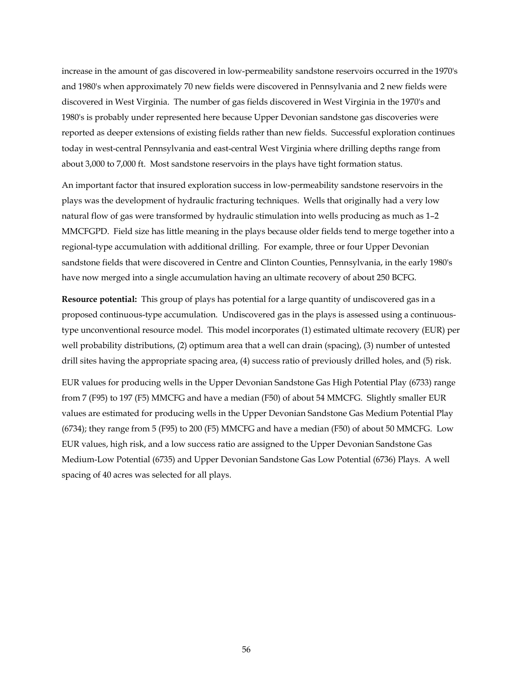increase in the amount of gas discovered in low-permeability sandstone reservoirs occurred in the 1970's and 1980's when approximately 70 new fields were discovered in Pennsylvania and 2 new fields were discovered in West Virginia. The number of gas fields discovered in West Virginia in the 1970's and 1980's is probably under represented here because Upper Devonian sandstone gas discoveries were reported as deeper extensions of existing fields rather than new fields. Successful exploration continues today in west-central Pennsylvania and east-central West Virginia where drilling depths range from about 3,000 to 7,000 ft. Most sandstone reservoirs in the plays have tight formation status.

An important factor that insured exploration success in low-permeability sandstone reservoirs in the plays was the development of hydraulic fracturing techniques. Wells that originally had a very low natural flow of gas were transformed by hydraulic stimulation into wells producing as much as 1–2 MMCFGPD. Field size has little meaning in the plays because older fields tend to merge together into a regional-type accumulation with additional drilling. For example, three or four Upper Devonian sandstone fields that were discovered in Centre and Clinton Counties, Pennsylvania, in the early 1980's have now merged into a single accumulation having an ultimate recovery of about 250 BCFG.

**Resource potential:** This group of plays has potential for a large quantity of undiscovered gas in a proposed continuous-type accumulation. Undiscovered gas in the plays is assessed using a continuoustype unconventional resource model. This model incorporates (1) estimated ultimate recovery (EUR) per well probability distributions, (2) optimum area that a well can drain (spacing), (3) number of untested drill sites having the appropriate spacing area, (4) success ratio of previously drilled holes, and (5) risk.

EUR values for producing wells in the Upper Devonian Sandstone Gas High Potential Play (6733) range from 7 (F95) to 197 (F5) MMCFG and have a median (F50) of about 54 MMCFG. Slightly smaller EUR values are estimated for producing wells in the Upper Devonian Sandstone Gas Medium Potential Play (6734); they range from 5 (F95) to 200 (F5) MMCFG and have a median (F50) of about 50 MMCFG. Low EUR values, high risk, and a low success ratio are assigned to the Upper Devonian Sandstone Gas Medium-Low Potential (6735) and Upper Devonian Sandstone Gas Low Potential (6736) Plays. A well spacing of 40 acres was selected for all plays.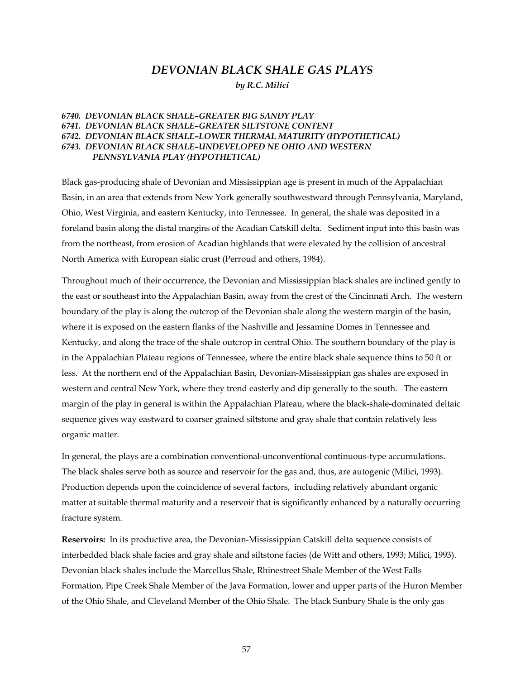# *DEVONIAN BLACK SHALE GAS PLAYS*

*by R.C. Milici* 

## *6740. DEVONIAN BLACK SHALE–GREATER BIG SANDY PLAY 6741. DEVONIAN BLACK SHALE–GREATER SILTSTONE CONTENT 6742. DEVONIAN BLACK SHALE–LOWER THERMAL MATURITY (HYPOTHETICAL) 6743. DEVONIAN BLACK SHALE–UNDEVELOPED NE OHIO AND WESTERN PENNSYLVANIA PLAY (HYPOTHETICAL)*

Black gas-producing shale of Devonian and Mississippian age is present in much of the Appalachian Basin, in an area that extends from New York generally southwestward through Pennsylvania, Maryland, Ohio, West Virginia, and eastern Kentucky, into Tennessee. In general, the shale was deposited in a foreland basin along the distal margins of the Acadian Catskill delta. Sediment input into this basin was from the northeast, from erosion of Acadian highlands that were elevated by the collision of ancestral North America with European sialic crust (Perroud and others, 1984).

Throughout much of their occurrence, the Devonian and Mississippian black shales are inclined gently to the east or southeast into the Appalachian Basin, away from the crest of the Cincinnati Arch. The western boundary of the play is along the outcrop of the Devonian shale along the western margin of the basin, where it is exposed on the eastern flanks of the Nashville and Jessamine Domes in Tennessee and Kentucky, and along the trace of the shale outcrop in central Ohio. The southern boundary of the play is in the Appalachian Plateau regions of Tennessee, where the entire black shale sequence thins to 50 ft or less. At the northern end of the Appalachian Basin, Devonian-Mississippian gas shales are exposed in western and central New York, where they trend easterly and dip generally to the south. The eastern margin of the play in general is within the Appalachian Plateau, where the black-shale-dominated deltaic sequence gives way eastward to coarser grained siltstone and gray shale that contain relatively less organic matter.

In general, the plays are a combination conventional-unconventional continuous-type accumulations. The black shales serve both as source and reservoir for the gas and, thus, are autogenic (Milici, 1993). Production depends upon the coincidence of several factors, including relatively abundant organic matter at suitable thermal maturity and a reservoir that is significantly enhanced by a naturally occurring fracture system.

**Reservoirs:** In its productive area, the Devonian-Mississippian Catskill delta sequence consists of interbedded black shale facies and gray shale and siltstone facies (de Witt and others, 1993; Milici, 1993). Devonian black shales include the Marcellus Shale, Rhinestreet Shale Member of the West Falls Formation, Pipe Creek Shale Member of the Java Formation, lower and upper parts of the Huron Member of the Ohio Shale, and Cleveland Member of the Ohio Shale. The black Sunbury Shale is the only gas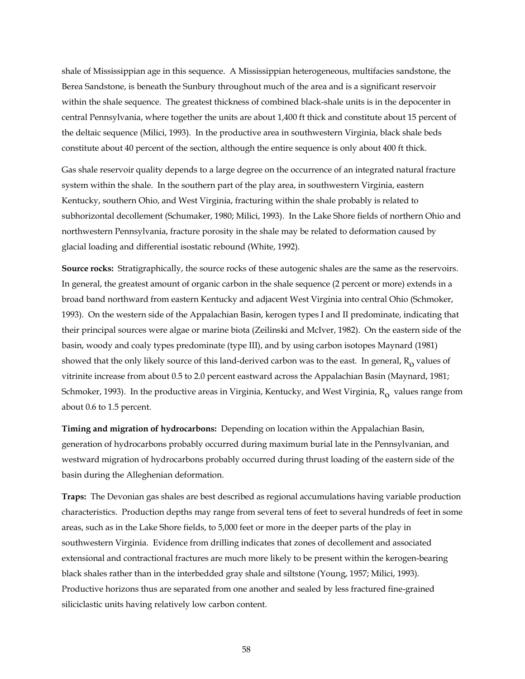shale of Mississippian age in this sequence. A Mississippian heterogeneous, multifacies sandstone, the Berea Sandstone, is beneath the Sunbury throughout much of the area and is a significant reservoir within the shale sequence. The greatest thickness of combined black-shale units is in the depocenter in central Pennsylvania, where together the units are about 1,400 ft thick and constitute about 15 percent of the deltaic sequence (Milici, 1993). In the productive area in southwestern Virginia, black shale beds constitute about 40 percent of the section, although the entire sequence is only about 400 ft thick.

Gas shale reservoir quality depends to a large degree on the occurrence of an integrated natural fracture system within the shale. In the southern part of the play area, in southwestern Virginia, eastern Kentucky, southern Ohio, and West Virginia, fracturing within the shale probably is related to subhorizontal decollement (Schumaker, 1980; Milici, 1993). In the Lake Shore fields of northern Ohio and northwestern Pennsylvania, fracture porosity in the shale may be related to deformation caused by glacial loading and differential isostatic rebound (White, 1992).

**Source rocks:** Stratigraphically, the source rocks of these autogenic shales are the same as the reservoirs. In general, the greatest amount of organic carbon in the shale sequence (2 percent or more) extends in a broad band northward from eastern Kentucky and adjacent West Virginia into central Ohio (Schmoker, 1993). On the western side of the Appalachian Basin, kerogen types I and II predominate, indicating that their principal sources were algae or marine biota (Zeilinski and McIver, 1982). On the eastern side of the basin, woody and coaly types predominate (type III), and by using carbon isotopes Maynard (1981) showed that the only likely source of this land-derived carbon was to the east. In general,  $R_0$  values of vitrinite increase from about 0.5 to 2.0 percent eastward across the Appalachian Basin (Maynard, 1981; Schmoker, 1993). In the productive areas in Virginia, Kentucky, and West Virginia,  $R_0$  values range from about 0.6 to 1.5 percent.

**Timing and migration of hydrocarbons:** Depending on location within the Appalachian Basin, generation of hydrocarbons probably occurred during maximum burial late in the Pennsylvanian, and westward migration of hydrocarbons probably occurred during thrust loading of the eastern side of the basin during the Alleghenian deformation.

**Traps:** The Devonian gas shales are best described as regional accumulations having variable production characteristics. Production depths may range from several tens of feet to several hundreds of feet in some areas, such as in the Lake Shore fields, to 5,000 feet or more in the deeper parts of the play in southwestern Virginia. Evidence from drilling indicates that zones of decollement and associated extensional and contractional fractures are much more likely to be present within the kerogen-bearing black shales rather than in the interbedded gray shale and siltstone (Young, 1957; Milici, 1993). Productive horizons thus are separated from one another and sealed by less fractured fine-grained siliciclastic units having relatively low carbon content.

58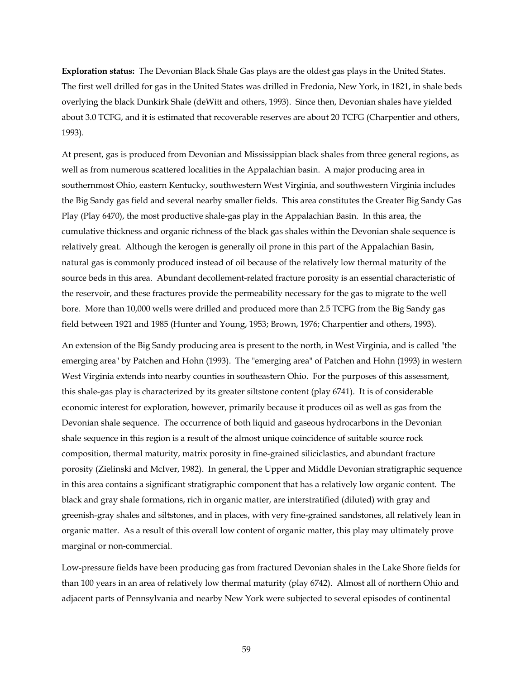**Exploration status:** The Devonian Black Shale Gas plays are the oldest gas plays in the United States. The first well drilled for gas in the United States was drilled in Fredonia, New York, in 1821, in shale beds overlying the black Dunkirk Shale (deWitt and others, 1993). Since then, Devonian shales have yielded about 3.0 TCFG, and it is estimated that recoverable reserves are about 20 TCFG (Charpentier and others, 1993).

At present, gas is produced from Devonian and Mississippian black shales from three general regions, as well as from numerous scattered localities in the Appalachian basin. A major producing area in southernmost Ohio, eastern Kentucky, southwestern West Virginia, and southwestern Virginia includes the Big Sandy gas field and several nearby smaller fields. This area constitutes the Greater Big Sandy Gas Play (Play 6470), the most productive shale-gas play in the Appalachian Basin. In this area, the cumulative thickness and organic richness of the black gas shales within the Devonian shale sequence is relatively great. Although the kerogen is generally oil prone in this part of the Appalachian Basin, natural gas is commonly produced instead of oil because of the relatively low thermal maturity of the source beds in this area. Abundant decollement-related fracture porosity is an essential characteristic of the reservoir, and these fractures provide the permeability necessary for the gas to migrate to the well bore. More than 10,000 wells were drilled and produced more than 2.5 TCFG from the Big Sandy gas field between 1921 and 1985 (Hunter and Young, 1953; Brown, 1976; Charpentier and others, 1993).

An extension of the Big Sandy producing area is present to the north, in West Virginia, and is called "the emerging area" by Patchen and Hohn (1993). The "emerging area" of Patchen and Hohn (1993) in western West Virginia extends into nearby counties in southeastern Ohio. For the purposes of this assessment, this shale-gas play is characterized by its greater siltstone content (play 6741). It is of considerable economic interest for exploration, however, primarily because it produces oil as well as gas from the Devonian shale sequence. The occurrence of both liquid and gaseous hydrocarbons in the Devonian shale sequence in this region is a result of the almost unique coincidence of suitable source rock composition, thermal maturity, matrix porosity in fine-grained siliciclastics, and abundant fracture porosity (Zielinski and McIver, 1982). In general, the Upper and Middle Devonian stratigraphic sequence in this area contains a significant stratigraphic component that has a relatively low organic content. The black and gray shale formations, rich in organic matter, are interstratified (diluted) with gray and greenish-gray shales and siltstones, and in places, with very fine-grained sandstones, all relatively lean in organic matter. As a result of this overall low content of organic matter, this play may ultimately prove marginal or non-commercial.

Low-pressure fields have been producing gas from fractured Devonian shales in the Lake Shore fields for than 100 years in an area of relatively low thermal maturity (play 6742). Almost all of northern Ohio and adjacent parts of Pennsylvania and nearby New York were subjected to several episodes of continental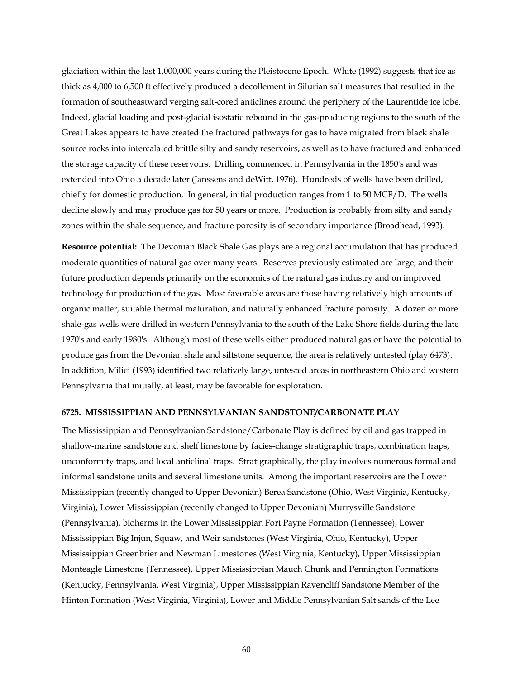glaciation within the last 1,000,000 years during the Pleistocene Epoch. White (1992) suggests that ice as thick as 4,000 to 6,500 ft effectively produced a decollement in Silurian salt measures that resulted in the formation of southeastward verging salt-cored anticlines around the periphery of the Laurentide ice lobe. Indeed, glacial loading and post-glacial isostatic rebound in the gas-producing regions to the south of the Great Lakes appears to have created the fractured pathways for gas to have migrated from black shale source rocks into intercalated brittle silty and sandy reservoirs, as well as to have fractured and enhanced the storage capacity of these reservoirs. Drilling commenced in Pennsylvania in the 1850's and was extended into Ohio a decade later (Janssens and deWitt, 1976). Hundreds of wells have been drilled, chiefly for domestic production. In general, initial production ranges from 1 to 50 MCF/D. The wells decline slowly and may produce gas for 50 years or more. Production is probably from silty and sandy zones within the shale sequence, and fracture porosity is of secondary importance (Broadhead, 1993).

**Resource potential:** The Devonian Black Shale Gas plays are a regional accumulation that has produced moderate quantities of natural gas over many years. Reserves previously estimated are large, and their future production depends primarily on the economics of the natural gas industry and on improved technology for production of the gas. Most favorable areas are those having relatively high amounts of organic matter, suitable thermal maturation, and naturally enhanced fracture porosity. A dozen or more shale-gas wells were drilled in western Pennsylvania to the south of the Lake Shore fields during the late 1970's and early 1980's. Although most of these wells either produced natural gas or have the potential to produce gas from the Devonian shale and siltstone sequence, the area is relatively untested (play 6473). In addition, Milici (1993) identified two relatively large, untested areas in northeastern Ohio and western Pennsylvania that initially, at least, may be favorable for exploration.

#### **6725. MISSISSIPPIAN AND PENNSYLVANIAN SANDSTONE/CARBONATE PLAY**

The Mississippian and Pennsylvanian Sandstone/Carbonate Play is defined by oil and gas trapped in shallow-marine sandstone and shelf limestone by facies-change stratigraphic traps, combination traps, unconformity traps, and local anticlinal traps. Stratigraphically, the play involves numerous formal and informal sandstone units and several limestone units. Among the important reservoirs are the Lower Mississippian (recently changed to Upper Devonian) Berea Sandstone (Ohio, West Virginia, Kentucky, Virginia), Lower Mississippian (recently changed to Upper Devonian) Murrysville Sandstone (Pennsylvania), bioherms in the Lower Mississippian Fort Payne Formation (Tennessee), Lower Mississippian Big Injun, Squaw, and Weir sandstones (West Virginia, Ohio, Kentucky), Upper Mississippian Greenbrier and Newman Limestones (West Virginia, Kentucky), Upper Mississippian Monteagle Limestone (Tennessee), Upper Mississippian Mauch Chunk and Pennington Formations (Kentucky, Pennsylvania, West Virginia), Upper Mississippian Ravencliff Sandstone Member of the Hinton Formation (West Virginia, Virginia), Lower and Middle Pennsylvanian Salt sands of the Lee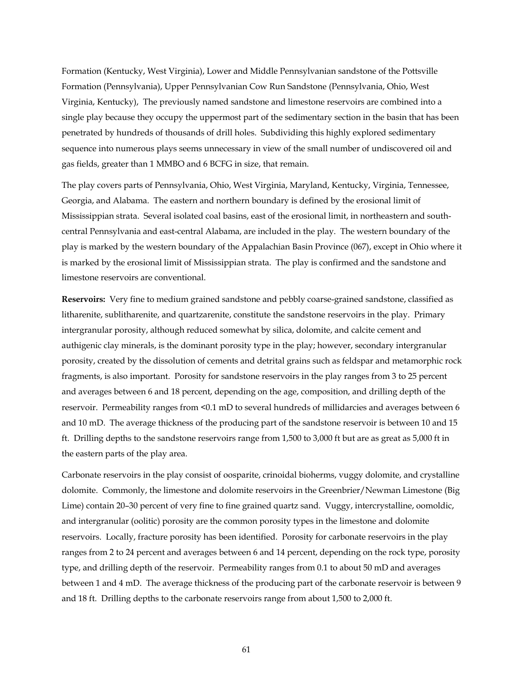Formation (Kentucky, West Virginia), Lower and Middle Pennsylvanian sandstone of the Pottsville Formation (Pennsylvania), Upper Pennsylvanian Cow Run Sandstone (Pennsylvania, Ohio, West Virginia, Kentucky), The previously named sandstone and limestone reservoirs are combined into a single play because they occupy the uppermost part of the sedimentary section in the basin that has been penetrated by hundreds of thousands of drill holes. Subdividing this highly explored sedimentary sequence into numerous plays seems unnecessary in view of the small number of undiscovered oil and gas fields, greater than 1 MMBO and 6 BCFG in size, that remain.

The play covers parts of Pennsylvania, Ohio, West Virginia, Maryland, Kentucky, Virginia, Tennessee, Georgia, and Alabama. The eastern and northern boundary is defined by the erosional limit of Mississippian strata. Several isolated coal basins, east of the erosional limit, in northeastern and southcentral Pennsylvania and east-central Alabama, are included in the play. The western boundary of the play is marked by the western boundary of the Appalachian Basin Province (067), except in Ohio where it is marked by the erosional limit of Mississippian strata. The play is confirmed and the sandstone and limestone reservoirs are conventional.

**Reservoirs:** Very fine to medium grained sandstone and pebbly coarse-grained sandstone, classified as litharenite, sublitharenite, and quartzarenite, constitute the sandstone reservoirs in the play. Primary intergranular porosity, although reduced somewhat by silica, dolomite, and calcite cement and authigenic clay minerals, is the dominant porosity type in the play; however, secondary intergranular porosity, created by the dissolution of cements and detrital grains such as feldspar and metamorphic rock fragments, is also important. Porosity for sandstone reservoirs in the play ranges from 3 to 25 percent and averages between 6 and 18 percent, depending on the age, composition, and drilling depth of the reservoir. Permeability ranges from <0.1 mD to several hundreds of millidarcies and averages between 6 and 10 mD. The average thickness of the producing part of the sandstone reservoir is between 10 and 15 ft. Drilling depths to the sandstone reservoirs range from 1,500 to 3,000 ft but are as great as 5,000 ft in the eastern parts of the play area.

Carbonate reservoirs in the play consist of oosparite, crinoidal bioherms, vuggy dolomite, and crystalline dolomite. Commonly, the limestone and dolomite reservoirs in the Greenbrier/Newman Limestone (Big Lime) contain 20–30 percent of very fine to fine grained quartz sand. Vuggy, intercrystalline, oomoldic, and intergranular (oolitic) porosity are the common porosity types in the limestone and dolomite reservoirs. Locally, fracture porosity has been identified. Porosity for carbonate reservoirs in the play ranges from 2 to 24 percent and averages between 6 and 14 percent, depending on the rock type, porosity type, and drilling depth of the reservoir. Permeability ranges from 0.1 to about 50 mD and averages between 1 and 4 mD. The average thickness of the producing part of the carbonate reservoir is between 9 and 18 ft. Drilling depths to the carbonate reservoirs range from about 1,500 to 2,000 ft.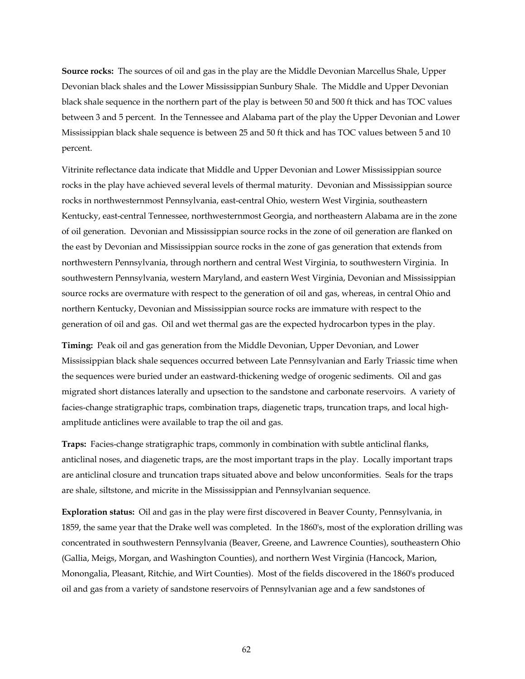**Source rocks:** The sources of oil and gas in the play are the Middle Devonian Marcellus Shale, Upper Devonian black shales and the Lower Mississippian Sunbury Shale. The Middle and Upper Devonian black shale sequence in the northern part of the play is between 50 and 500 ft thick and has TOC values between 3 and 5 percent. In the Tennessee and Alabama part of the play the Upper Devonian and Lower Mississippian black shale sequence is between 25 and 50 ft thick and has TOC values between 5 and 10 percent.

Vitrinite reflectance data indicate that Middle and Upper Devonian and Lower Mississippian source rocks in the play have achieved several levels of thermal maturity. Devonian and Mississippian source rocks in northwesternmost Pennsylvania, east-central Ohio, western West Virginia, southeastern Kentucky, east-central Tennessee, northwesternmost Georgia, and northeastern Alabama are in the zone of oil generation. Devonian and Mississippian source rocks in the zone of oil generation are flanked on the east by Devonian and Mississippian source rocks in the zone of gas generation that extends from northwestern Pennsylvania, through northern and central West Virginia, to southwestern Virginia. In southwestern Pennsylvania, western Maryland, and eastern West Virginia, Devonian and Mississippian source rocks are overmature with respect to the generation of oil and gas, whereas, in central Ohio and northern Kentucky, Devonian and Mississippian source rocks are immature with respect to the generation of oil and gas. Oil and wet thermal gas are the expected hydrocarbon types in the play.

**Timing:** Peak oil and gas generation from the Middle Devonian, Upper Devonian, and Lower Mississippian black shale sequences occurred between Late Pennsylvanian and Early Triassic time when the sequences were buried under an eastward-thickening wedge of orogenic sediments. Oil and gas migrated short distances laterally and upsection to the sandstone and carbonate reservoirs. A variety of facies-change stratigraphic traps, combination traps, diagenetic traps, truncation traps, and local highamplitude anticlines were available to trap the oil and gas.

**Traps:** Facies-change stratigraphic traps, commonly in combination with subtle anticlinal flanks, anticlinal noses, and diagenetic traps, are the most important traps in the play. Locally important traps are anticlinal closure and truncation traps situated above and below unconformities. Seals for the traps are shale, siltstone, and micrite in the Mississippian and Pennsylvanian sequence.

**Exploration status:** Oil and gas in the play were first discovered in Beaver County, Pennsylvania, in 1859, the same year that the Drake well was completed. In the 1860's, most of the exploration drilling was concentrated in southwestern Pennsylvania (Beaver, Greene, and Lawrence Counties), southeastern Ohio (Gallia, Meigs, Morgan, and Washington Counties), and northern West Virginia (Hancock, Marion, Monongalia, Pleasant, Ritchie, and Wirt Counties). Most of the fields discovered in the 1860's produced oil and gas from a variety of sandstone reservoirs of Pennsylvanian age and a few sandstones of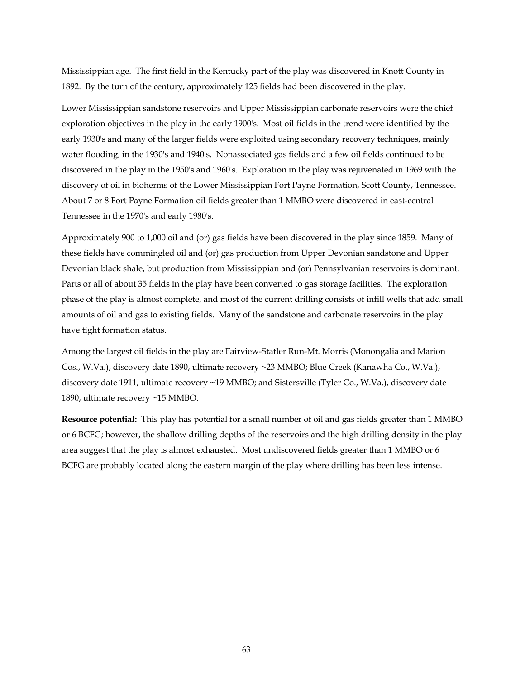Mississippian age. The first field in the Kentucky part of the play was discovered in Knott County in 1892. By the turn of the century, approximately 125 fields had been discovered in the play.

Lower Mississippian sandstone reservoirs and Upper Mississippian carbonate reservoirs were the chief exploration objectives in the play in the early 1900's. Most oil fields in the trend were identified by the early 1930's and many of the larger fields were exploited using secondary recovery techniques, mainly water flooding, in the 1930's and 1940's. Nonassociated gas fields and a few oil fields continued to be discovered in the play in the 1950's and 1960's. Exploration in the play was rejuvenated in 1969 with the discovery of oil in bioherms of the Lower Mississippian Fort Payne Formation, Scott County, Tennessee. About 7 or 8 Fort Payne Formation oil fields greater than 1 MMBO were discovered in east-central Tennessee in the 1970's and early 1980's.

Approximately 900 to 1,000 oil and (or) gas fields have been discovered in the play since 1859. Many of these fields have commingled oil and (or) gas production from Upper Devonian sandstone and Upper Devonian black shale, but production from Mississippian and (or) Pennsylvanian reservoirs is dominant. Parts or all of about 35 fields in the play have been converted to gas storage facilities. The exploration phase of the play is almost complete, and most of the current drilling consists of infill wells that add small amounts of oil and gas to existing fields. Many of the sandstone and carbonate reservoirs in the play have tight formation status.

Among the largest oil fields in the play are Fairview-Statler Run-Mt. Morris (Monongalia and Marion Cos., W.Va.), discovery date 1890, ultimate recovery ~23 MMBO; Blue Creek (Kanawha Co., W.Va.), discovery date 1911, ultimate recovery ~19 MMBO; and Sistersville (Tyler Co., W.Va.), discovery date 1890, ultimate recovery ~15 MMBO.

**Resource potential:** This play has potential for a small number of oil and gas fields greater than 1 MMBO or 6 BCFG; however, the shallow drilling depths of the reservoirs and the high drilling density in the play area suggest that the play is almost exhausted. Most undiscovered fields greater than 1 MMBO or 6 BCFG are probably located along the eastern margin of the play where drilling has been less intense.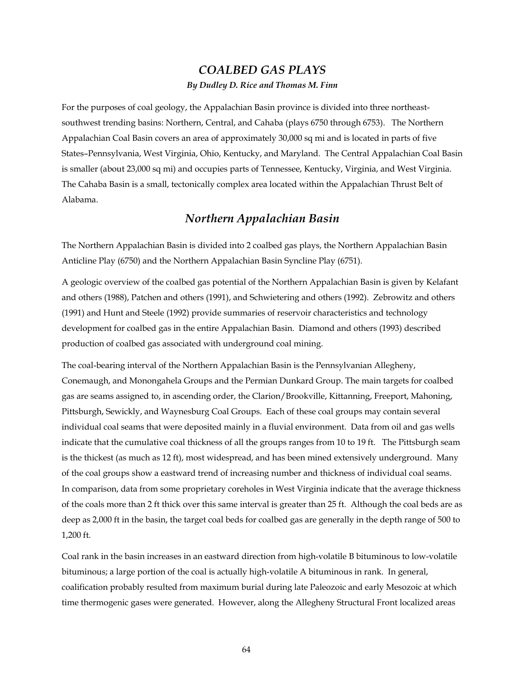# *COALBED GAS PLAYS By Dudley D. Rice and Thomas M. Finn*

For the purposes of coal geology, the Appalachian Basin province is divided into three northeastsouthwest trending basins: Northern, Central, and Cahaba (plays 6750 through 6753). The Northern Appalachian Coal Basin covers an area of approximately 30,000 sq mi and is located in parts of five States–Pennsylvania, West Virginia, Ohio, Kentucky, and Maryland. The Central Appalachian Coal Basin is smaller (about 23,000 sq mi) and occupies parts of Tennessee, Kentucky, Virginia, and West Virginia. The Cahaba Basin is a small, tectonically complex area located within the Appalachian Thrust Belt of Alabama.

# *Northern Appalachian Basin*

The Northern Appalachian Basin is divided into 2 coalbed gas plays, the Northern Appalachian Basin Anticline Play (6750) and the Northern Appalachian Basin Syncline Play (6751).

A geologic overview of the coalbed gas potential of the Northern Appalachian Basin is given by Kelafant and others (1988), Patchen and others (1991), and Schwietering and others (1992). Zebrowitz and others (1991) and Hunt and Steele (1992) provide summaries of reservoir characteristics and technology development for coalbed gas in the entire Appalachian Basin. Diamond and others (1993) described production of coalbed gas associated with underground coal mining.

The coal-bearing interval of the Northern Appalachian Basin is the Pennsylvanian Allegheny, Conemaugh, and Monongahela Groups and the Permian Dunkard Group. The main targets for coalbed gas are seams assigned to, in ascending order, the Clarion/Brookville, Kittanning, Freeport, Mahoning, Pittsburgh, Sewickly, and Waynesburg Coal Groups. Each of these coal groups may contain several individual coal seams that were deposited mainly in a fluvial environment. Data from oil and gas wells indicate that the cumulative coal thickness of all the groups ranges from 10 to 19 ft. The Pittsburgh seam is the thickest (as much as 12 ft), most widespread, and has been mined extensively underground. Many of the coal groups show a eastward trend of increasing number and thickness of individual coal seams. In comparison, data from some proprietary coreholes in West Virginia indicate that the average thickness of the coals more than 2 ft thick over this same interval is greater than 25 ft. Although the coal beds are as deep as 2,000 ft in the basin, the target coal beds for coalbed gas are generally in the depth range of 500 to 1,200 ft.

Coal rank in the basin increases in an eastward direction from high-volatile B bituminous to low-volatile bituminous; a large portion of the coal is actually high-volatile A bituminous in rank. In general, coalification probably resulted from maximum burial during late Paleozoic and early Mesozoic at which time thermogenic gases were generated. However, along the Allegheny Structural Front localized areas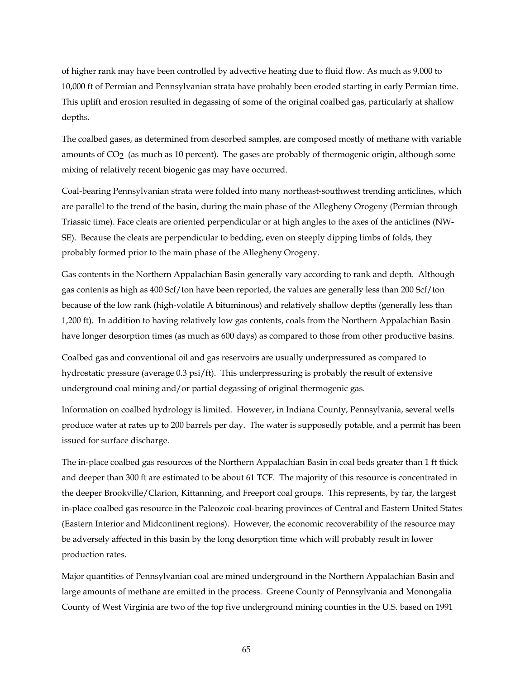of higher rank may have been controlled by advective heating due to fluid flow. As much as 9,000 to 10,000 ft of Permian and Pennsylvanian strata have probably been eroded starting in early Permian time. This uplift and erosion resulted in degassing of some of the original coalbed gas, particularly at shallow depths.

The coalbed gases, as determined from desorbed samples, are composed mostly of methane with variable amounts of CO<sub>2</sub> (as much as 10 percent). The gases are probably of thermogenic origin, although some mixing of relatively recent biogenic gas may have occurred.

Coal-bearing Pennsylvanian strata were folded into many northeast-southwest trending anticlines, which are parallel to the trend of the basin, during the main phase of the Allegheny Orogeny (Permian through Triassic time). Face cleats are oriented perpendicular or at high angles to the axes of the anticlines (NW-SE). Because the cleats are perpendicular to bedding, even on steeply dipping limbs of folds, they probably formed prior to the main phase of the Allegheny Orogeny.

Gas contents in the Northern Appalachian Basin generally vary according to rank and depth. Although gas contents as high as 400 Scf/ton have been reported, the values are generally less than 200 Scf/ton because of the low rank (high-volatile A bituminous) and relatively shallow depths (generally less than 1,200 ft). In addition to having relatively low gas contents, coals from the Northern Appalachian Basin have longer desorption times (as much as 600 days) as compared to those from other productive basins.

Coalbed gas and conventional oil and gas reservoirs are usually underpressured as compared to hydrostatic pressure (average 0.3 psi/ft). This underpressuring is probably the result of extensive underground coal mining and/or partial degassing of original thermogenic gas.

Information on coalbed hydrology is limited. However, in Indiana County, Pennsylvania, several wells produce water at rates up to 200 barrels per day. The water is supposedly potable, and a permit has been issued for surface discharge.

The in-place coalbed gas resources of the Northern Appalachian Basin in coal beds greater than 1 ft thick and deeper than 300 ft are estimated to be about 61 TCF. The majority of this resource is concentrated in the deeper Brookville/Clarion, Kittanning, and Freeport coal groups. This represents, by far, the largest in-place coalbed gas resource in the Paleozoic coal-bearing provinces of Central and Eastern United States (Eastern Interior and Midcontinent regions). However, the economic recoverability of the resource may be adversely affected in this basin by the long desorption time which will probably result in lower production rates.

Major quantities of Pennsylvanian coal are mined underground in the Northern Appalachian Basin and large amounts of methane are emitted in the process. Greene County of Pennsylvania and Monongalia County of West Virginia are two of the top five underground mining counties in the U.S. based on 1991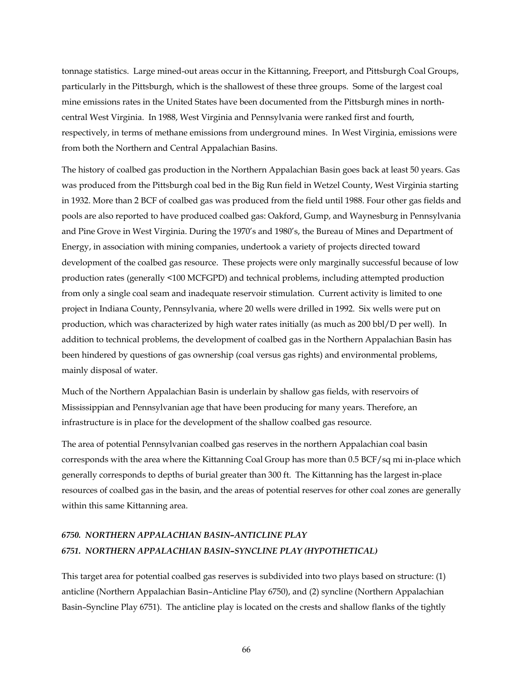tonnage statistics. Large mined-out areas occur in the Kittanning, Freeport, and Pittsburgh Coal Groups, particularly in the Pittsburgh, which is the shallowest of these three groups. Some of the largest coal mine emissions rates in the United States have been documented from the Pittsburgh mines in northcentral West Virginia. In 1988, West Virginia and Pennsylvania were ranked first and fourth, respectively, in terms of methane emissions from underground mines. In West Virginia, emissions were from both the Northern and Central Appalachian Basins.

The history of coalbed gas production in the Northern Appalachian Basin goes back at least 50 years. Gas was produced from the Pittsburgh coal bed in the Big Run field in Wetzel County, West Virginia starting in 1932. More than 2 BCF of coalbed gas was produced from the field until 1988. Four other gas fields and pools are also reported to have produced coalbed gas: Oakford, Gump, and Waynesburg in Pennsylvania and Pine Grove in West Virginia. During the 1970's and 1980's, the Bureau of Mines and Department of Energy, in association with mining companies, undertook a variety of projects directed toward development of the coalbed gas resource. These projects were only marginally successful because of low production rates (generally <100 MCFGPD) and technical problems, including attempted production from only a single coal seam and inadequate reservoir stimulation. Current activity is limited to one project in Indiana County, Pennsylvania, where 20 wells were drilled in 1992. Six wells were put on production, which was characterized by high water rates initially (as much as 200 bbl/D per well). In addition to technical problems, the development of coalbed gas in the Northern Appalachian Basin has been hindered by questions of gas ownership (coal versus gas rights) and environmental problems, mainly disposal of water.

Much of the Northern Appalachian Basin is underlain by shallow gas fields, with reservoirs of Mississippian and Pennsylvanian age that have been producing for many years. Therefore, an infrastructure is in place for the development of the shallow coalbed gas resource.

The area of potential Pennsylvanian coalbed gas reserves in the northern Appalachian coal basin corresponds with the area where the Kittanning Coal Group has more than 0.5 BCF/sq mi in-place which generally corresponds to depths of burial greater than 300 ft. The Kittanning has the largest in-place resources of coalbed gas in the basin, and the areas of potential reserves for other coal zones are generally within this same Kittanning area.

# *6750. NORTHERN APPALACHIAN BASIN–ANTICLINE PLAY 6751. NORTHERN APPALACHIAN BASIN–SYNCLINE PLAY (HYPOTHETICAL)*

This target area for potential coalbed gas reserves is subdivided into two plays based on structure: (1) anticline (Northern Appalachian Basin–Anticline Play 6750), and (2) syncline (Northern Appalachian Basin–Syncline Play 6751). The anticline play is located on the crests and shallow flanks of the tightly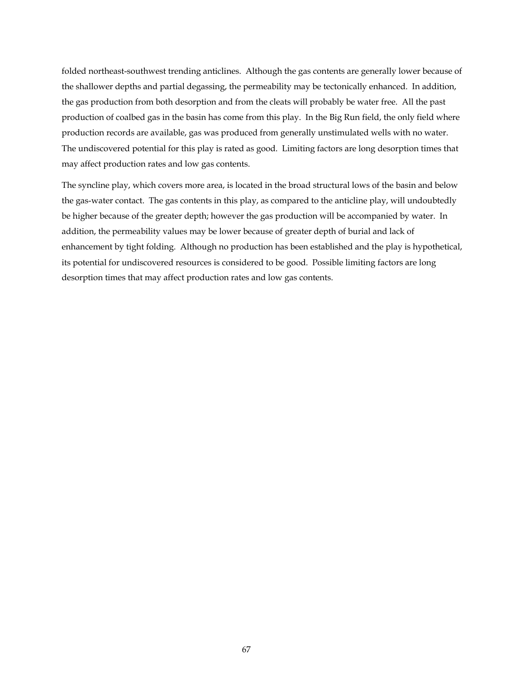folded northeast-southwest trending anticlines. Although the gas contents are generally lower because of the shallower depths and partial degassing, the permeability may be tectonically enhanced. In addition, the gas production from both desorption and from the cleats will probably be water free. All the past production of coalbed gas in the basin has come from this play. In the Big Run field, the only field where production records are available, gas was produced from generally unstimulated wells with no water. The undiscovered potential for this play is rated as good. Limiting factors are long desorption times that may affect production rates and low gas contents.

The syncline play, which covers more area, is located in the broad structural lows of the basin and below the gas-water contact. The gas contents in this play, as compared to the anticline play, will undoubtedly be higher because of the greater depth; however the gas production will be accompanied by water. In addition, the permeability values may be lower because of greater depth of burial and lack of enhancement by tight folding. Although no production has been established and the play is hypothetical, its potential for undiscovered resources is considered to be good. Possible limiting factors are long desorption times that may affect production rates and low gas contents.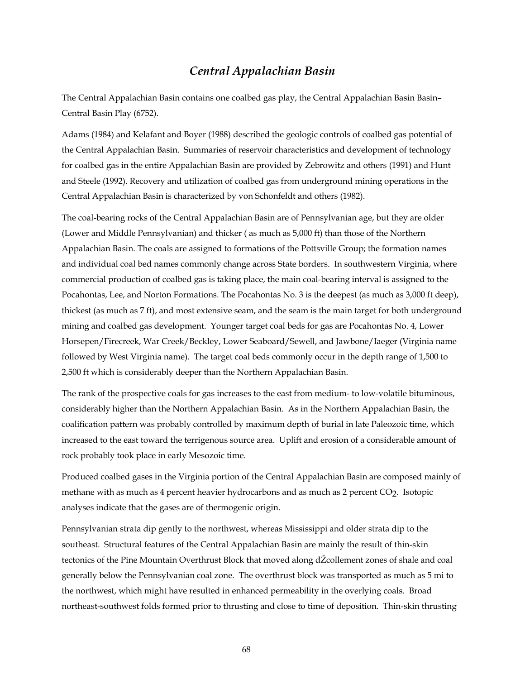# *Central Appalachian Basin*

The Central Appalachian Basin contains one coalbed gas play, the Central Appalachian Basin Basin– Central Basin Play (6752).

Adams (1984) and Kelafant and Boyer (1988) described the geologic controls of coalbed gas potential of the Central Appalachian Basin. Summaries of reservoir characteristics and development of technology for coalbed gas in the entire Appalachian Basin are provided by Zebrowitz and others (1991) and Hunt and Steele (1992). Recovery and utilization of coalbed gas from underground mining operations in the Central Appalachian Basin is characterized by von Schonfeldt and others (1982).

The coal-bearing rocks of the Central Appalachian Basin are of Pennsylvanian age, but they are older (Lower and Middle Pennsylvanian) and thicker ( as much as 5,000 ft) than those of the Northern Appalachian Basin. The coals are assigned to formations of the Pottsville Group; the formation names and individual coal bed names commonly change across State borders. In southwestern Virginia, where commercial production of coalbed gas is taking place, the main coal-bearing interval is assigned to the Pocahontas, Lee, and Norton Formations. The Pocahontas No. 3 is the deepest (as much as 3,000 ft deep), thickest (as much as 7 ft), and most extensive seam, and the seam is the main target for both underground mining and coalbed gas development. Younger target coal beds for gas are Pocahontas No. 4, Lower Horsepen/Firecreek, War Creek/Beckley, Lower Seaboard/Sewell, and Jawbone/Iaeger (Virginia name followed by West Virginia name). The target coal beds commonly occur in the depth range of 1,500 to 2,500 ft which is considerably deeper than the Northern Appalachian Basin.

The rank of the prospective coals for gas increases to the east from medium- to low-volatile bituminous, considerably higher than the Northern Appalachian Basin. As in the Northern Appalachian Basin, the coalification pattern was probably controlled by maximum depth of burial in late Paleozoic time, which increased to the east toward the terrigenous source area. Uplift and erosion of a considerable amount of rock probably took place in early Mesozoic time.

Produced coalbed gases in the Virginia portion of the Central Appalachian Basin are composed mainly of methane with as much as 4 percent heavier hydrocarbons and as much as 2 percent CO2. Isotopic analyses indicate that the gases are of thermogenic origin.

Pennsylvanian strata dip gently to the northwest, whereas Mississippi and older strata dip to the southeast. Structural features of the Central Appalachian Basin are mainly the result of thin-skin tectonics of the Pine Mountain Overthrust Block that moved along dŽcollement zones of shale and coal generally below the Pennsylvanian coal zone. The overthrust block was transported as much as 5 mi to the northwest, which might have resulted in enhanced permeability in the overlying coals. Broad northeast-southwest folds formed prior to thrusting and close to time of deposition. Thin-skin thrusting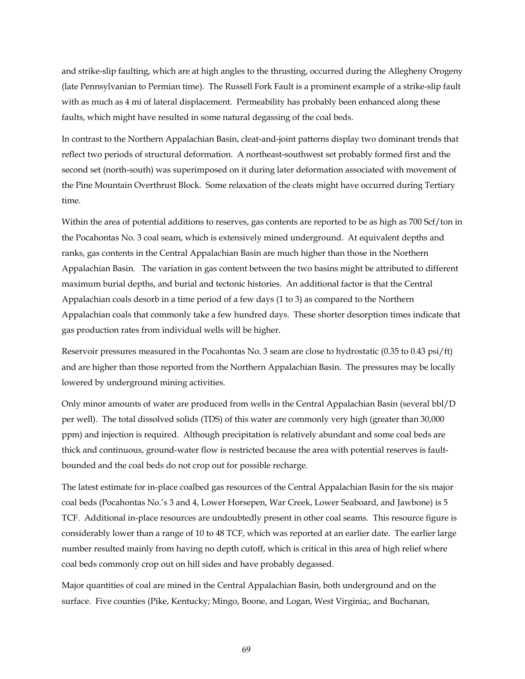and strike-slip faulting, which are at high angles to the thrusting, occurred during the Allegheny Orogeny (late Pennsylvanian to Permian time). The Russell Fork Fault is a prominent example of a strike-slip fault with as much as 4 mi of lateral displacement. Permeability has probably been enhanced along these faults, which might have resulted in some natural degassing of the coal beds.

In contrast to the Northern Appalachian Basin, cleat-and-joint patterns display two dominant trends that reflect two periods of structural deformation. A northeast-southwest set probably formed first and the second set (north-south) was superimposed on it during later deformation associated with movement of the Pine Mountain Overthrust Block. Some relaxation of the cleats might have occurred during Tertiary time.

Within the area of potential additions to reserves, gas contents are reported to be as high as 700 Scf/ton in the Pocahontas No. 3 coal seam, which is extensively mined underground. At equivalent depths and ranks, gas contents in the Central Appalachian Basin are much higher than those in the Northern Appalachian Basin. The variation in gas content between the two basins might be attributed to different maximum burial depths, and burial and tectonic histories. An additional factor is that the Central Appalachian coals desorb in a time period of a few days (1 to 3) as compared to the Northern Appalachian coals that commonly take a few hundred days. These shorter desorption times indicate that gas production rates from individual wells will be higher.

Reservoir pressures measured in the Pocahontas No. 3 seam are close to hydrostatic (0.35 to 0.43 psi/ft) and are higher than those reported from the Northern Appalachian Basin. The pressures may be locally lowered by underground mining activities.

Only minor amounts of water are produced from wells in the Central Appalachian Basin (several bbl/D per well). The total dissolved solids (TDS) of this water are commonly very high (greater than 30,000 ppm) and injection is required. Although precipitation is relatively abundant and some coal beds are thick and continuous, ground-water flow is restricted because the area with potential reserves is faultbounded and the coal beds do not crop out for possible recharge.

The latest estimate for in-place coalbed gas resources of the Central Appalachian Basin for the six major coal beds (Pocahontas No.'s 3 and 4, Lower Horsepen, War Creek, Lower Seaboard, and Jawbone) is 5 TCF. Additional in-place resources are undoubtedly present in other coal seams. This resource figure is considerably lower than a range of 10 to 48 TCF, which was reported at an earlier date. The earlier large number resulted mainly from having no depth cutoff, which is critical in this area of high relief where coal beds commonly crop out on hill sides and have probably degassed.

Major quantities of coal are mined in the Central Appalachian Basin, both underground and on the surface. Five counties (Pike, Kentucky; Mingo, Boone, and Logan, West Virginia;, and Buchanan,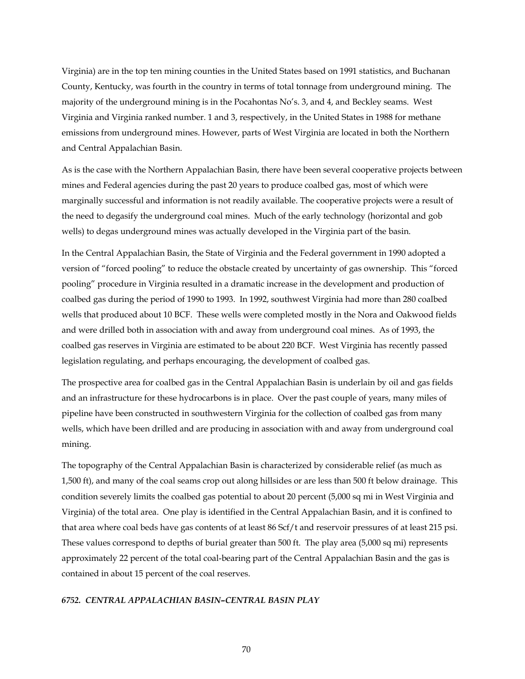Virginia) are in the top ten mining counties in the United States based on 1991 statistics, and Buchanan County, Kentucky, was fourth in the country in terms of total tonnage from underground mining. The majority of the underground mining is in the Pocahontas No's. 3, and 4, and Beckley seams. West Virginia and Virginia ranked number. 1 and 3, respectively, in the United States in 1988 for methane emissions from underground mines. However, parts of West Virginia are located in both the Northern and Central Appalachian Basin.

As is the case with the Northern Appalachian Basin, there have been several cooperative projects between mines and Federal agencies during the past 20 years to produce coalbed gas, most of which were marginally successful and information is not readily available. The cooperative projects were a result of the need to degasify the underground coal mines. Much of the early technology (horizontal and gob wells) to degas underground mines was actually developed in the Virginia part of the basin.

In the Central Appalachian Basin, the State of Virginia and the Federal government in 1990 adopted a version of "forced pooling" to reduce the obstacle created by uncertainty of gas ownership. This "forced pooling" procedure in Virginia resulted in a dramatic increase in the development and production of coalbed gas during the period of 1990 to 1993. In 1992, southwest Virginia had more than 280 coalbed wells that produced about 10 BCF. These wells were completed mostly in the Nora and Oakwood fields and were drilled both in association with and away from underground coal mines. As of 1993, the coalbed gas reserves in Virginia are estimated to be about 220 BCF. West Virginia has recently passed legislation regulating, and perhaps encouraging, the development of coalbed gas.

The prospective area for coalbed gas in the Central Appalachian Basin is underlain by oil and gas fields and an infrastructure for these hydrocarbons is in place. Over the past couple of years, many miles of pipeline have been constructed in southwestern Virginia for the collection of coalbed gas from many wells, which have been drilled and are producing in association with and away from underground coal mining.

The topography of the Central Appalachian Basin is characterized by considerable relief (as much as 1,500 ft), and many of the coal seams crop out along hillsides or are less than 500 ft below drainage. This condition severely limits the coalbed gas potential to about 20 percent (5,000 sq mi in West Virginia and Virginia) of the total area. One play is identified in the Central Appalachian Basin, and it is confined to that area where coal beds have gas contents of at least 86 Scf/t and reservoir pressures of at least 215 psi. These values correspond to depths of burial greater than 500 ft. The play area (5,000 sq mi) represents approximately 22 percent of the total coal-bearing part of the Central Appalachian Basin and the gas is contained in about 15 percent of the coal reserves.

### *6752. CENTRAL APPALACHIAN BASIN–CENTRAL BASIN PLAY*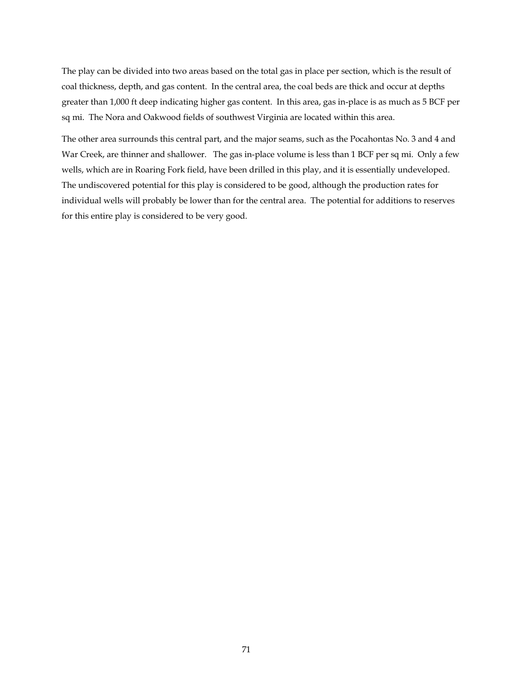The play can be divided into two areas based on the total gas in place per section, which is the result of coal thickness, depth, and gas content. In the central area, the coal beds are thick and occur at depths greater than 1,000 ft deep indicating higher gas content. In this area, gas in-place is as much as 5 BCF per sq mi. The Nora and Oakwood fields of southwest Virginia are located within this area.

The other area surrounds this central part, and the major seams, such as the Pocahontas No. 3 and 4 and War Creek, are thinner and shallower. The gas in-place volume is less than 1 BCF per sq mi. Only a few wells, which are in Roaring Fork field, have been drilled in this play, and it is essentially undeveloped. The undiscovered potential for this play is considered to be good, although the production rates for individual wells will probably be lower than for the central area. The potential for additions to reserves for this entire play is considered to be very good.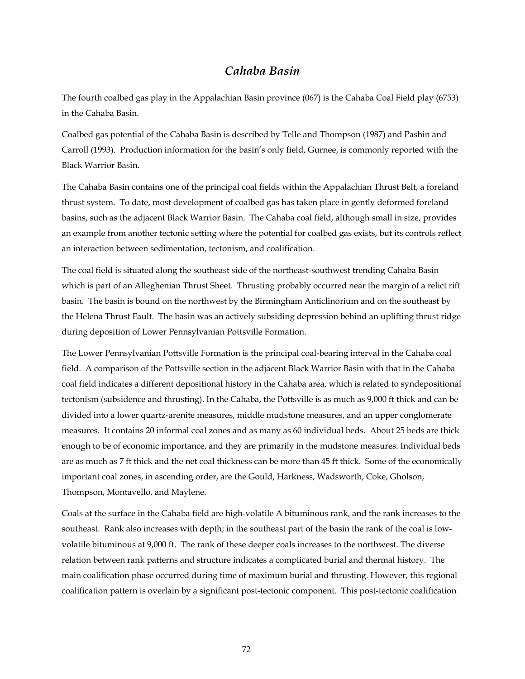## *Cahaba Basin*

The fourth coalbed gas play in the Appalachian Basin province (067) is the Cahaba Coal Field play (6753) in the Cahaba Basin.

Coalbed gas potential of the Cahaba Basin is described by Telle and Thompson (1987) and Pashin and Carroll (1993). Production information for the basin's only field, Gurnee, is commonly reported with the Black Warrior Basin.

The Cahaba Basin contains one of the principal coal fields within the Appalachian Thrust Belt, a foreland thrust system. To date, most development of coalbed gas has taken place in gently deformed foreland basins, such as the adjacent Black Warrior Basin. The Cahaba coal field, although small in size, provides an example from another tectonic setting where the potential for coalbed gas exists, but its controls reflect an interaction between sedimentation, tectonism, and coalification.

The coal field is situated along the southeast side of the northeast-southwest trending Cahaba Basin which is part of an Alleghenian Thrust Sheet. Thrusting probably occurred near the margin of a relict rift basin. The basin is bound on the northwest by the Birmingham Anticlinorium and on the southeast by the Helena Thrust Fault. The basin was an actively subsiding depression behind an uplifting thrust ridge during deposition of Lower Pennsylvanian Pottsville Formation.

The Lower Pennsylvanian Pottsville Formation is the principal coal-bearing interval in the Cahaba coal field. A comparison of the Pottsville section in the adjacent Black Warrior Basin with that in the Cahaba coal field indicates a different depositional history in the Cahaba area, which is related to syndepositional tectonism (subsidence and thrusting). In the Cahaba, the Pottsville is as much as 9,000 ft thick and can be divided into a lower quartz-arenite measures, middle mudstone measures, and an upper conglomerate measures. It contains 20 informal coal zones and as many as 60 individual beds. About 25 beds are thick enough to be of economic importance, and they are primarily in the mudstone measures. Individual beds are as much as 7 ft thick and the net coal thickness can be more than 45 ft thick. Some of the economically important coal zones, in ascending order, are the Gould, Harkness, Wadsworth, Coke, Gholson, Thompson, Montavello, and Maylene.

Coals at the surface in the Cahaba field are high-volatile A bituminous rank, and the rank increases to the southeast. Rank also increases with depth; in the southeast part of the basin the rank of the coal is lowvolatile bituminous at 9,000 ft. The rank of these deeper coals increases to the northwest. The diverse relation between rank patterns and structure indicates a complicated burial and thermal history. The main coalification phase occurred during time of maximum burial and thrusting. However, this regional coalification pattern is overlain by a significant post-tectonic component. This post-tectonic coalification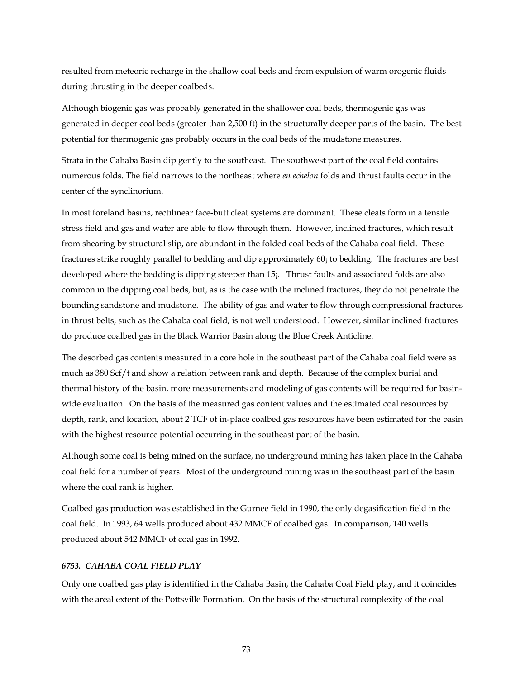resulted from meteoric recharge in the shallow coal beds and from expulsion of warm orogenic fluids during thrusting in the deeper coalbeds.

Although biogenic gas was probably generated in the shallower coal beds, thermogenic gas was generated in deeper coal beds (greater than 2,500 ft) in the structurally deeper parts of the basin. The best potential for thermogenic gas probably occurs in the coal beds of the mudstone measures.

Strata in the Cahaba Basin dip gently to the southeast. The southwest part of the coal field contains numerous folds. The field narrows to the northeast where *en echelon* folds and thrust faults occur in the center of the synclinorium.

In most foreland basins, rectilinear face-butt cleat systems are dominant. These cleats form in a tensile stress field and gas and water are able to flow through them. However, inclined fractures, which result from shearing by structural slip, are abundant in the folded coal beds of the Cahaba coal field. These fractures strike roughly parallel to bedding and dip approximately 60¡ to bedding. The fractures are best developed where the bedding is dipping steeper than 15¡. Thrust faults and associated folds are also common in the dipping coal beds, but, as is the case with the inclined fractures, they do not penetrate the bounding sandstone and mudstone. The ability of gas and water to flow through compressional fractures in thrust belts, such as the Cahaba coal field, is not well understood. However, similar inclined fractures do produce coalbed gas in the Black Warrior Basin along the Blue Creek Anticline.

The desorbed gas contents measured in a core hole in the southeast part of the Cahaba coal field were as much as 380 Scf/t and show a relation between rank and depth. Because of the complex burial and thermal history of the basin, more measurements and modeling of gas contents will be required for basinwide evaluation. On the basis of the measured gas content values and the estimated coal resources by depth, rank, and location, about 2 TCF of in-place coalbed gas resources have been estimated for the basin with the highest resource potential occurring in the southeast part of the basin.

Although some coal is being mined on the surface, no underground mining has taken place in the Cahaba coal field for a number of years. Most of the underground mining was in the southeast part of the basin where the coal rank is higher.

Coalbed gas production was established in the Gurnee field in 1990, the only degasification field in the coal field. In 1993, 64 wells produced about 432 MMCF of coalbed gas. In comparison, 140 wells produced about 542 MMCF of coal gas in 1992.

## *6753. CAHABA COAL FIELD PLAY*

Only one coalbed gas play is identified in the Cahaba Basin, the Cahaba Coal Field play, and it coincides with the areal extent of the Pottsville Formation. On the basis of the structural complexity of the coal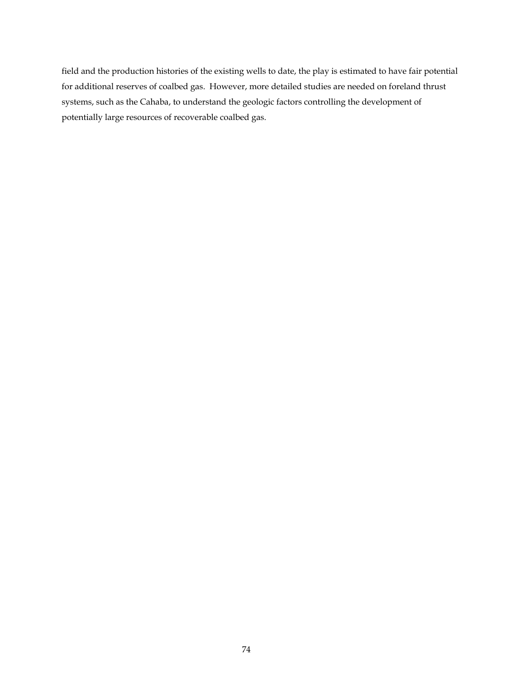field and the production histories of the existing wells to date, the play is estimated to have fair potential for additional reserves of coalbed gas. However, more detailed studies are needed on foreland thrust systems, such as the Cahaba, to understand the geologic factors controlling the development of potentially large resources of recoverable coalbed gas.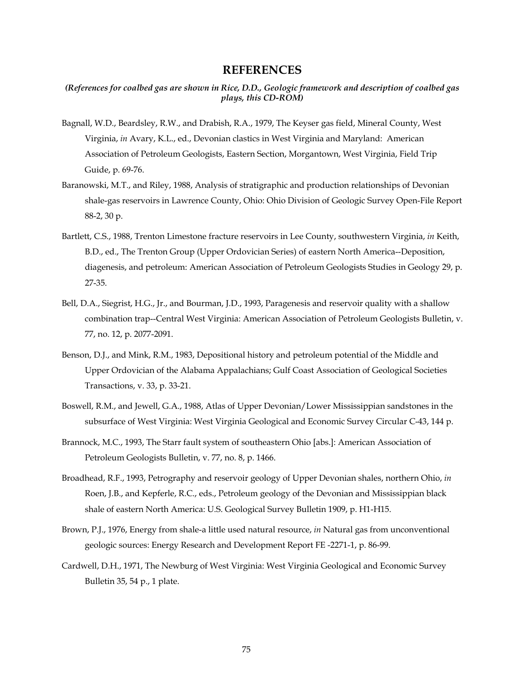## **REFERENCES**

## *(References for coalbed gas are shown in Rice, D.D., Geologic framework and description of coalbed gas plays, this CD-ROM)*

- Bagnall, W.D., Beardsley, R.W., and Drabish, R.A., 1979, The Keyser gas field, Mineral County, West Virginia, *in* Avary, K.L., ed., Devonian clastics in West Virginia and Maryland: American Association of Petroleum Geologists, Eastern Section, Morgantown, West Virginia, Field Trip Guide, p. 69-76.
- Baranowski, M.T., and Riley, 1988, Analysis of stratigraphic and production relationships of Devonian shale-gas reservoirs in Lawrence County, Ohio: Ohio Division of Geologic Survey Open-File Report 88-2, 30 p.
- Bartlett, C.S., 1988, Trenton Limestone fracture reservoirs in Lee County, southwestern Virginia, *in* Keith, B.D., ed., The Trenton Group (Upper Ordovician Series) of eastern North America--Deposition, diagenesis, and petroleum: American Association of Petroleum Geologists Studies in Geology 29, p. 27-35.
- Bell, D.A., Siegrist, H.G., Jr., and Bourman, J.D., 1993, Paragenesis and reservoir quality with a shallow combination trap--Central West Virginia: American Association of Petroleum Geologists Bulletin, v. 77, no. 12, p. 2077-2091.
- Benson, D.J., and Mink, R.M., 1983, Depositional history and petroleum potential of the Middle and Upper Ordovician of the Alabama Appalachians; Gulf Coast Association of Geological Societies Transactions, v. 33, p. 33-21.
- Boswell, R.M., and Jewell, G.A., 1988, Atlas of Upper Devonian/Lower Mississippian sandstones in the subsurface of West Virginia: West Virginia Geological and Economic Survey Circular C-43, 144 p.
- Brannock, M.C., 1993, The Starr fault system of southeastern Ohio [abs.]: American Association of Petroleum Geologists Bulletin, v. 77, no. 8, p. 1466.
- Broadhead, R.F., 1993, Petrography and reservoir geology of Upper Devonian shales, northern Ohio, *in*  Roen, J.B., and Kepferle, R.C., eds., Petroleum geology of the Devonian and Mississippian black shale of eastern North America: U.S. Geological Survey Bulletin 1909, p. H1-H15.
- Brown, P.J., 1976, Energy from shale-a little used natural resource, *in* Natural gas from unconventional geologic sources: Energy Research and Development Report FE -2271-1, p. 86-99.
- Cardwell, D.H., 1971, The Newburg of West Virginia: West Virginia Geological and Economic Survey Bulletin 35, 54 p., 1 plate.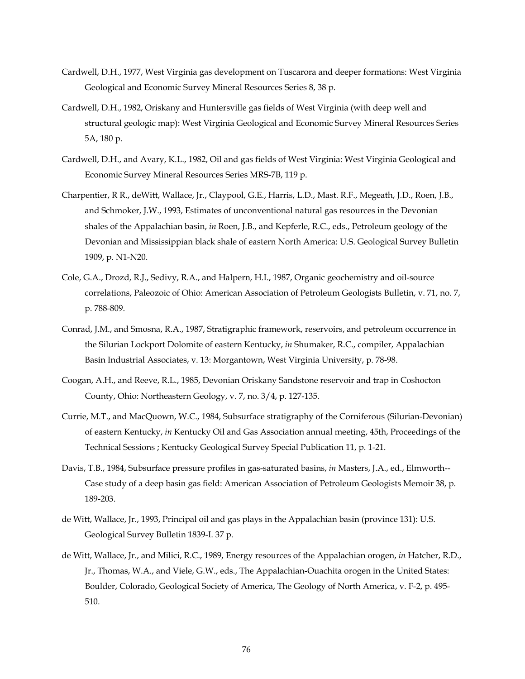- Cardwell, D.H., 1977, West Virginia gas development on Tuscarora and deeper formations: West Virginia Geological and Economic Survey Mineral Resources Series 8, 38 p.
- Cardwell, D.H., 1982, Oriskany and Huntersville gas fields of West Virginia (with deep well and structural geologic map): West Virginia Geological and Economic Survey Mineral Resources Series 5A, 180 p.
- Cardwell, D.H., and Avary, K.L., 1982, Oil and gas fields of West Virginia: West Virginia Geological and Economic Survey Mineral Resources Series MRS-7B, 119 p.
- Charpentier, R R., deWitt, Wallace, Jr., Claypool, G.E., Harris, L.D., Mast. R.F., Megeath, J.D., Roen, J.B., and Schmoker, J.W., 1993, Estimates of unconventional natural gas resources in the Devonian shales of the Appalachian basin, *in* Roen, J.B., and Kepferle, R.C., eds., Petroleum geology of the Devonian and Mississippian black shale of eastern North America: U.S. Geological Survey Bulletin 1909, p. N1-N20.
- Cole, G.A., Drozd, R.J., Sedivy, R.A., and Halpern, H.I., 1987, Organic geochemistry and oil-source correlations, Paleozoic of Ohio: American Association of Petroleum Geologists Bulletin, v. 71, no. 7, p. 788-809.
- Conrad, J.M., and Smosna, R.A., 1987, Stratigraphic framework, reservoirs, and petroleum occurrence in the Silurian Lockport Dolomite of eastern Kentucky, *in* Shumaker, R.C., compiler, Appalachian Basin Industrial Associates, v. 13: Morgantown, West Virginia University, p. 78-98.
- Coogan, A.H., and Reeve, R.L., 1985, Devonian Oriskany Sandstone reservoir and trap in Coshocton County, Ohio: Northeastern Geology, v. 7, no. 3/4, p. 127-135.
- Currie, M.T., and MacQuown, W.C., 1984, Subsurface stratigraphy of the Corniferous (Silurian-Devonian) of eastern Kentucky, *in* Kentucky Oil and Gas Association annual meeting, 45th, Proceedings of the Technical Sessions ; Kentucky Geological Survey Special Publication 11, p. 1-21.
- Davis, T.B., 1984, Subsurface pressure profiles in gas-saturated basins, *in* Masters, J.A., ed., Elmworth-- Case study of a deep basin gas field: American Association of Petroleum Geologists Memoir 38, p. 189-203.
- de Witt, Wallace, Jr., 1993, Principal oil and gas plays in the Appalachian basin (province 131): U.S. Geological Survey Bulletin 1839-I. 37 p.
- de Witt, Wallace, Jr., and Milici, R.C., 1989, Energy resources of the Appalachian orogen, *in* Hatcher, R.D., Jr., Thomas, W.A., and Viele, G.W., eds., The Appalachian-Ouachita orogen in the United States: Boulder, Colorado, Geological Society of America, The Geology of North America, v. F-2, p. 495- 510.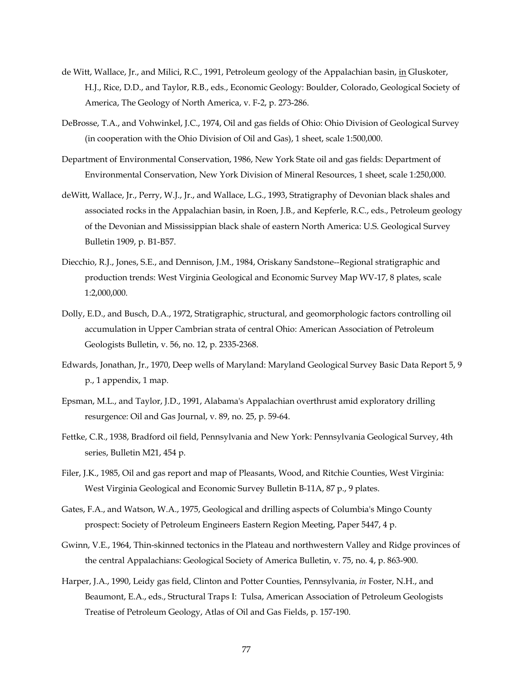- de Witt, Wallace, Jr., and Milici, R.C., 1991, Petroleum geology of the Appalachian basin, in Gluskoter, H.J., Rice, D.D., and Taylor, R.B., eds., Economic Geology: Boulder, Colorado, Geological Society of America, The Geology of North America, v. F-2, p. 273-286.
- DeBrosse, T.A., and Vohwinkel, J.C., 1974, Oil and gas fields of Ohio: Ohio Division of Geological Survey (in cooperation with the Ohio Division of Oil and Gas), 1 sheet, scale 1:500,000.
- Department of Environmental Conservation, 1986, New York State oil and gas fields: Department of Environmental Conservation, New York Division of Mineral Resources, 1 sheet, scale 1:250,000.
- deWitt, Wallace, Jr., Perry, W.J., Jr., and Wallace, L.G., 1993, Stratigraphy of Devonian black shales and associated rocks in the Appalachian basin, in Roen, J.B., and Kepferle, R.C., eds., Petroleum geology of the Devonian and Mississippian black shale of eastern North America: U.S. Geological Survey Bulletin 1909, p. B1-B57.
- Diecchio, R.J., Jones, S.E., and Dennison, J.M., 1984, Oriskany Sandstone--Regional stratigraphic and production trends: West Virginia Geological and Economic Survey Map WV-17, 8 plates, scale 1:2,000,000.
- Dolly, E.D., and Busch, D.A., 1972, Stratigraphic, structural, and geomorphologic factors controlling oil accumulation in Upper Cambrian strata of central Ohio: American Association of Petroleum Geologists Bulletin, v. 56, no. 12, p. 2335-2368.
- Edwards, Jonathan, Jr., 1970, Deep wells of Maryland: Maryland Geological Survey Basic Data Report 5, 9 p., 1 appendix, 1 map.
- Epsman, M.L., and Taylor, J.D., 1991, Alabama's Appalachian overthrust amid exploratory drilling resurgence: Oil and Gas Journal, v. 89, no. 25, p. 59-64.
- Fettke, C.R., 1938, Bradford oil field, Pennsylvania and New York: Pennsylvania Geological Survey, 4th series, Bulletin M21, 454 p.
- Filer, J.K., 1985, Oil and gas report and map of Pleasants, Wood, and Ritchie Counties, West Virginia: West Virginia Geological and Economic Survey Bulletin B-11A, 87 p., 9 plates.
- Gates, F.A., and Watson, W.A., 1975, Geological and drilling aspects of Columbia's Mingo County prospect: Society of Petroleum Engineers Eastern Region Meeting, Paper 5447, 4 p.
- Gwinn, V.E., 1964, Thin-skinned tectonics in the Plateau and northwestern Valley and Ridge provinces of the central Appalachians: Geological Society of America Bulletin, v. 75, no. 4, p. 863-900.
- Harper, J.A., 1990, Leidy gas field, Clinton and Potter Counties, Pennsylvania, *in* Foster, N.H., and Beaumont, E.A., eds., Structural Traps I: Tulsa, American Association of Petroleum Geologists Treatise of Petroleum Geology, Atlas of Oil and Gas Fields, p. 157-190.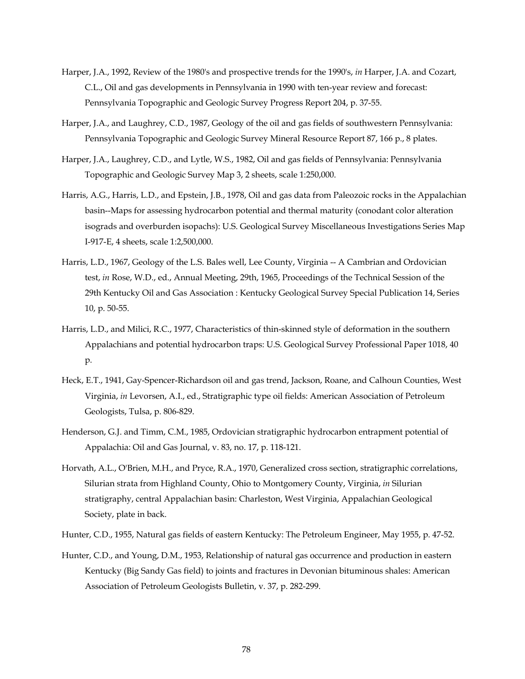- Harper, J.A., 1992, Review of the 1980's and prospective trends for the 1990's, *in* Harper, J.A. and Cozart, C.L., Oil and gas developments in Pennsylvania in 1990 with ten-year review and forecast: Pennsylvania Topographic and Geologic Survey Progress Report 204, p. 37-55.
- Harper, J.A., and Laughrey, C.D., 1987, Geology of the oil and gas fields of southwestern Pennsylvania: Pennsylvania Topographic and Geologic Survey Mineral Resource Report 87, 166 p., 8 plates.
- Harper, J.A., Laughrey, C.D., and Lytle, W.S., 1982, Oil and gas fields of Pennsylvania: Pennsylvania Topographic and Geologic Survey Map 3, 2 sheets, scale 1:250,000.
- Harris, A.G., Harris, L.D., and Epstein, J.B., 1978, Oil and gas data from Paleozoic rocks in the Appalachian basin--Maps for assessing hydrocarbon potential and thermal maturity (conodant color alteration isograds and overburden isopachs): U.S. Geological Survey Miscellaneous Investigations Series Map I-917-E, 4 sheets, scale 1:2,500,000.
- Harris, L.D., 1967, Geology of the L.S. Bales well, Lee County, Virginia -- A Cambrian and Ordovician test, *in* Rose, W.D., ed., Annual Meeting, 29th, 1965, Proceedings of the Technical Session of the 29th Kentucky Oil and Gas Association : Kentucky Geological Survey Special Publication 14, Series 10, p. 50-55.
- Harris, L.D., and Milici, R.C., 1977, Characteristics of thin-skinned style of deformation in the southern Appalachians and potential hydrocarbon traps: U.S. Geological Survey Professional Paper 1018, 40 p.
- Heck, E.T., 1941, Gay-Spencer-Richardson oil and gas trend, Jackson, Roane, and Calhoun Counties, West Virginia, *in* Levorsen, A.I., ed., Stratigraphic type oil fields: American Association of Petroleum Geologists, Tulsa, p. 806-829.
- Henderson, G.J. and Timm, C.M., 1985, Ordovician stratigraphic hydrocarbon entrapment potential of Appalachia: Oil and Gas Journal, v. 83, no. 17, p. 118-121.
- Horvath, A.L., O'Brien, M.H., and Pryce, R.A., 1970, Generalized cross section, stratigraphic correlations, Silurian strata from Highland County, Ohio to Montgomery County, Virginia, *in* Silurian stratigraphy, central Appalachian basin: Charleston, West Virginia, Appalachian Geological Society, plate in back.
- Hunter, C.D., 1955, Natural gas fields of eastern Kentucky: The Petroleum Engineer, May 1955, p. 47-52.
- Hunter, C.D., and Young, D.M., 1953, Relationship of natural gas occurrence and production in eastern Kentucky (Big Sandy Gas field) to joints and fractures in Devonian bituminous shales: American Association of Petroleum Geologists Bulletin, v. 37, p. 282-299.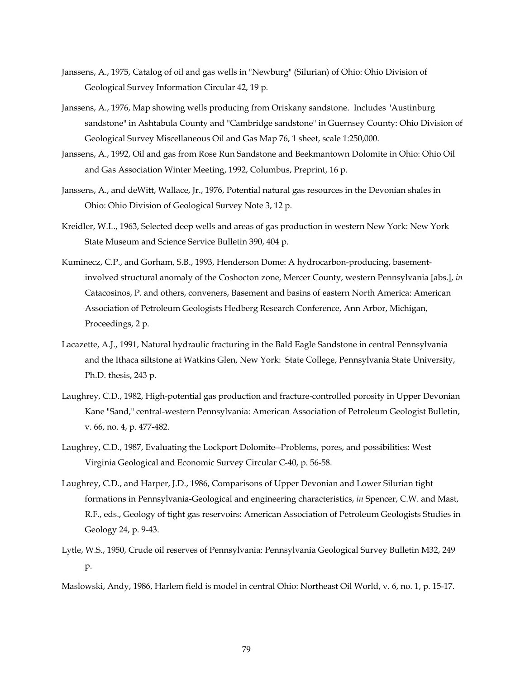- Janssens, A., 1975, Catalog of oil and gas wells in "Newburg" (Silurian) of Ohio: Ohio Division of Geological Survey Information Circular 42, 19 p.
- Janssens, A., 1976, Map showing wells producing from Oriskany sandstone. Includes "Austinburg sandstone" in Ashtabula County and "Cambridge sandstone" in Guernsey County: Ohio Division of Geological Survey Miscellaneous Oil and Gas Map 76, 1 sheet, scale 1:250,000.
- Janssens, A., 1992, Oil and gas from Rose Run Sandstone and Beekmantown Dolomite in Ohio: Ohio Oil and Gas Association Winter Meeting, 1992, Columbus, Preprint, 16 p.
- Janssens, A., and deWitt, Wallace, Jr., 1976, Potential natural gas resources in the Devonian shales in Ohio: Ohio Division of Geological Survey Note 3, 12 p.
- Kreidler, W.L., 1963, Selected deep wells and areas of gas production in western New York: New York State Museum and Science Service Bulletin 390, 404 p.
- Kuminecz, C.P., and Gorham, S.B., 1993, Henderson Dome: A hydrocarbon-producing, basementinvolved structural anomaly of the Coshocton zone, Mercer County, western Pennsylvania [abs.], *in*  Catacosinos, P. and others, conveners, Basement and basins of eastern North America: American Association of Petroleum Geologists Hedberg Research Conference, Ann Arbor, Michigan, Proceedings, 2 p.
- Lacazette, A.J., 1991, Natural hydraulic fracturing in the Bald Eagle Sandstone in central Pennsylvania and the Ithaca siltstone at Watkins Glen, New York: State College, Pennsylvania State University, Ph.D. thesis, 243 p.
- Laughrey, C.D., 1982, High-potential gas production and fracture-controlled porosity in Upper Devonian Kane "Sand," central-western Pennsylvania: American Association of Petroleum Geologist Bulletin, v. 66, no. 4, p. 477-482.
- Laughrey, C.D., 1987, Evaluating the Lockport Dolomite--Problems, pores, and possibilities: West Virginia Geological and Economic Survey Circular C-40, p. 56-58.
- Laughrey, C.D., and Harper, J.D., 1986, Comparisons of Upper Devonian and Lower Silurian tight formations in Pennsylvania-Geological and engineering characteristics, *in* Spencer, C.W. and Mast, R.F., eds., Geology of tight gas reservoirs: American Association of Petroleum Geologists Studies in Geology 24, p. 9-43.
- Lytle, W.S., 1950, Crude oil reserves of Pennsylvania: Pennsylvania Geological Survey Bulletin M32, 249 p.
- Maslowski, Andy, 1986, Harlem field is model in central Ohio: Northeast Oil World, v. 6, no. 1, p. 15-17.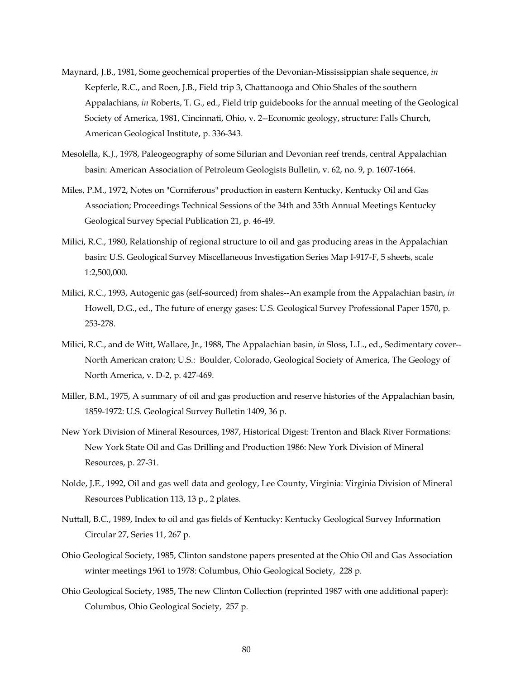- Maynard, J.B., 1981, Some geochemical properties of the Devonian-Mississippian shale sequence, *in*  Kepferle, R.C., and Roen, J.B., Field trip 3, Chattanooga and Ohio Shales of the southern Appalachians, *in* Roberts, T. G., ed., Field trip guidebooks for the annual meeting of the Geological Society of America, 1981, Cincinnati, Ohio, v. 2--Economic geology, structure: Falls Church, American Geological Institute, p. 336-343.
- Mesolella, K.J., 1978, Paleogeography of some Silurian and Devonian reef trends, central Appalachian basin: American Association of Petroleum Geologists Bulletin, v. 62, no. 9, p. 1607-1664.
- Miles, P.M., 1972, Notes on "Corniferous" production in eastern Kentucky, Kentucky Oil and Gas Association; Proceedings Technical Sessions of the 34th and 35th Annual Meetings Kentucky Geological Survey Special Publication 21, p. 46-49.
- Milici, R.C., 1980, Relationship of regional structure to oil and gas producing areas in the Appalachian basin: U.S. Geological Survey Miscellaneous Investigation Series Map I-917-F, 5 sheets, scale 1:2,500,000.
- Milici, R.C., 1993, Autogenic gas (self-sourced) from shales--An example from the Appalachian basin, *in*  Howell, D.G., ed., The future of energy gases: U.S. Geological Survey Professional Paper 1570, p. 253-278.
- Milici, R.C., and de Witt, Wallace, Jr., 1988, The Appalachian basin, *in* Sloss, L.L., ed., Sedimentary cover-- North American craton; U.S.: Boulder, Colorado, Geological Society of America, The Geology of North America, v. D-2, p. 427-469.
- Miller, B.M., 1975, A summary of oil and gas production and reserve histories of the Appalachian basin, 1859-1972: U.S. Geological Survey Bulletin 1409, 36 p.
- New York Division of Mineral Resources, 1987, Historical Digest: Trenton and Black River Formations: New York State Oil and Gas Drilling and Production 1986: New York Division of Mineral Resources, p. 27-31.
- Nolde, J.E., 1992, Oil and gas well data and geology, Lee County, Virginia: Virginia Division of Mineral Resources Publication 113, 13 p., 2 plates.
- Nuttall, B.C., 1989, Index to oil and gas fields of Kentucky: Kentucky Geological Survey Information Circular 27, Series 11, 267 p.
- Ohio Geological Society, 1985, Clinton sandstone papers presented at the Ohio Oil and Gas Association winter meetings 1961 to 1978: Columbus, Ohio Geological Society, 228 p.
- Ohio Geological Society, 1985, The new Clinton Collection (reprinted 1987 with one additional paper): Columbus, Ohio Geological Society, 257 p.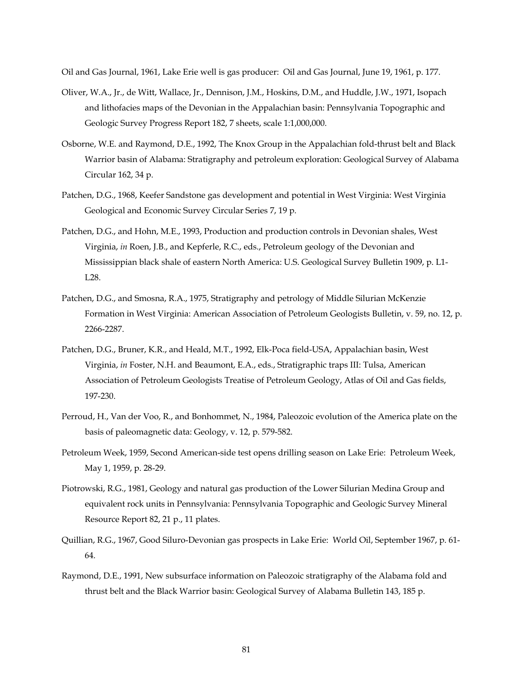Oil and Gas Journal, 1961, Lake Erie well is gas producer: Oil and Gas Journal, June 19, 1961, p. 177.

- Oliver, W.A., Jr., de Witt, Wallace, Jr., Dennison, J.M., Hoskins, D.M., and Huddle, J.W., 1971, Isopach and lithofacies maps of the Devonian in the Appalachian basin: Pennsylvania Topographic and Geologic Survey Progress Report 182, 7 sheets, scale 1:1,000,000.
- Osborne, W.E. and Raymond, D.E., 1992, The Knox Group in the Appalachian fold-thrust belt and Black Warrior basin of Alabama: Stratigraphy and petroleum exploration: Geological Survey of Alabama Circular 162, 34 p.
- Patchen, D.G., 1968, Keefer Sandstone gas development and potential in West Virginia: West Virginia Geological and Economic Survey Circular Series 7, 19 p.
- Patchen, D.G., and Hohn, M.E., 1993, Production and production controls in Devonian shales, West Virginia, *in* Roen, J.B., and Kepferle, R.C., eds., Petroleum geology of the Devonian and Mississippian black shale of eastern North America: U.S. Geological Survey Bulletin 1909, p. L1- L28.
- Patchen, D.G., and Smosna, R.A., 1975, Stratigraphy and petrology of Middle Silurian McKenzie Formation in West Virginia: American Association of Petroleum Geologists Bulletin, v. 59, no. 12, p. 2266-2287.
- Patchen, D.G., Bruner, K.R., and Heald, M.T., 1992, Elk-Poca field-USA, Appalachian basin, West Virginia, *in* Foster, N.H. and Beaumont, E.A., eds., Stratigraphic traps III: Tulsa, American Association of Petroleum Geologists Treatise of Petroleum Geology, Atlas of Oil and Gas fields, 197-230.
- Perroud, H., Van der Voo, R., and Bonhommet, N., 1984, Paleozoic evolution of the America plate on the basis of paleomagnetic data: Geology, v. 12, p. 579-582.
- Petroleum Week, 1959, Second American-side test opens drilling season on Lake Erie: Petroleum Week, May 1, 1959, p. 28-29.
- Piotrowski, R.G., 1981, Geology and natural gas production of the Lower Silurian Medina Group and equivalent rock units in Pennsylvania: Pennsylvania Topographic and Geologic Survey Mineral Resource Report 82, 21 p., 11 plates.
- Quillian, R.G., 1967, Good Siluro-Devonian gas prospects in Lake Erie: World Oil, September 1967, p. 61- 64.
- Raymond, D.E., 1991, New subsurface information on Paleozoic stratigraphy of the Alabama fold and thrust belt and the Black Warrior basin: Geological Survey of Alabama Bulletin 143, 185 p.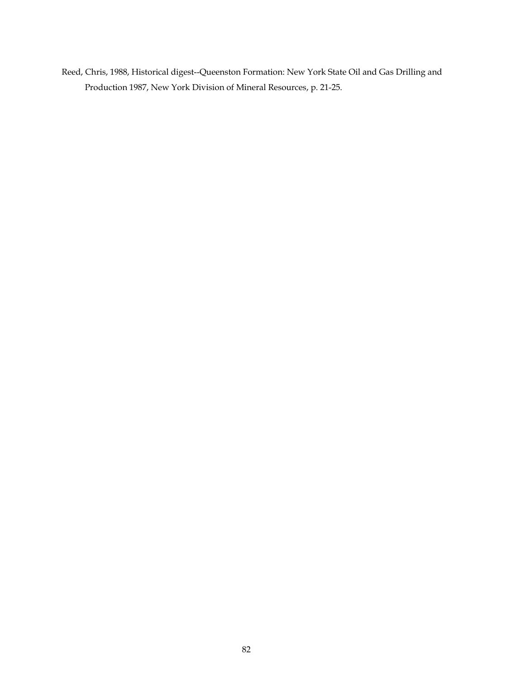Reed, Chris, 1988, Historical digest--Queenston Formation: New York State Oil and Gas Drilling and Production 1987, New York Division of Mineral Resources, p. 21-25.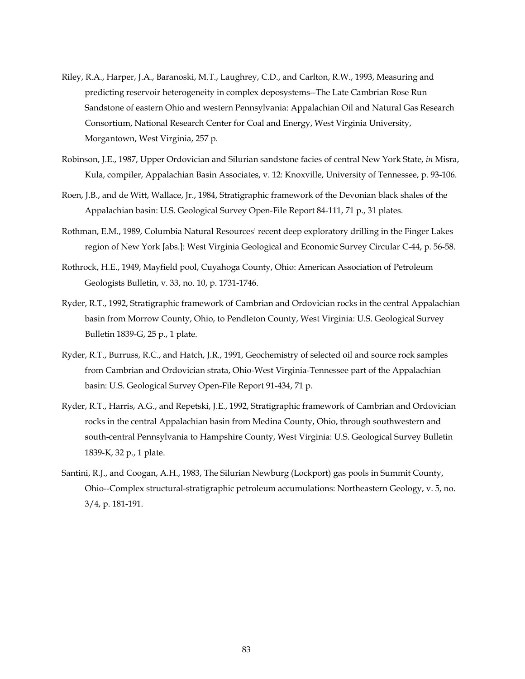- Riley, R.A., Harper, J.A., Baranoski, M.T., Laughrey, C.D., and Carlton, R.W., 1993, Measuring and predicting reservoir heterogeneity in complex deposystems--The Late Cambrian Rose Run Sandstone of eastern Ohio and western Pennsylvania: Appalachian Oil and Natural Gas Research Consortium, National Research Center for Coal and Energy, West Virginia University, Morgantown, West Virginia, 257 p.
- Robinson, J.E., 1987, Upper Ordovician and Silurian sandstone facies of central New York State, *in* Misra, Kula, compiler, Appalachian Basin Associates, v. 12: Knoxville, University of Tennessee, p. 93-106.
- Roen, J.B., and de Witt, Wallace, Jr., 1984, Stratigraphic framework of the Devonian black shales of the Appalachian basin: U.S. Geological Survey Open-File Report 84-111, 71 p., 31 plates.
- Rothman, E.M., 1989, Columbia Natural Resources' recent deep exploratory drilling in the Finger Lakes region of New York [abs.]: West Virginia Geological and Economic Survey Circular C-44, p. 56-58.
- Rothrock, H.E., 1949, Mayfield pool, Cuyahoga County, Ohio: American Association of Petroleum Geologists Bulletin, v. 33, no. 10, p. 1731-1746.
- Ryder, R.T., 1992, Stratigraphic framework of Cambrian and Ordovician rocks in the central Appalachian basin from Morrow County, Ohio, to Pendleton County, West Virginia: U.S. Geological Survey Bulletin 1839-G, 25 p., 1 plate.
- Ryder, R.T., Burruss, R.C., and Hatch, J.R., 1991, Geochemistry of selected oil and source rock samples from Cambrian and Ordovician strata, Ohio-West Virginia-Tennessee part of the Appalachian basin: U.S. Geological Survey Open-File Report 91-434, 71 p.
- Ryder, R.T., Harris, A.G., and Repetski, J.E., 1992, Stratigraphic framework of Cambrian and Ordovician rocks in the central Appalachian basin from Medina County, Ohio, through southwestern and south-central Pennsylvania to Hampshire County, West Virginia: U.S. Geological Survey Bulletin 1839-K, 32 p., 1 plate.
- Santini, R.J., and Coogan, A.H., 1983, The Silurian Newburg (Lockport) gas pools in Summit County, Ohio--Complex structural-stratigraphic petroleum accumulations: Northeastern Geology, v. 5, no. 3/4, p. 181-191.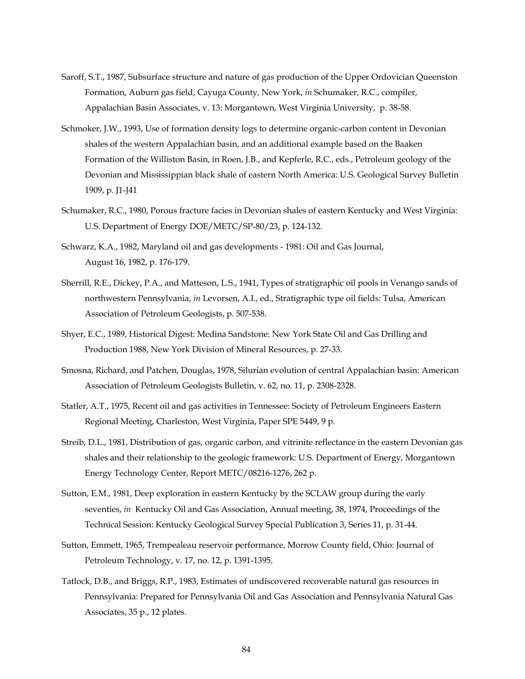- Saroff, S.T., 1987, Subsurface structure and nature of gas production of the Upper Ordovician Queenston Formation, Auburn gas field, Cayuga County, New York, *in* Schumaker, R.C., compiler, Appalachian Basin Associates, v. 13: Morgantown, West Virginia University, p. 38-58.
- Schmoker, J.W., 1993, Use of formation density logs to determine organic-carbon content in Devonian shales of the western Appalachian basin, and an additional example based on the Baaken Formation of the Williston Basin, in Roen, J.B., and Kepferle, R.C., eds., Petroleum geology of the Devonian and Mississippian black shale of eastern North America: U.S. Geological Survey Bulletin 1909, p. J1-J41
- Schumaker, R.C., 1980, Porous fracture facies in Devonian shales of eastern Kentucky and West Virginia: U.S. Department of Energy DOE/METC/SP-80/23, p. 124-132.
- Schwarz, K.A., 1982, Maryland oil and gas developments 1981: Oil and Gas Journal, August 16, 1982, p. 176-179.
- Sherrill, R.E., Dickey, P.A., and Matteson, L.S., 1941, Types of stratigraphic oil pools in Venango sands of northwestern Pennsylvania, *in* Levorsen, A.I., ed., Stratigraphic type oil fields: Tulsa, American Association of Petroleum Geologists, p. 507-538.
- Shyer, E.C., 1989, Historical Digest: Medina Sandstone: New York State Oil and Gas Drilling and Production 1988, New York Division of Mineral Resources, p. 27-33.
- Smosna, Richard, and Patchen, Douglas, 1978, Silurian evolution of central Appalachian basin: American Association of Petroleum Geologists Bulletin, v. 62, no. 11, p. 2308-2328.
- Statler, A.T., 1975, Recent oil and gas activities in Tennessee: Society of Petroleum Engineers Eastern Regional Meeting, Charleston, West Virginia, Paper SPE 5449, 9 p.
- Streib, D.L., 1981, Distribution of gas, organic carbon, and vitrinite reflectance in the eastern Devonian gas shales and their relationship to the geologic framework: U.S. Department of Energy, Morgantown Energy Technology Center, Report METC/08216-1276, 262 p.
- Sutton, E.M., 1981, Deep exploration in eastern Kentucky by the SCLAW group during the early seventies, *in* Kentucky Oil and Gas Association, Annual meeting, 38, 1974, Proceedings of the Technical Session: Kentucky Geological Survey Special Publication 3, Series 11, p. 31-44.
- Sutton, Emmett, 1965, Trempealeau reservoir performance, Morrow County field, Ohio: Journal of Petroleum Technology, v. 17, no. 12, p. 1391-1395.
- Tatlock, D.B., and Briggs, R.P., 1983, Estimates of undiscovered recoverable natural gas resources in Pennsylvania: Prepared for Pennsylvania Oil and Gas Association and Pennsylvania Natural Gas Associates, 35 p., 12 plates.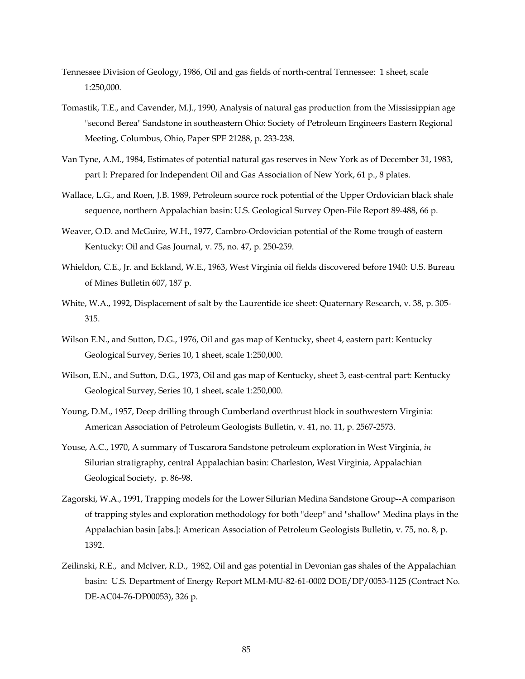- Tennessee Division of Geology, 1986, Oil and gas fields of north-central Tennessee: 1 sheet, scale 1:250,000.
- Tomastik, T.E., and Cavender, M.J., 1990, Analysis of natural gas production from the Mississippian age "second Berea" Sandstone in southeastern Ohio: Society of Petroleum Engineers Eastern Regional Meeting, Columbus, Ohio, Paper SPE 21288, p. 233-238.
- Van Tyne, A.M., 1984, Estimates of potential natural gas reserves in New York as of December 31, 1983, part I: Prepared for Independent Oil and Gas Association of New York, 61 p., 8 plates.
- Wallace, L.G., and Roen, J.B. 1989, Petroleum source rock potential of the Upper Ordovician black shale sequence, northern Appalachian basin: U.S. Geological Survey Open-File Report 89-488, 66 p.
- Weaver, O.D. and McGuire, W.H., 1977, Cambro-Ordovician potential of the Rome trough of eastern Kentucky: Oil and Gas Journal, v. 75, no. 47, p. 250-259.
- Whieldon, C.E., Jr. and Eckland, W.E., 1963, West Virginia oil fields discovered before 1940: U.S. Bureau of Mines Bulletin 607, 187 p.
- White, W.A., 1992, Displacement of salt by the Laurentide ice sheet: Quaternary Research, v. 38, p. 305- 315.
- Wilson E.N., and Sutton, D.G., 1976, Oil and gas map of Kentucky, sheet 4, eastern part: Kentucky Geological Survey, Series 10, 1 sheet, scale 1:250,000.
- Wilson, E.N., and Sutton, D.G., 1973, Oil and gas map of Kentucky, sheet 3, east-central part: Kentucky Geological Survey, Series 10, 1 sheet, scale 1:250,000.
- Young, D.M., 1957, Deep drilling through Cumberland overthrust block in southwestern Virginia: American Association of Petroleum Geologists Bulletin, v. 41, no. 11, p. 2567-2573.
- Youse, A.C., 1970, A summary of Tuscarora Sandstone petroleum exploration in West Virginia, *in*  Silurian stratigraphy, central Appalachian basin: Charleston, West Virginia, Appalachian Geological Society, p. 86-98.
- Zagorski, W.A., 1991, Trapping models for the Lower Silurian Medina Sandstone Group--A comparison of trapping styles and exploration methodology for both "deep" and "shallow" Medina plays in the Appalachian basin [abs.]: American Association of Petroleum Geologists Bulletin, v. 75, no. 8, p. 1392.
- Zeilinski, R.E., and McIver, R.D., 1982, Oil and gas potential in Devonian gas shales of the Appalachian basin: U.S. Department of Energy Report MLM-MU-82-61-0002 DOE/DP/0053-1125 (Contract No. DE-AC04-76-DP00053), 326 p.